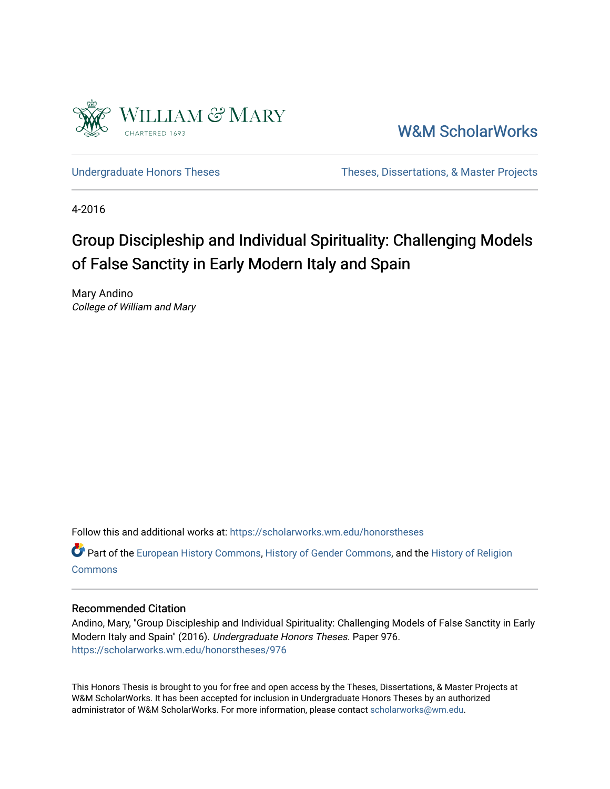

[W&M ScholarWorks](https://scholarworks.wm.edu/) 

[Undergraduate Honors Theses](https://scholarworks.wm.edu/honorstheses) Theses Theses, Dissertations, & Master Projects

4-2016

# Group Discipleship and Individual Spirituality: Challenging Models of False Sanctity in Early Modern Italy and Spain

Mary Andino College of William and Mary

Follow this and additional works at: [https://scholarworks.wm.edu/honorstheses](https://scholarworks.wm.edu/honorstheses?utm_source=scholarworks.wm.edu%2Fhonorstheses%2F976&utm_medium=PDF&utm_campaign=PDFCoverPages) 

Part of the [European History Commons](http://network.bepress.com/hgg/discipline/492?utm_source=scholarworks.wm.edu%2Fhonorstheses%2F976&utm_medium=PDF&utm_campaign=PDFCoverPages), [History of Gender Commons,](http://network.bepress.com/hgg/discipline/498?utm_source=scholarworks.wm.edu%2Fhonorstheses%2F976&utm_medium=PDF&utm_campaign=PDFCoverPages) and the [History of Religion](http://network.bepress.com/hgg/discipline/499?utm_source=scholarworks.wm.edu%2Fhonorstheses%2F976&utm_medium=PDF&utm_campaign=PDFCoverPages) **[Commons](http://network.bepress.com/hgg/discipline/499?utm_source=scholarworks.wm.edu%2Fhonorstheses%2F976&utm_medium=PDF&utm_campaign=PDFCoverPages)** 

### Recommended Citation

Andino, Mary, "Group Discipleship and Individual Spirituality: Challenging Models of False Sanctity in Early Modern Italy and Spain" (2016). Undergraduate Honors Theses. Paper 976. [https://scholarworks.wm.edu/honorstheses/976](https://scholarworks.wm.edu/honorstheses/976?utm_source=scholarworks.wm.edu%2Fhonorstheses%2F976&utm_medium=PDF&utm_campaign=PDFCoverPages) 

This Honors Thesis is brought to you for free and open access by the Theses, Dissertations, & Master Projects at W&M ScholarWorks. It has been accepted for inclusion in Undergraduate Honors Theses by an authorized administrator of W&M ScholarWorks. For more information, please contact [scholarworks@wm.edu.](mailto:scholarworks@wm.edu)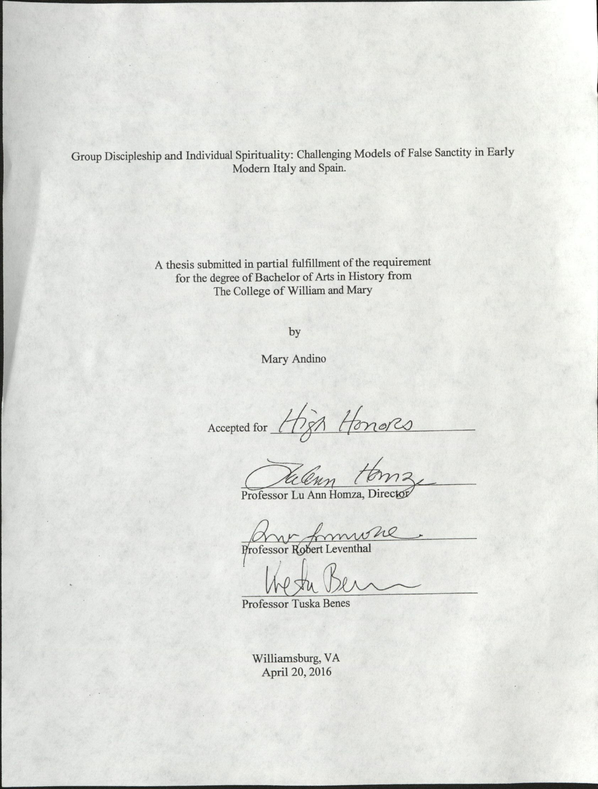Group Discipleship and Individual Spirituality: Challenging Models of False Sanctity in Early Modern Italy and Spain.

> A thesis submitted in partial fulfillment of the requirement for the degree of Bachelor of Arts in History from The College of William and Mary

> > by

Mary Andino

Accepted for Honors

Professor Lu Ann Homza, Director

Professor Robert Leventhal

Professor Tuska Benes

Williamsburg, VA April 20, 2016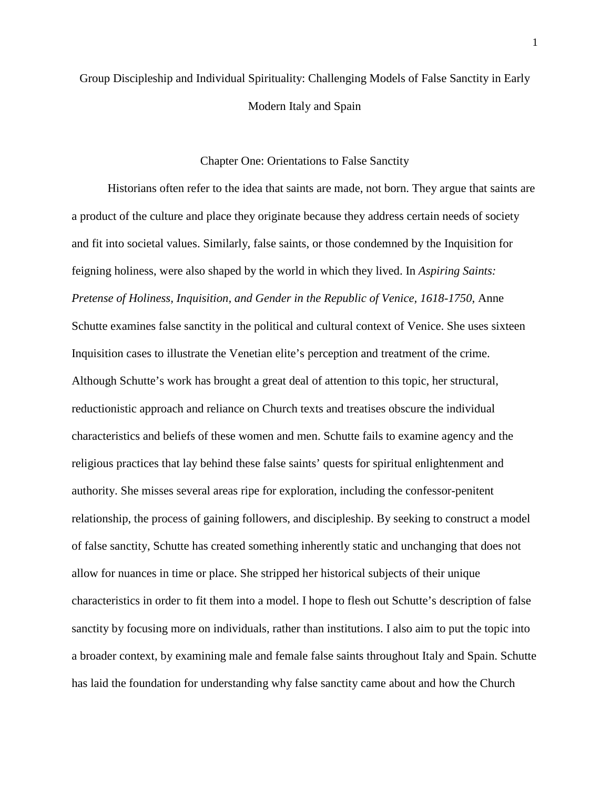## Group Discipleship and Individual Spirituality: Challenging Models of False Sanctity in Early Modern Italy and Spain

### Chapter One: Orientations to False Sanctity

Historians often refer to the idea that saints are made, not born. They argue that saints are a product of the culture and place they originate because they address certain needs of society and fit into societal values. Similarly, false saints, or those condemned by the Inquisition for feigning holiness, were also shaped by the world in which they lived. In *Aspiring Saints: Pretense of Holiness, Inquisition, and Gender in the Republic of Venice, 1618-1750*, Anne Schutte examines false sanctity in the political and cultural context of Venice. She uses sixteen Inquisition cases to illustrate the Venetian elite's perception and treatment of the crime. Although Schutte's work has brought a great deal of attention to this topic, her structural, reductionistic approach and reliance on Church texts and treatises obscure the individual characteristics and beliefs of these women and men. Schutte fails to examine agency and the religious practices that lay behind these false saints' quests for spiritual enlightenment and authority. She misses several areas ripe for exploration, including the confessor-penitent relationship, the process of gaining followers, and discipleship. By seeking to construct a model of false sanctity, Schutte has created something inherently static and unchanging that does not allow for nuances in time or place. She stripped her historical subjects of their unique characteristics in order to fit them into a model. I hope to flesh out Schutte's description of false sanctity by focusing more on individuals, rather than institutions. I also aim to put the topic into a broader context, by examining male and female false saints throughout Italy and Spain. Schutte has laid the foundation for understanding why false sanctity came about and how the Church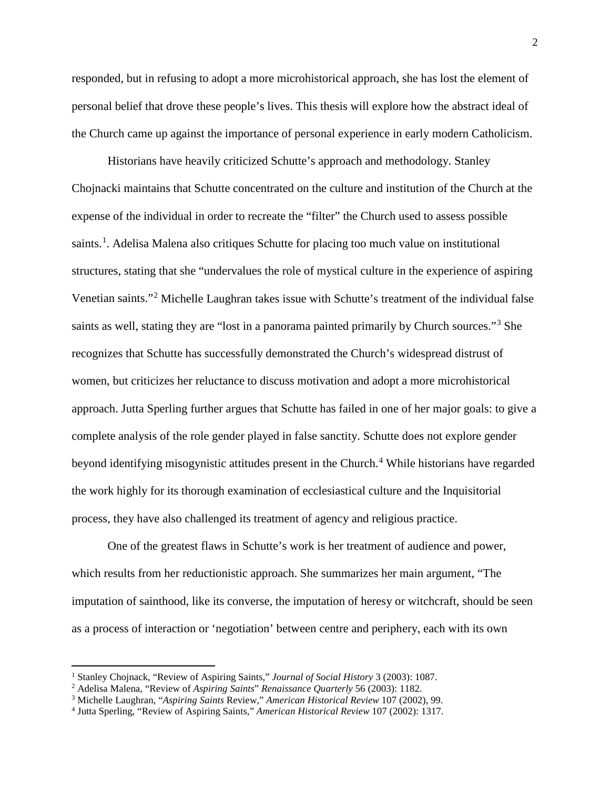responded, but in refusing to adopt a more microhistorical approach, she has lost the element of personal belief that drove these people's lives. This thesis will explore how the abstract ideal of the Church came up against the importance of personal experience in early modern Catholicism.

Historians have heavily criticized Schutte's approach and methodology. Stanley Chojnacki maintains that Schutte concentrated on the culture and institution of the Church at the expense of the individual in order to recreate the "filter" the Church used to assess possible saints.<sup>[1](#page-3-0)</sup>. Adelisa Malena also critiques Schutte for placing too much value on institutional structures, stating that she "undervalues the role of mystical culture in the experience of aspiring Venetian saints."[2](#page-3-1) Michelle Laughran takes issue with Schutte's treatment of the individual false saints as well, stating they are "lost in a panorama painted primarily by Church sources."<sup>[3](#page-3-2)</sup> She recognizes that Schutte has successfully demonstrated the Church's widespread distrust of women, but criticizes her reluctance to discuss motivation and adopt a more microhistorical approach. Jutta Sperling further argues that Schutte has failed in one of her major goals: to give a complete analysis of the role gender played in false sanctity. Schutte does not explore gender beyond identifying misogynistic attitudes present in the Church.<sup>[4](#page-3-3)</sup> While historians have regarded the work highly for its thorough examination of ecclesiastical culture and the Inquisitorial process, they have also challenged its treatment of agency and religious practice.

One of the greatest flaws in Schutte's work is her treatment of audience and power, which results from her reductionistic approach. She summarizes her main argument, "The imputation of sainthood, like its converse, the imputation of heresy or witchcraft, should be seen as a process of interaction or 'negotiation' between centre and periphery, each with its own

<span id="page-3-0"></span><sup>1</sup> Stanley Chojnack, "Review of Aspiring Saints," *Journal of Social History* 3 (2003): 1087. 2 Adelisa Malena, "Review of *Aspiring Saints*" *Renaissance Quarterly* 56 (2003): 1182.

<span id="page-3-2"></span><span id="page-3-1"></span><sup>3</sup> Michelle Laughran, "*Aspiring Saints* Review," *American Historical Review* 107 (2002), 99.

<span id="page-3-3"></span><sup>4</sup> Jutta Sperling, "Review of Aspiring Saints," *American Historical Review* 107 (2002): 1317.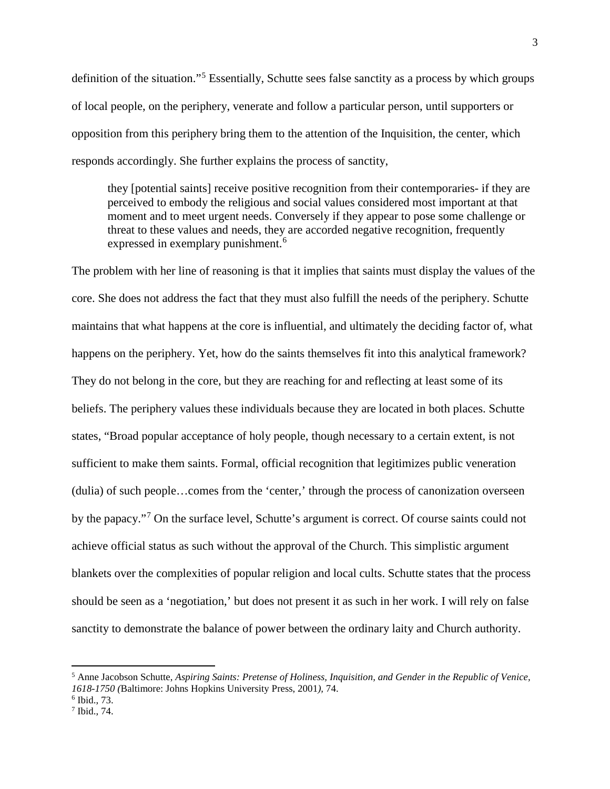definition of the situation."[5](#page-4-0) Essentially, Schutte sees false sanctity as a process by which groups of local people, on the periphery, venerate and follow a particular person, until supporters or opposition from this periphery bring them to the attention of the Inquisition, the center, which responds accordingly. She further explains the process of sanctity,

they [potential saints] receive positive recognition from their contemporaries- if they are perceived to embody the religious and social values considered most important at that moment and to meet urgent needs. Conversely if they appear to pose some challenge or threat to these values and needs, they are accorded negative recognition, frequently expressed in exemplary punishment.<sup>[6](#page-4-1)</sup>

The problem with her line of reasoning is that it implies that saints must display the values of the core. She does not address the fact that they must also fulfill the needs of the periphery. Schutte maintains that what happens at the core is influential, and ultimately the deciding factor of, what happens on the periphery. Yet, how do the saints themselves fit into this analytical framework? They do not belong in the core, but they are reaching for and reflecting at least some of its beliefs. The periphery values these individuals because they are located in both places. Schutte states, "Broad popular acceptance of holy people, though necessary to a certain extent, is not sufficient to make them saints. Formal, official recognition that legitimizes public veneration (dulia) of such people…comes from the 'center,' through the process of canonization overseen by the papacy."[7](#page-4-2) On the surface level, Schutte's argument is correct. Of course saints could not achieve official status as such without the approval of the Church. This simplistic argument blankets over the complexities of popular religion and local cults. Schutte states that the process should be seen as a 'negotiation,' but does not present it as such in her work. I will rely on false sanctity to demonstrate the balance of power between the ordinary laity and Church authority.

<span id="page-4-0"></span><sup>5</sup> Anne Jacobson Schutte, *Aspiring Saints: Pretense of Holiness, Inquisition, and Gender in the Republic of Venice, 1618-1750 (*Baltimore: Johns Hopkins University Press, 2001*),* 74. 6 Ibid., 73.

<span id="page-4-2"></span><span id="page-4-1"></span><sup>7</sup> Ibid., 74.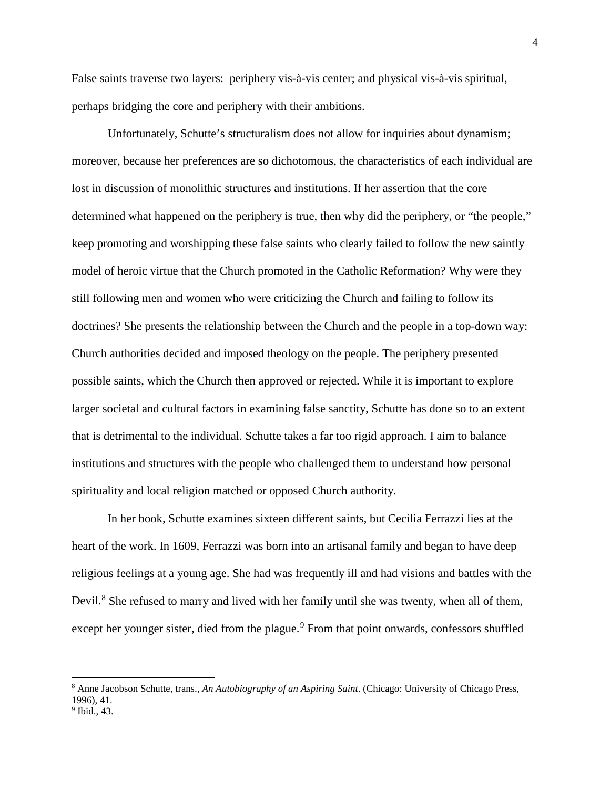False saints traverse two layers: periphery vis-à-vis center; and physical vis-à-vis spiritual, perhaps bridging the core and periphery with their ambitions.

Unfortunately, Schutte's structuralism does not allow for inquiries about dynamism; moreover, because her preferences are so dichotomous, the characteristics of each individual are lost in discussion of monolithic structures and institutions. If her assertion that the core determined what happened on the periphery is true, then why did the periphery, or "the people," keep promoting and worshipping these false saints who clearly failed to follow the new saintly model of heroic virtue that the Church promoted in the Catholic Reformation? Why were they still following men and women who were criticizing the Church and failing to follow its doctrines? She presents the relationship between the Church and the people in a top-down way: Church authorities decided and imposed theology on the people. The periphery presented possible saints, which the Church then approved or rejected. While it is important to explore larger societal and cultural factors in examining false sanctity, Schutte has done so to an extent that is detrimental to the individual. Schutte takes a far too rigid approach. I aim to balance institutions and structures with the people who challenged them to understand how personal spirituality and local religion matched or opposed Church authority.

In her book, Schutte examines sixteen different saints, but Cecilia Ferrazzi lies at the heart of the work. In 1609, Ferrazzi was born into an artisanal family and began to have deep religious feelings at a young age. She had was frequently ill and had visions and battles with the Devil.<sup>[8](#page-5-0)</sup> She refused to marry and lived with her family until she was twenty, when all of them, except her younger sister, died from the plague.<sup>[9](#page-5-1)</sup> From that point onwards, confessors shuffled

<span id="page-5-0"></span><sup>8</sup> Anne Jacobson Schutte, trans., *An Autobiography of an Aspiring Saint*. (Chicago: University of Chicago Press, 1996), 41.

<span id="page-5-1"></span><sup>&</sup>lt;sup>9</sup> Ibid., 43.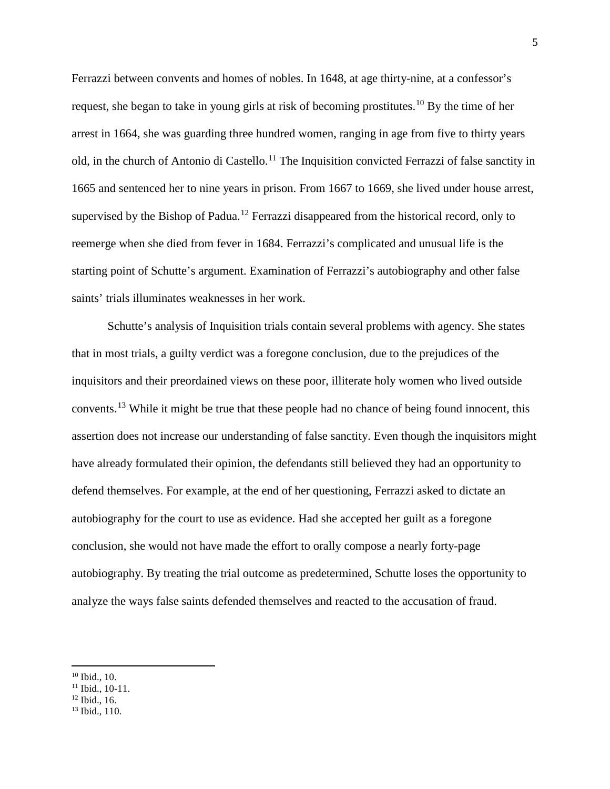Ferrazzi between convents and homes of nobles. In 1648, at age thirty-nine, at a confessor's request, she began to take in young girls at risk of becoming prostitutes.<sup>[10](#page-6-0)</sup> By the time of her arrest in 1664, she was guarding three hundred women, ranging in age from five to thirty years old, in the church of Antonio di Castello.<sup>[11](#page-6-1)</sup> The Inquisition convicted Ferrazzi of false sanctity in 1665 and sentenced her to nine years in prison. From 1667 to 1669, she lived under house arrest, supervised by the Bishop of Padua.<sup>[12](#page-6-2)</sup> Ferrazzi disappeared from the historical record, only to reemerge when she died from fever in 1684. Ferrazzi's complicated and unusual life is the starting point of Schutte's argument. Examination of Ferrazzi's autobiography and other false saints' trials illuminates weaknesses in her work.

Schutte's analysis of Inquisition trials contain several problems with agency. She states that in most trials, a guilty verdict was a foregone conclusion, due to the prejudices of the inquisitors and their preordained views on these poor, illiterate holy women who lived outside convents.[13](#page-6-3) While it might be true that these people had no chance of being found innocent, this assertion does not increase our understanding of false sanctity. Even though the inquisitors might have already formulated their opinion, the defendants still believed they had an opportunity to defend themselves. For example, at the end of her questioning, Ferrazzi asked to dictate an autobiography for the court to use as evidence. Had she accepted her guilt as a foregone conclusion, she would not have made the effort to orally compose a nearly forty-page autobiography. By treating the trial outcome as predetermined, Schutte loses the opportunity to analyze the ways false saints defended themselves and reacted to the accusation of fraud.

<span id="page-6-2"></span>

<span id="page-6-0"></span><sup>10</sup> Ibid., 10.

<span id="page-6-1"></span> $\frac{11}{12}$  Ibid., 10-11.<br> $\frac{12}{12}$  Ibid., 16.

<span id="page-6-3"></span> $13$  Ibid., 110.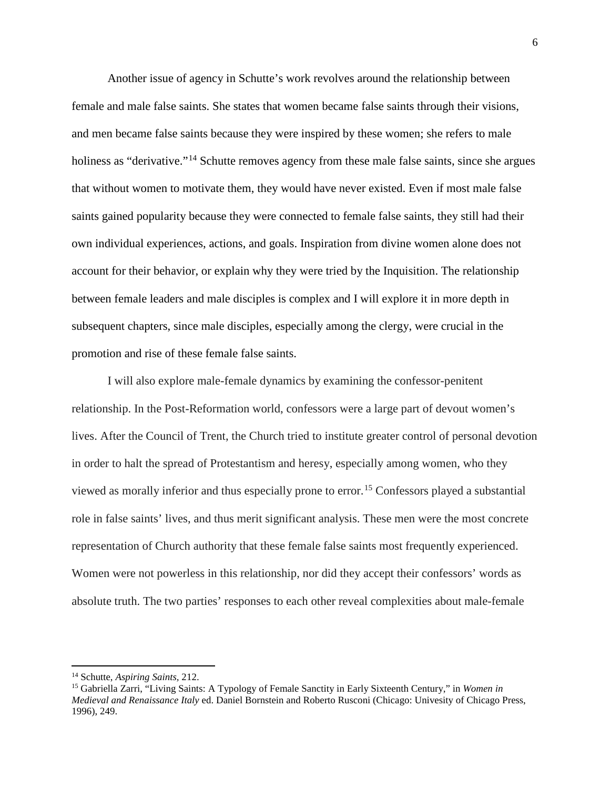Another issue of agency in Schutte's work revolves around the relationship between female and male false saints. She states that women became false saints through their visions, and men became false saints because they were inspired by these women; she refers to male holiness as "derivative."<sup>[14](#page-7-0)</sup> Schutte removes agency from these male false saints, since she argues that without women to motivate them, they would have never existed. Even if most male false saints gained popularity because they were connected to female false saints, they still had their own individual experiences, actions, and goals. Inspiration from divine women alone does not account for their behavior, or explain why they were tried by the Inquisition. The relationship between female leaders and male disciples is complex and I will explore it in more depth in subsequent chapters, since male disciples, especially among the clergy, were crucial in the promotion and rise of these female false saints.

I will also explore male-female dynamics by examining the confessor-penitent relationship. In the Post-Reformation world, confessors were a large part of devout women's lives. After the Council of Trent, the Church tried to institute greater control of personal devotion in order to halt the spread of Protestantism and heresy, especially among women, who they viewed as morally inferior and thus especially prone to error. [15](#page-7-1) Confessors played a substantial role in false saints' lives, and thus merit significant analysis. These men were the most concrete representation of Church authority that these female false saints most frequently experienced. Women were not powerless in this relationship, nor did they accept their confessors' words as absolute truth. The two parties' responses to each other reveal complexities about male-female

<span id="page-7-0"></span><sup>14</sup> Schutte, *Aspiring Saints,* 212.

<span id="page-7-1"></span><sup>15</sup> Gabriella Zarri, "Living Saints: A Typology of Female Sanctity in Early Sixteenth Century," in *Women in Medieval and Renaissance Italy* ed. Daniel Bornstein and Roberto Rusconi (Chicago: Univesity of Chicago Press, 1996), 249.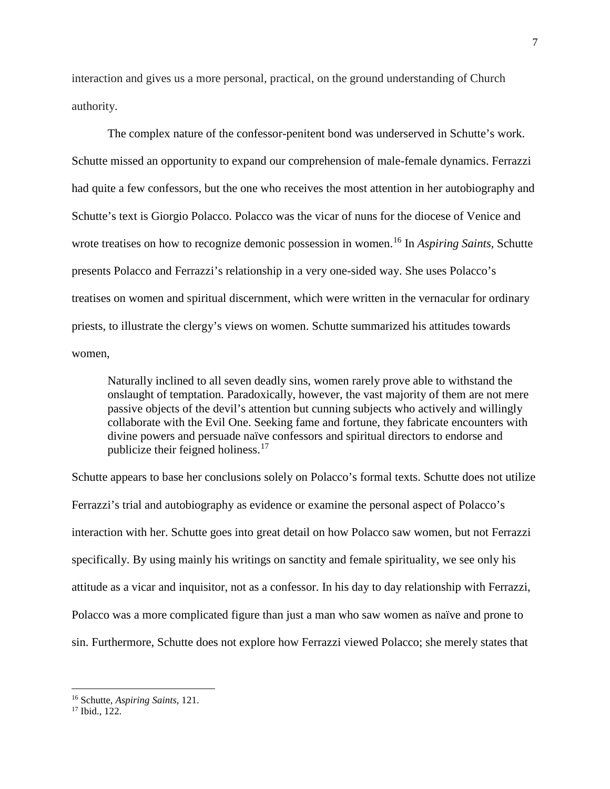interaction and gives us a more personal, practical, on the ground understanding of Church authority.

The complex nature of the confessor-penitent bond was underserved in Schutte's work. Schutte missed an opportunity to expand our comprehension of male-female dynamics. Ferrazzi had quite a few confessors, but the one who receives the most attention in her autobiography and Schutte's text is Giorgio Polacco. Polacco was the vicar of nuns for the diocese of Venice and wrote treatises on how to recognize demonic possession in women.[16](#page-8-0) In *Aspiring Saints,* Schutte presents Polacco and Ferrazzi's relationship in a very one-sided way. She uses Polacco's treatises on women and spiritual discernment, which were written in the vernacular for ordinary priests, to illustrate the clergy's views on women. Schutte summarized his attitudes towards women,

Naturally inclined to all seven deadly sins, women rarely prove able to withstand the onslaught of temptation. Paradoxically, however, the vast majority of them are not mere passive objects of the devil's attention but cunning subjects who actively and willingly collaborate with the Evil One. Seeking fame and fortune, they fabricate encounters with divine powers and persuade naïve confessors and spiritual directors to endorse and publicize their feigned holiness. $17$ 

Schutte appears to base her conclusions solely on Polacco's formal texts. Schutte does not utilize Ferrazzi's trial and autobiography as evidence or examine the personal aspect of Polacco's interaction with her. Schutte goes into great detail on how Polacco saw women, but not Ferrazzi specifically. By using mainly his writings on sanctity and female spirituality, we see only his attitude as a vicar and inquisitor, not as a confessor. In his day to day relationship with Ferrazzi, Polacco was a more complicated figure than just a man who saw women as naïve and prone to sin. Furthermore, Schutte does not explore how Ferrazzi viewed Polacco; she merely states that

<span id="page-8-0"></span><sup>16</sup> Schutte, *Aspiring Saints*, 121.

<span id="page-8-1"></span><sup>17</sup> Ibid., 122.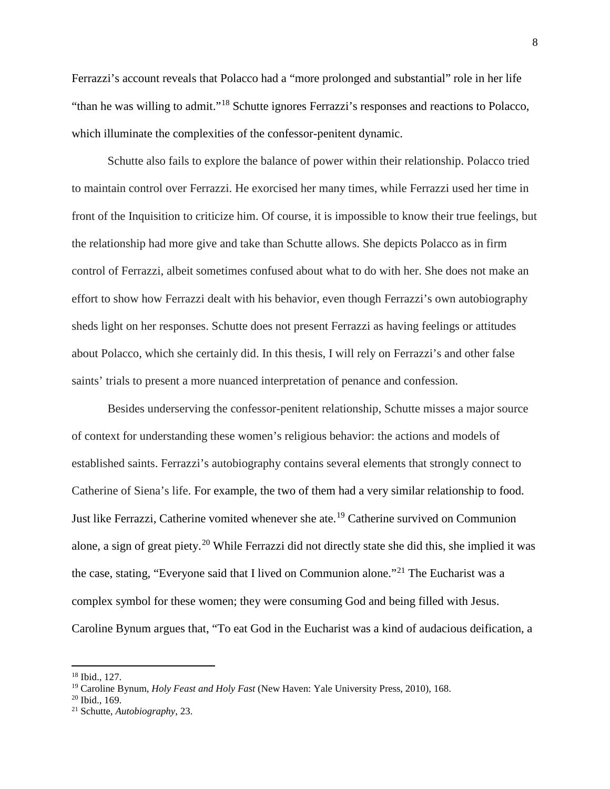Ferrazzi's account reveals that Polacco had a "more prolonged and substantial" role in her life "than he was willing to admit."[18](#page-9-0) Schutte ignores Ferrazzi's responses and reactions to Polacco, which illuminate the complexities of the confessor-penitent dynamic.

Schutte also fails to explore the balance of power within their relationship. Polacco tried to maintain control over Ferrazzi. He exorcised her many times, while Ferrazzi used her time in front of the Inquisition to criticize him. Of course, it is impossible to know their true feelings, but the relationship had more give and take than Schutte allows. She depicts Polacco as in firm control of Ferrazzi, albeit sometimes confused about what to do with her. She does not make an effort to show how Ferrazzi dealt with his behavior, even though Ferrazzi's own autobiography sheds light on her responses. Schutte does not present Ferrazzi as having feelings or attitudes about Polacco, which she certainly did. In this thesis, I will rely on Ferrazzi's and other false saints' trials to present a more nuanced interpretation of penance and confession.

Besides underserving the confessor-penitent relationship, Schutte misses a major source of context for understanding these women's religious behavior: the actions and models of established saints. Ferrazzi's autobiography contains several elements that strongly connect to Catherine of Siena's life. For example, the two of them had a very similar relationship to food. Just like Ferrazzi, Catherine vomited whenever she ate.<sup>[19](#page-9-1)</sup> Catherine survived on Communion alone, a sign of great piety.<sup>[20](#page-9-2)</sup> While Ferrazzi did not directly state she did this, she implied it was the case, stating, "Everyone said that I lived on Communion alone."[21](#page-9-3) The Eucharist was a complex symbol for these women; they were consuming God and being filled with Jesus. Caroline Bynum argues that, "To eat God in the Eucharist was a kind of audacious deification, a

<span id="page-9-0"></span><sup>18</sup> Ibid., 127.

<span id="page-9-2"></span><span id="page-9-1"></span><sup>&</sup>lt;sup>19</sup> Caroline Bynum, *Holy Feast and Holy Fast* (New Haven: Yale University Press, 2010), 168.<br><sup>20</sup> Ibid., 169.<br><sup>21</sup> Schutte, *Autobiography*, 23.

<span id="page-9-3"></span>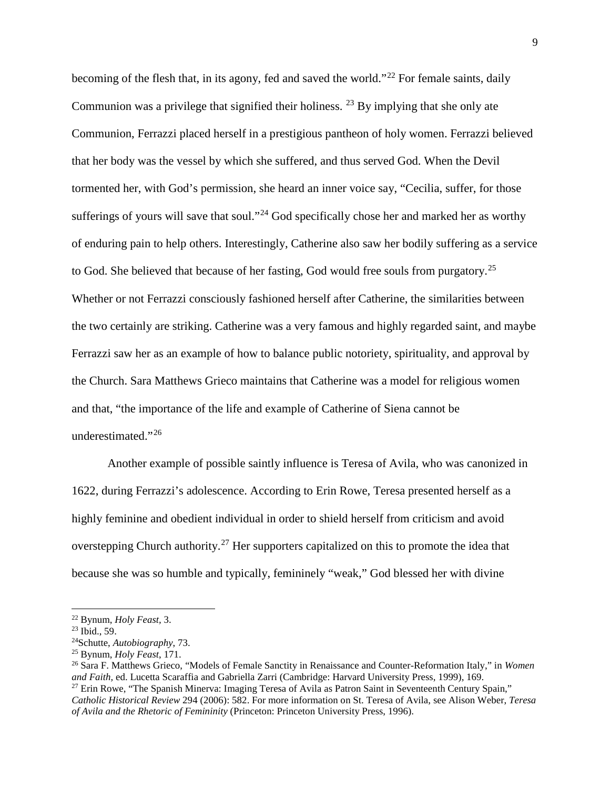becoming of the flesh that, in its agony, fed and saved the world."<sup>[22](#page-10-0)</sup> For female saints, daily Communion was a privilege that signified their holiness.  $^{23}$  $^{23}$  $^{23}$  By implying that she only ate Communion, Ferrazzi placed herself in a prestigious pantheon of holy women. Ferrazzi believed that her body was the vessel by which she suffered, and thus served God. When the Devil tormented her, with God's permission, she heard an inner voice say, "Cecilia, suffer, for those sufferings of yours will save that soul."<sup>[24](#page-10-2)</sup> God specifically chose her and marked her as worthy of enduring pain to help others. Interestingly, Catherine also saw her bodily suffering as a service to God. She believed that because of her fasting, God would free souls from purgatory.<sup>[25](#page-10-3)</sup> Whether or not Ferrazzi consciously fashioned herself after Catherine, the similarities between the two certainly are striking. Catherine was a very famous and highly regarded saint, and maybe Ferrazzi saw her as an example of how to balance public notoriety, spirituality, and approval by the Church. Sara Matthews Grieco maintains that Catherine was a model for religious women and that, "the importance of the life and example of Catherine of Siena cannot be underestimated."[26](#page-10-4)

Another example of possible saintly influence is Teresa of Avila, who was canonized in 1622, during Ferrazzi's adolescence. According to Erin Rowe, Teresa presented herself as a highly feminine and obedient individual in order to shield herself from criticism and avoid overstepping Church authority.<sup>[27](#page-10-5)</sup> Her supporters capitalized on this to promote the idea that because she was so humble and typically, femininely "weak," God blessed her with divine

<span id="page-10-2"></span>

<span id="page-10-4"></span><span id="page-10-3"></span>

<span id="page-10-1"></span><span id="page-10-0"></span><sup>&</sup>lt;sup>22</sup> Bynum, *Holy Feast*, 3.<br><sup>23</sup> Ibid., 59.<br><sup>24</sup>Schutte, *Autobiography*, 73.<br><sup>25</sup> Bynum, *Holy Feast*, 171.<br><sup>26</sup> Sara F. Matthews Grieco, "Models of Female Sanctity in Renaissance and Counter-Reformation Italy," in *Wome and Faith,* ed. Lucetta Scaraffia and Gabriella Zarri (Cambridge: Harvard University Press, 1999), 169. <sup>27</sup> Erin Rowe, "The Spanish Minerva: Imaging Teresa of Avila as Patron Saint in Seventeenth Century Spain,"

<span id="page-10-5"></span>*Catholic Historical Review* 294 (2006): 582. For more information on St. Teresa of Avila, see Alison Weber, *Teresa of Avila and the Rhetoric of Femininity* (Princeton: Princeton University Press, 1996).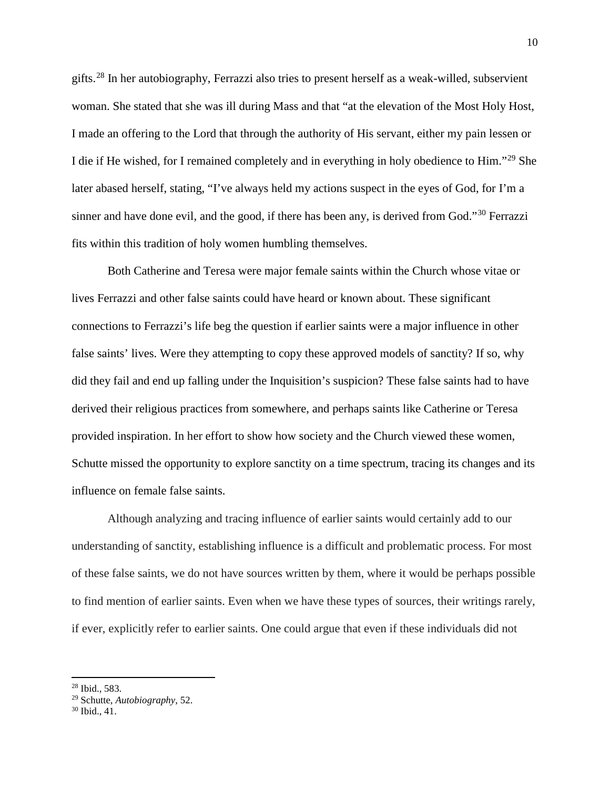gifts.[28](#page-11-0) In her autobiography, Ferrazzi also tries to present herself as a weak-willed, subservient woman. She stated that she was ill during Mass and that "at the elevation of the Most Holy Host, I made an offering to the Lord that through the authority of His servant, either my pain lessen or I die if He wished, for I remained completely and in everything in holy obedience to Him."[29](#page-11-1) She later abased herself, stating, "I've always held my actions suspect in the eyes of God, for I'm a sinner and have done evil, and the good, if there has been any, is derived from God."<sup>[30](#page-11-2)</sup> Ferrazzi fits within this tradition of holy women humbling themselves.

Both Catherine and Teresa were major female saints within the Church whose vitae or lives Ferrazzi and other false saints could have heard or known about. These significant connections to Ferrazzi's life beg the question if earlier saints were a major influence in other false saints' lives. Were they attempting to copy these approved models of sanctity? If so, why did they fail and end up falling under the Inquisition's suspicion? These false saints had to have derived their religious practices from somewhere, and perhaps saints like Catherine or Teresa provided inspiration. In her effort to show how society and the Church viewed these women, Schutte missed the opportunity to explore sanctity on a time spectrum, tracing its changes and its influence on female false saints.

Although analyzing and tracing influence of earlier saints would certainly add to our understanding of sanctity, establishing influence is a difficult and problematic process. For most of these false saints, we do not have sources written by them, where it would be perhaps possible to find mention of earlier saints. Even when we have these types of sources, their writings rarely, if ever, explicitly refer to earlier saints. One could argue that even if these individuals did not

<span id="page-11-0"></span><sup>28</sup> Ibid., 583.

<span id="page-11-1"></span><sup>29</sup> Schutte, *Autobiography*, 52.

<span id="page-11-2"></span><sup>30</sup> Ibid., 41.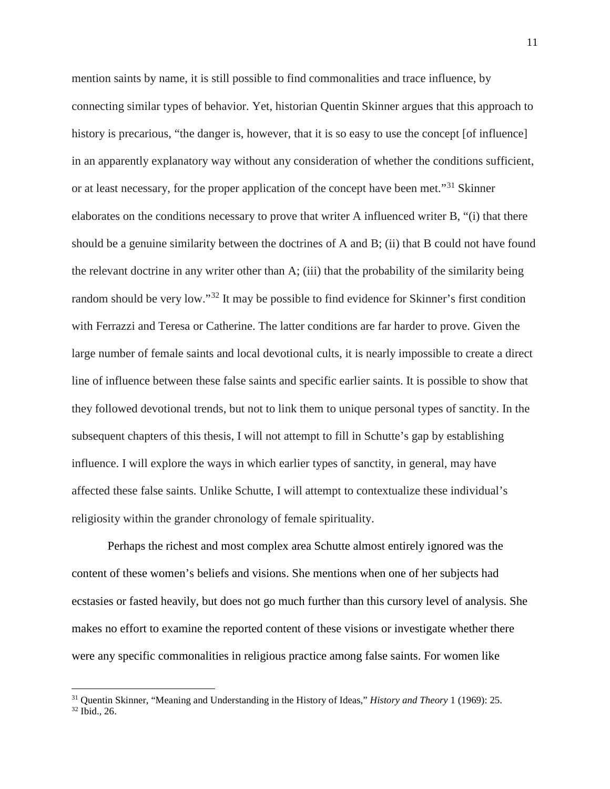mention saints by name, it is still possible to find commonalities and trace influence, by connecting similar types of behavior. Yet, historian Quentin Skinner argues that this approach to history is precarious, "the danger is, however, that it is so easy to use the concept [of influence] in an apparently explanatory way without any consideration of whether the conditions sufficient, or at least necessary, for the proper application of the concept have been met."<sup>[31](#page-12-0)</sup> Skinner elaborates on the conditions necessary to prove that writer A influenced writer B, "(i) that there should be a genuine similarity between the doctrines of A and B; (ii) that B could not have found the relevant doctrine in any writer other than A; (iii) that the probability of the similarity being random should be very low."[32](#page-12-1) It may be possible to find evidence for Skinner's first condition with Ferrazzi and Teresa or Catherine. The latter conditions are far harder to prove. Given the large number of female saints and local devotional cults, it is nearly impossible to create a direct line of influence between these false saints and specific earlier saints. It is possible to show that they followed devotional trends, but not to link them to unique personal types of sanctity. In the subsequent chapters of this thesis, I will not attempt to fill in Schutte's gap by establishing influence. I will explore the ways in which earlier types of sanctity, in general, may have affected these false saints. Unlike Schutte, I will attempt to contextualize these individual's religiosity within the grander chronology of female spirituality.

Perhaps the richest and most complex area Schutte almost entirely ignored was the content of these women's beliefs and visions. She mentions when one of her subjects had ecstasies or fasted heavily, but does not go much further than this cursory level of analysis. She makes no effort to examine the reported content of these visions or investigate whether there were any specific commonalities in religious practice among false saints. For women like

<span id="page-12-1"></span><span id="page-12-0"></span><sup>&</sup>lt;sup>31</sup> Quentin Skinner, "Meaning and Understanding in the History of Ideas," *History and Theory* 1 (1969): 25. <sup>32</sup> Ibid., 26.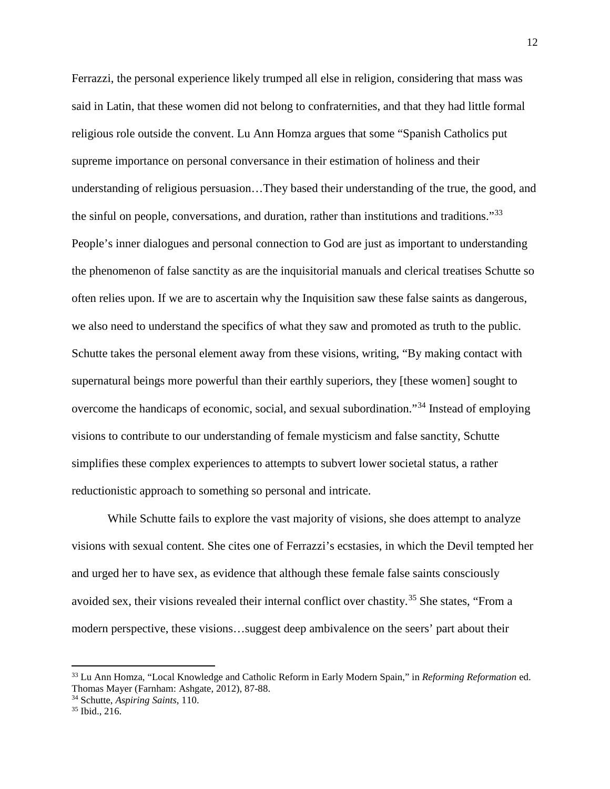Ferrazzi, the personal experience likely trumped all else in religion, considering that mass was said in Latin, that these women did not belong to confraternities, and that they had little formal religious role outside the convent. Lu Ann Homza argues that some "Spanish Catholics put supreme importance on personal conversance in their estimation of holiness and their understanding of religious persuasion…They based their understanding of the true, the good, and the sinful on people, conversations, and duration, rather than institutions and traditions."<sup>[33](#page-13-0)</sup> People's inner dialogues and personal connection to God are just as important to understanding the phenomenon of false sanctity as are the inquisitorial manuals and clerical treatises Schutte so often relies upon. If we are to ascertain why the Inquisition saw these false saints as dangerous, we also need to understand the specifics of what they saw and promoted as truth to the public. Schutte takes the personal element away from these visions, writing, "By making contact with supernatural beings more powerful than their earthly superiors, they [these women] sought to overcome the handicaps of economic, social, and sexual subordination."[34](#page-13-1) Instead of employing visions to contribute to our understanding of female mysticism and false sanctity, Schutte simplifies these complex experiences to attempts to subvert lower societal status, a rather reductionistic approach to something so personal and intricate.

While Schutte fails to explore the vast majority of visions, she does attempt to analyze visions with sexual content. She cites one of Ferrazzi's ecstasies, in which the Devil tempted her and urged her to have sex, as evidence that although these female false saints consciously avoided sex, their visions revealed their internal conflict over chastity.<sup>[35](#page-13-2)</sup> She states, "From a modern perspective, these visions…suggest deep ambivalence on the seers' part about their

<span id="page-13-0"></span><sup>33</sup> Lu Ann Homza, "Local Knowledge and Catholic Reform in Early Modern Spain," in *Reforming Reformation* ed. Thomas Mayer (Farnham: Ashgate, 2012), 87-88.

<span id="page-13-2"></span><span id="page-13-1"></span><sup>34</sup> Schutte, *Aspiring Saints*, 110. 35 Ibid., 216.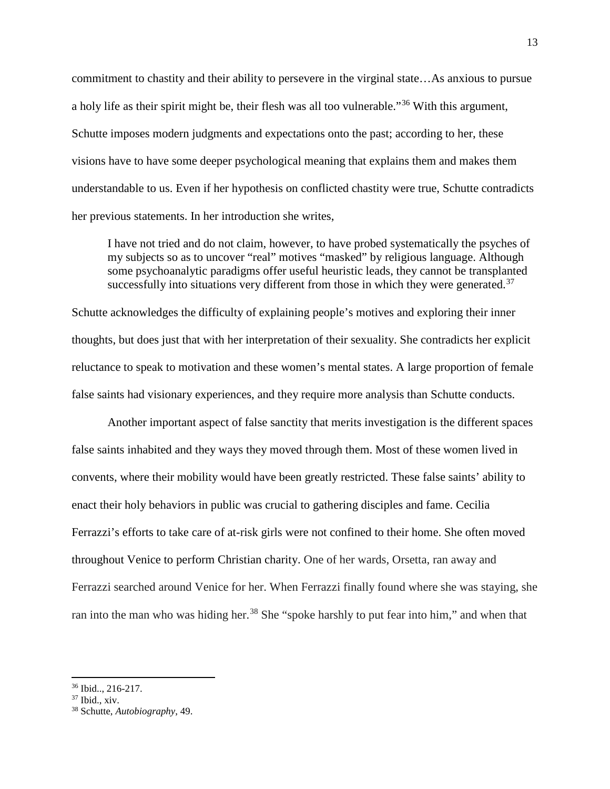commitment to chastity and their ability to persevere in the virginal state…As anxious to pursue a holy life as their spirit might be, their flesh was all too vulnerable."[36](#page-14-0) With this argument, Schutte imposes modern judgments and expectations onto the past; according to her, these visions have to have some deeper psychological meaning that explains them and makes them understandable to us. Even if her hypothesis on conflicted chastity were true, Schutte contradicts her previous statements. In her introduction she writes,

I have not tried and do not claim, however, to have probed systematically the psyches of my subjects so as to uncover "real" motives "masked" by religious language. Although some psychoanalytic paradigms offer useful heuristic leads, they cannot be transplanted successfully into situations very different from those in which they were generated. $37$ 

Schutte acknowledges the difficulty of explaining people's motives and exploring their inner thoughts, but does just that with her interpretation of their sexuality. She contradicts her explicit reluctance to speak to motivation and these women's mental states. A large proportion of female false saints had visionary experiences, and they require more analysis than Schutte conducts.

Another important aspect of false sanctity that merits investigation is the different spaces false saints inhabited and they ways they moved through them. Most of these women lived in convents, where their mobility would have been greatly restricted. These false saints' ability to enact their holy behaviors in public was crucial to gathering disciples and fame. Cecilia Ferrazzi's efforts to take care of at-risk girls were not confined to their home. She often moved throughout Venice to perform Christian charity. One of her wards, Orsetta, ran away and Ferrazzi searched around Venice for her. When Ferrazzi finally found where she was staying, she ran into the man who was hiding her.<sup>[38](#page-14-2)</sup> She "spoke harshly to put fear into him," and when that

<span id="page-14-0"></span> $\frac{36 \text{ Ibid., } 216-217.}{37 \text{ Ibid., } xiv.}$ 

<span id="page-14-2"></span><span id="page-14-1"></span><sup>38</sup> Schutte, *Autobiography*, 49.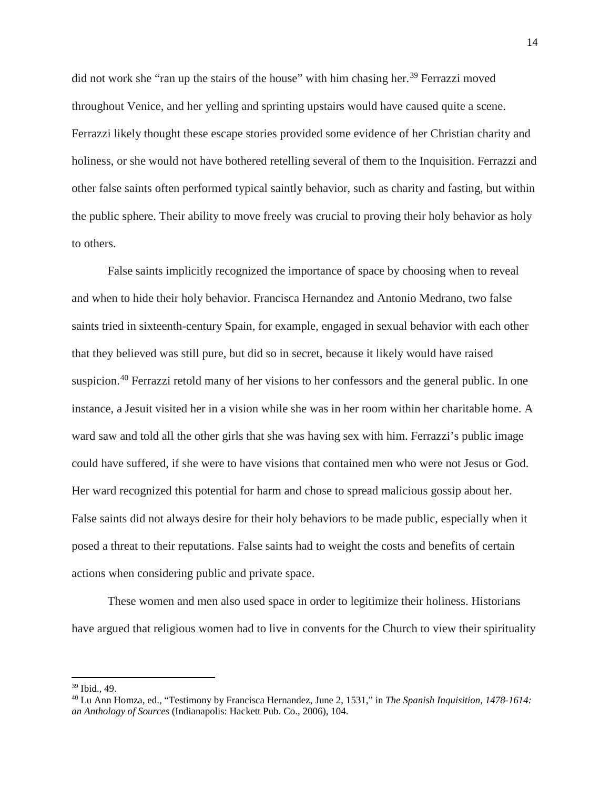did not work she "ran up the stairs of the house" with him chasing her.<sup>[39](#page-15-0)</sup> Ferrazzi moved throughout Venice, and her yelling and sprinting upstairs would have caused quite a scene. Ferrazzi likely thought these escape stories provided some evidence of her Christian charity and holiness, or she would not have bothered retelling several of them to the Inquisition. Ferrazzi and other false saints often performed typical saintly behavior, such as charity and fasting, but within the public sphere. Their ability to move freely was crucial to proving their holy behavior as holy to others.

False saints implicitly recognized the importance of space by choosing when to reveal and when to hide their holy behavior. Francisca Hernandez and Antonio Medrano, two false saints tried in sixteenth-century Spain, for example, engaged in sexual behavior with each other that they believed was still pure, but did so in secret, because it likely would have raised suspicion.<sup>[40](#page-15-1)</sup> Ferrazzi retold many of her visions to her confessors and the general public. In one instance, a Jesuit visited her in a vision while she was in her room within her charitable home. A ward saw and told all the other girls that she was having sex with him. Ferrazzi's public image could have suffered, if she were to have visions that contained men who were not Jesus or God. Her ward recognized this potential for harm and chose to spread malicious gossip about her. False saints did not always desire for their holy behaviors to be made public, especially when it posed a threat to their reputations. False saints had to weight the costs and benefits of certain actions when considering public and private space.

These women and men also used space in order to legitimize their holiness. Historians have argued that religious women had to live in convents for the Church to view their spirituality

<span id="page-15-1"></span><span id="page-15-0"></span><sup>&</sup>lt;sup>39</sup> Ibid., 49.<br><sup>40</sup> Lu Ann Homza, ed., "Testimony by Francisca Hernandez, June 2, 1531," in *The Spanish Inquisition, 1478-1614: an Anthology of Sources* (Indianapolis: Hackett Pub. Co., 2006), 104.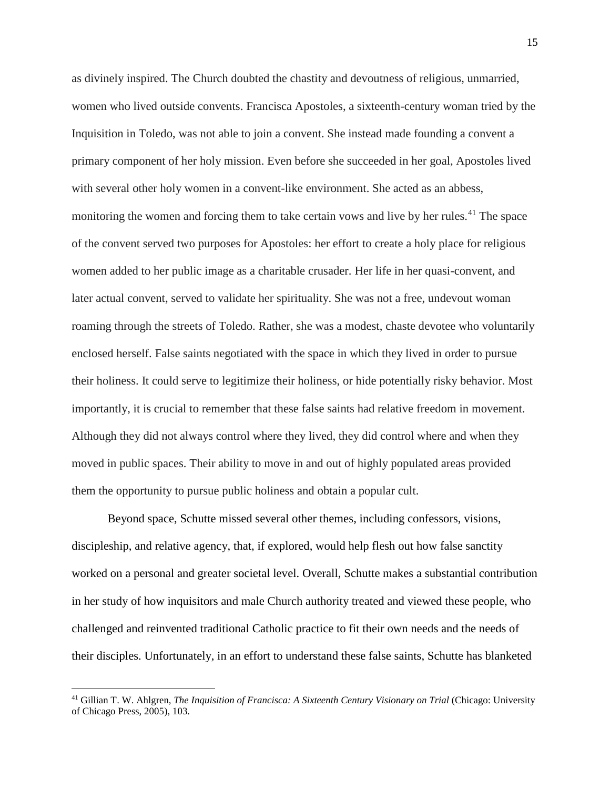as divinely inspired. The Church doubted the chastity and devoutness of religious, unmarried, women who lived outside convents. Francisca Apostoles, a sixteenth-century woman tried by the Inquisition in Toledo, was not able to join a convent. She instead made founding a convent a primary component of her holy mission. Even before she succeeded in her goal, Apostoles lived with several other holy women in a convent-like environment. She acted as an abbess, monitoring the women and forcing them to take certain vows and live by her rules.<sup>[41](#page-16-0)</sup> The space of the convent served two purposes for Apostoles: her effort to create a holy place for religious women added to her public image as a charitable crusader. Her life in her quasi-convent, and later actual convent, served to validate her spirituality. She was not a free, undevout woman roaming through the streets of Toledo. Rather, she was a modest, chaste devotee who voluntarily enclosed herself. False saints negotiated with the space in which they lived in order to pursue their holiness. It could serve to legitimize their holiness, or hide potentially risky behavior. Most importantly, it is crucial to remember that these false saints had relative freedom in movement. Although they did not always control where they lived, they did control where and when they moved in public spaces. Their ability to move in and out of highly populated areas provided them the opportunity to pursue public holiness and obtain a popular cult.

Beyond space, Schutte missed several other themes, including confessors, visions, discipleship, and relative agency, that, if explored, would help flesh out how false sanctity worked on a personal and greater societal level. Overall, Schutte makes a substantial contribution in her study of how inquisitors and male Church authority treated and viewed these people, who challenged and reinvented traditional Catholic practice to fit their own needs and the needs of their disciples. Unfortunately, in an effort to understand these false saints, Schutte has blanketed

<span id="page-16-0"></span><sup>41</sup> Gillian T. W. Ahlgren*, The Inquisition of Francisca: A Sixteenth Century Visionary on Trial* (Chicago: University of Chicago Press, 2005), 103.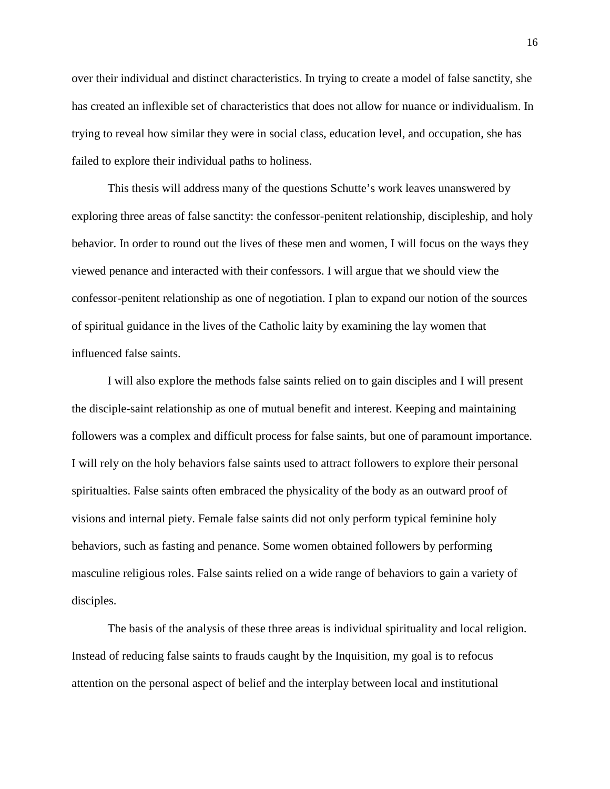over their individual and distinct characteristics. In trying to create a model of false sanctity, she has created an inflexible set of characteristics that does not allow for nuance or individualism. In trying to reveal how similar they were in social class, education level, and occupation, she has failed to explore their individual paths to holiness.

This thesis will address many of the questions Schutte's work leaves unanswered by exploring three areas of false sanctity: the confessor-penitent relationship, discipleship, and holy behavior. In order to round out the lives of these men and women, I will focus on the ways they viewed penance and interacted with their confessors. I will argue that we should view the confessor-penitent relationship as one of negotiation. I plan to expand our notion of the sources of spiritual guidance in the lives of the Catholic laity by examining the lay women that influenced false saints.

I will also explore the methods false saints relied on to gain disciples and I will present the disciple-saint relationship as one of mutual benefit and interest. Keeping and maintaining followers was a complex and difficult process for false saints, but one of paramount importance. I will rely on the holy behaviors false saints used to attract followers to explore their personal spiritualties. False saints often embraced the physicality of the body as an outward proof of visions and internal piety. Female false saints did not only perform typical feminine holy behaviors, such as fasting and penance. Some women obtained followers by performing masculine religious roles. False saints relied on a wide range of behaviors to gain a variety of disciples.

The basis of the analysis of these three areas is individual spirituality and local religion. Instead of reducing false saints to frauds caught by the Inquisition, my goal is to refocus attention on the personal aspect of belief and the interplay between local and institutional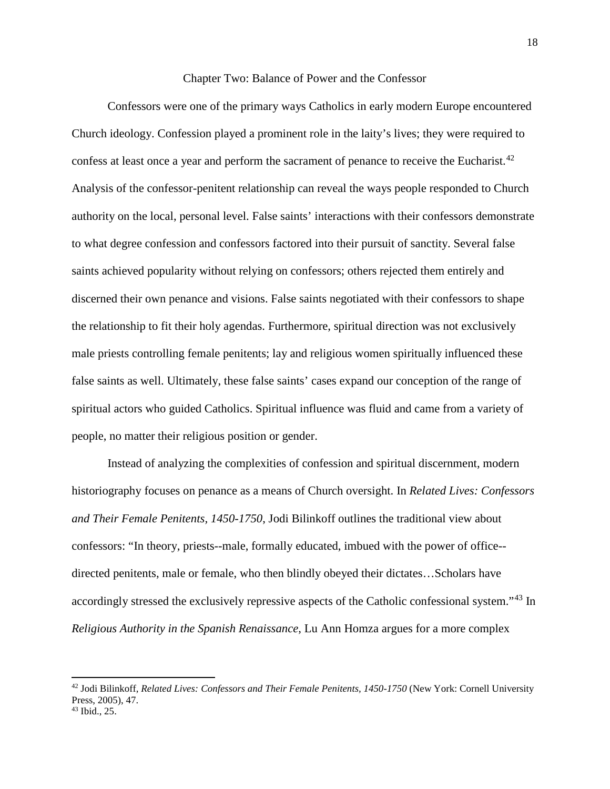#### Chapter Two: Balance of Power and the Confessor

Confessors were one of the primary ways Catholics in early modern Europe encountered Church ideology. Confession played a prominent role in the laity's lives; they were required to confess at least once a year and perform the sacrament of penance to receive the Eucharist.<sup>[42](#page-19-0)</sup> Analysis of the confessor-penitent relationship can reveal the ways people responded to Church authority on the local, personal level. False saints' interactions with their confessors demonstrate to what degree confession and confessors factored into their pursuit of sanctity. Several false saints achieved popularity without relying on confessors; others rejected them entirely and discerned their own penance and visions. False saints negotiated with their confessors to shape the relationship to fit their holy agendas. Furthermore, spiritual direction was not exclusively male priests controlling female penitents; lay and religious women spiritually influenced these false saints as well. Ultimately, these false saints' cases expand our conception of the range of spiritual actors who guided Catholics. Spiritual influence was fluid and came from a variety of people, no matter their religious position or gender.

Instead of analyzing the complexities of confession and spiritual discernment, modern historiography focuses on penance as a means of Church oversight. In *Related Lives: Confessors and Their Female Penitents, 1450-1750*, Jodi Bilinkoff outlines the traditional view about confessors: "In theory, priests--male, formally educated, imbued with the power of office- directed penitents, male or female, who then blindly obeyed their dictates…Scholars have accordingly stressed the exclusively repressive aspects of the Catholic confessional system."[43](#page-19-1) In *Religious Authority in the Spanish Renaissance*, Lu Ann Homza argues for a more complex

<span id="page-19-0"></span><sup>42</sup> Jodi Bilinkoff, *Related Lives: Confessors and Their Female Penitents, 1450-1750* (New York: Cornell University Press, 2005), 47.

<span id="page-19-1"></span><sup>43</sup> Ibid., 25.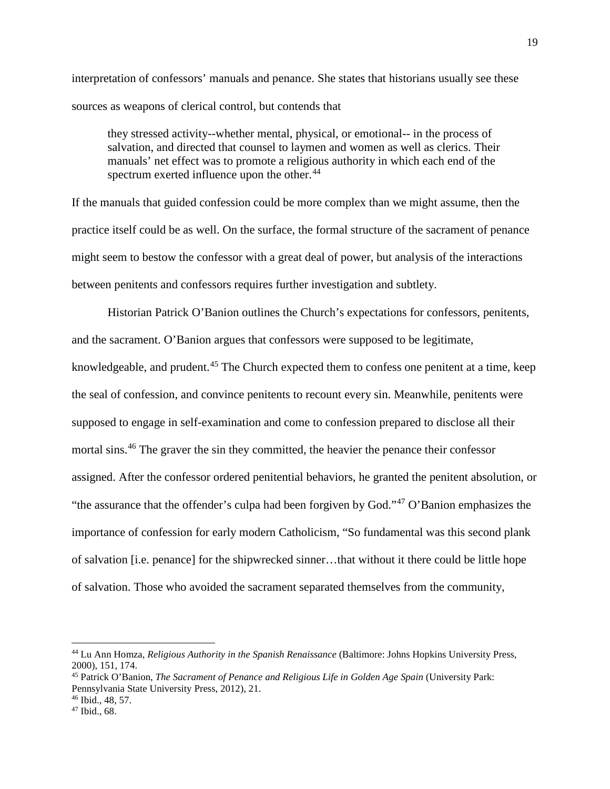interpretation of confessors' manuals and penance. She states that historians usually see these sources as weapons of clerical control, but contends that

they stressed activity--whether mental, physical, or emotional-- in the process of salvation, and directed that counsel to laymen and women as well as clerics. Their manuals' net effect was to promote a religious authority in which each end of the spectrum exerted influence upon the other.<sup>[44](#page-20-0)</sup>

If the manuals that guided confession could be more complex than we might assume, then the practice itself could be as well. On the surface, the formal structure of the sacrament of penance might seem to bestow the confessor with a great deal of power, but analysis of the interactions between penitents and confessors requires further investigation and subtlety.

Historian Patrick O'Banion outlines the Church's expectations for confessors, penitents, and the sacrament. O'Banion argues that confessors were supposed to be legitimate, knowledgeable, and prudent.<sup>[45](#page-20-1)</sup> The Church expected them to confess one penitent at a time, keep the seal of confession, and convince penitents to recount every sin. Meanwhile, penitents were supposed to engage in self-examination and come to confession prepared to disclose all their mortal sins.[46](#page-20-2) The graver the sin they committed, the heavier the penance their confessor assigned. After the confessor ordered penitential behaviors, he granted the penitent absolution, or "the assurance that the offender's culpa had been forgiven by God."<sup>[47](#page-20-3)</sup> O'Banion emphasizes the importance of confession for early modern Catholicism, "So fundamental was this second plank of salvation [i.e. penance] for the shipwrecked sinner…that without it there could be little hope of salvation. Those who avoided the sacrament separated themselves from the community,

<span id="page-20-0"></span><sup>44</sup> Lu Ann Homza, *Religious Authority in the Spanish Renaissance* (Baltimore: Johns Hopkins University Press, 2000), 151, 174.

<span id="page-20-1"></span><sup>45</sup> Patrick O'Banion, *The Sacrament of Penance and Religious Life in Golden Age Spain* (University Park: Pennsylvania State University Press, 2012), 21.

<span id="page-20-3"></span><span id="page-20-2"></span> $^{46}$  Ibid., 48, 57.<br> $^{47}$  Ibid., 68.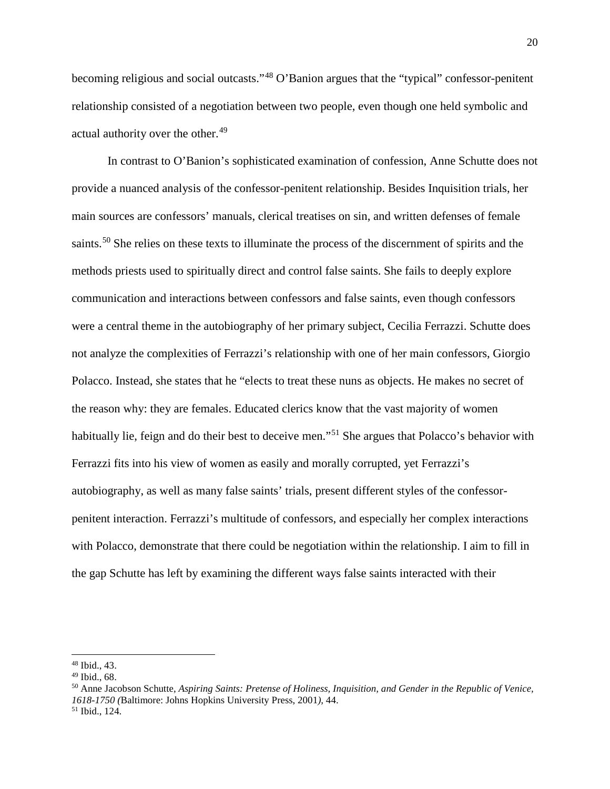becoming religious and social outcasts."[48](#page-21-0) O'Banion argues that the "typical" confessor-penitent relationship consisted of a negotiation between two people, even though one held symbolic and actual authority over the other.<sup>[49](#page-21-1)</sup>

In contrast to O'Banion's sophisticated examination of confession, Anne Schutte does not provide a nuanced analysis of the confessor-penitent relationship. Besides Inquisition trials, her main sources are confessors' manuals, clerical treatises on sin, and written defenses of female saints.<sup>[50](#page-21-2)</sup> She relies on these texts to illuminate the process of the discernment of spirits and the methods priests used to spiritually direct and control false saints. She fails to deeply explore communication and interactions between confessors and false saints, even though confessors were a central theme in the autobiography of her primary subject, Cecilia Ferrazzi. Schutte does not analyze the complexities of Ferrazzi's relationship with one of her main confessors, Giorgio Polacco. Instead, she states that he "elects to treat these nuns as objects. He makes no secret of the reason why: they are females. Educated clerics know that the vast majority of women habitually lie, feign and do their best to deceive men."<sup>[51](#page-21-3)</sup> She argues that Polacco's behavior with Ferrazzi fits into his view of women as easily and morally corrupted, yet Ferrazzi's autobiography, as well as many false saints' trials, present different styles of the confessorpenitent interaction. Ferrazzi's multitude of confessors, and especially her complex interactions with Polacco, demonstrate that there could be negotiation within the relationship. I aim to fill in the gap Schutte has left by examining the different ways false saints interacted with their

<span id="page-21-0"></span><sup>48</sup> Ibid., 43.

<span id="page-21-3"></span>

<span id="page-21-2"></span><span id="page-21-1"></span><sup>&</sup>lt;sup>49</sup> Ibid., 68.<br><sup>50</sup> Anne Jacobson Schutte, *Aspiring Saints: Pretense of Holiness, Inquisition, and Gender in the Republic of Venice, 1618-1750 (*Baltimore: Johns Hopkins University Press, 2001*),* 44. <sup>51</sup> Ibid., 124.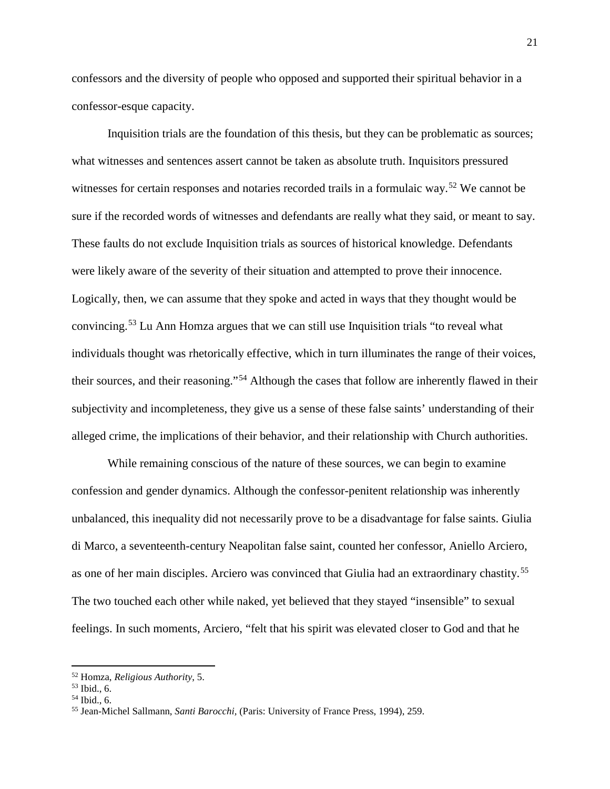confessors and the diversity of people who opposed and supported their spiritual behavior in a confessor-esque capacity.

Inquisition trials are the foundation of this thesis, but they can be problematic as sources; what witnesses and sentences assert cannot be taken as absolute truth. Inquisitors pressured witnesses for certain responses and notaries recorded trails in a formulaic way.<sup>[52](#page-22-0)</sup> We cannot be sure if the recorded words of witnesses and defendants are really what they said, or meant to say. These faults do not exclude Inquisition trials as sources of historical knowledge. Defendants were likely aware of the severity of their situation and attempted to prove their innocence. Logically, then, we can assume that they spoke and acted in ways that they thought would be convincing.[53](#page-22-1) Lu Ann Homza argues that we can still use Inquisition trials "to reveal what individuals thought was rhetorically effective, which in turn illuminates the range of their voices, their sources, and their reasoning."[54](#page-22-2) Although the cases that follow are inherently flawed in their subjectivity and incompleteness, they give us a sense of these false saints' understanding of their alleged crime, the implications of their behavior, and their relationship with Church authorities.

While remaining conscious of the nature of these sources, we can begin to examine confession and gender dynamics. Although the confessor-penitent relationship was inherently unbalanced, this inequality did not necessarily prove to be a disadvantage for false saints. Giulia di Marco, a seventeenth-century Neapolitan false saint, counted her confessor, Aniello Arciero, as one of her main disciples. Arciero was convinced that Giulia had an extraordinary chastity.<sup>[55](#page-22-3)</sup> The two touched each other while naked, yet believed that they stayed "insensible" to sexual feelings. In such moments, Arciero, "felt that his spirit was elevated closer to God and that he

<span id="page-22-1"></span>

<span id="page-22-3"></span><span id="page-22-2"></span>

<span id="page-22-0"></span><sup>52</sup> Homza, *Religious Authority*, 5. 53 Ibid., 6. 54 Ibid., 6. 55 Jean-Michel Sallmann, *Santi Barocchi,* (Paris: University of France Press, 1994), 259.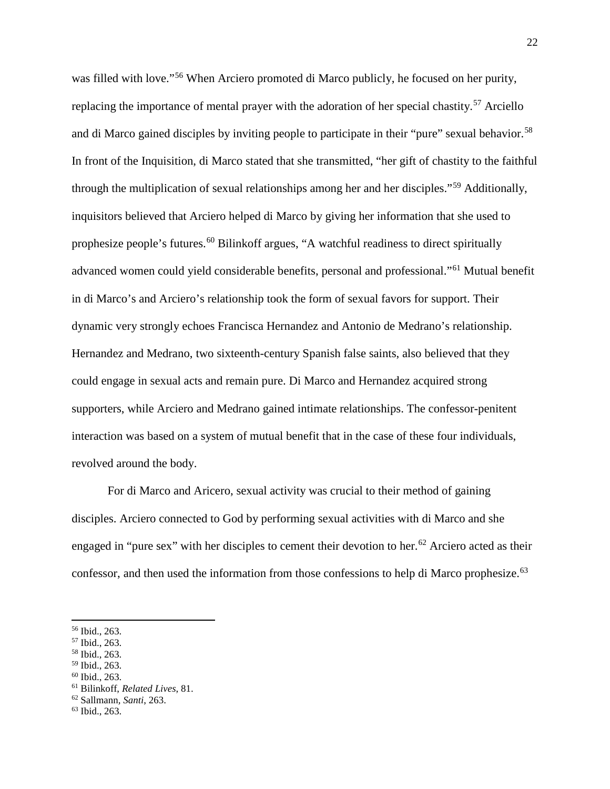was filled with love."[56](#page-23-0) When Arciero promoted di Marco publicly, he focused on her purity, replacing the importance of mental prayer with the adoration of her special chastity.<sup>[57](#page-23-1)</sup> Arciello and di Marco gained disciples by inviting people to participate in their "pure" sexual behavior.<sup>[58](#page-23-2)</sup> In front of the Inquisition, di Marco stated that she transmitted, "her gift of chastity to the faithful through the multiplication of sexual relationships among her and her disciples."[59](#page-23-3) Additionally, inquisitors believed that Arciero helped di Marco by giving her information that she used to prophesize people's futures.<sup>[60](#page-23-4)</sup> Bilinkoff argues, "A watchful readiness to direct spiritually advanced women could yield considerable benefits, personal and professional."[61](#page-23-5) Mutual benefit in di Marco's and Arciero's relationship took the form of sexual favors for support. Their dynamic very strongly echoes Francisca Hernandez and Antonio de Medrano's relationship. Hernandez and Medrano, two sixteenth-century Spanish false saints, also believed that they could engage in sexual acts and remain pure. Di Marco and Hernandez acquired strong supporters, while Arciero and Medrano gained intimate relationships. The confessor-penitent interaction was based on a system of mutual benefit that in the case of these four individuals, revolved around the body.

For di Marco and Aricero, sexual activity was crucial to their method of gaining disciples. Arciero connected to God by performing sexual activities with di Marco and she engaged in "pure sex" with her disciples to cement their devotion to her.<sup>[62](#page-23-6)</sup> Arciero acted as their confessor, and then used the information from those confessions to help di Marco prophesize.<sup>[63](#page-23-7)</sup>

<span id="page-23-0"></span><sup>56</sup> Ibid., 263.

<span id="page-23-1"></span><sup>57</sup> Ibid., 263.

<span id="page-23-2"></span><sup>&</sup>lt;sup>58</sup> Ibid., 263.<br><sup>59</sup> Ibid., 263.

<span id="page-23-5"></span><span id="page-23-4"></span><span id="page-23-3"></span><sup>59</sup> Ibid., 263. 60 Ibid., 263. 61 Bilinkoff, *Related Lives*, 81. 62 Sallmann*, Santi*, 263.

<span id="page-23-7"></span><span id="page-23-6"></span><sup>63</sup> Ibid., 263.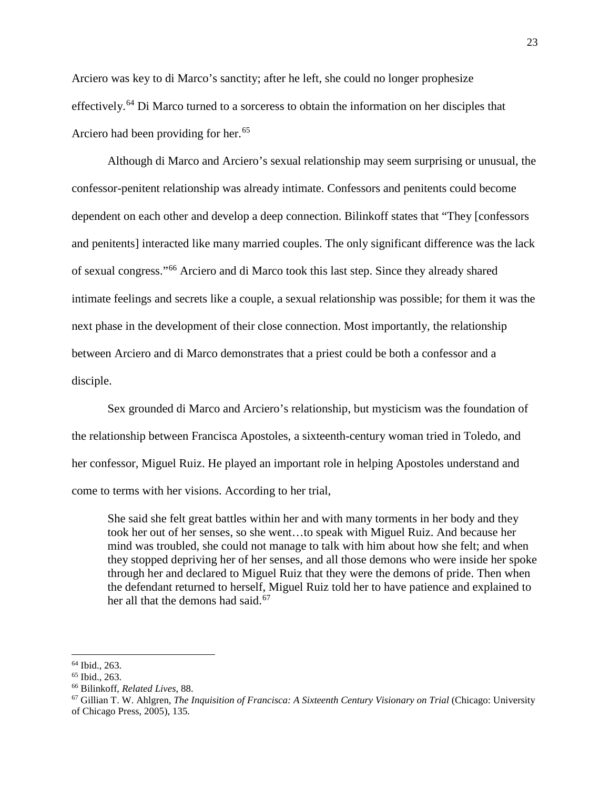Arciero was key to di Marco's sanctity; after he left, she could no longer prophesize effectively.<sup>[64](#page-24-0)</sup> Di Marco turned to a sorceress to obtain the information on her disciples that Arciero had been providing for her.<sup>[65](#page-24-1)</sup>

Although di Marco and Arciero's sexual relationship may seem surprising or unusual, the confessor-penitent relationship was already intimate. Confessors and penitents could become dependent on each other and develop a deep connection. Bilinkoff states that "They [confessors and penitents] interacted like many married couples. The only significant difference was the lack of sexual congress."[66](#page-24-2) Arciero and di Marco took this last step. Since they already shared intimate feelings and secrets like a couple, a sexual relationship was possible; for them it was the next phase in the development of their close connection. Most importantly, the relationship between Arciero and di Marco demonstrates that a priest could be both a confessor and a disciple.

Sex grounded di Marco and Arciero's relationship, but mysticism was the foundation of the relationship between Francisca Apostoles, a sixteenth-century woman tried in Toledo, and her confessor, Miguel Ruiz. He played an important role in helping Apostoles understand and come to terms with her visions. According to her trial,

She said she felt great battles within her and with many torments in her body and they took her out of her senses, so she went…to speak with Miguel Ruiz. And because her mind was troubled, she could not manage to talk with him about how she felt; and when they stopped depriving her of her senses, and all those demons who were inside her spoke through her and declared to Miguel Ruiz that they were the demons of pride. Then when the defendant returned to herself, Miguel Ruiz told her to have patience and explained to her all that the demons had said. $67$ 

<span id="page-24-1"></span><span id="page-24-0"></span> $64$  Ibid., 263.<br> $65$  Ibid., 263.

<span id="page-24-2"></span><sup>65</sup> Ibid., 263. 66 Bilinkoff, *Related Lives*, 88.

<span id="page-24-3"></span><sup>67</sup> Gillian T. W. Ahlgren*, The Inquisition of Francisca: A Sixteenth Century Visionary on Trial* (Chicago: University of Chicago Press, 2005), 135.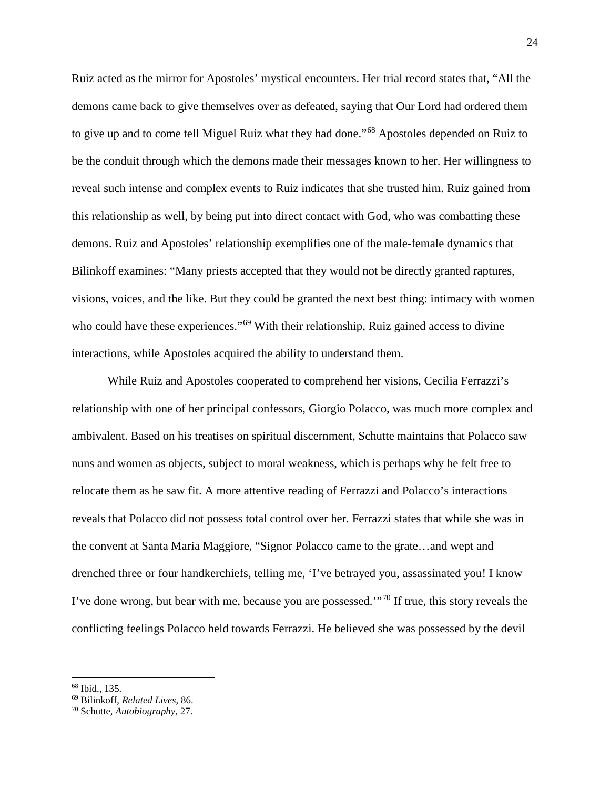Ruiz acted as the mirror for Apostoles' mystical encounters. Her trial record states that, "All the demons came back to give themselves over as defeated, saying that Our Lord had ordered them to give up and to come tell Miguel Ruiz what they had done."[68](#page-25-0) Apostoles depended on Ruiz to be the conduit through which the demons made their messages known to her. Her willingness to reveal such intense and complex events to Ruiz indicates that she trusted him. Ruiz gained from this relationship as well, by being put into direct contact with God, who was combatting these demons. Ruiz and Apostoles' relationship exemplifies one of the male-female dynamics that Bilinkoff examines: "Many priests accepted that they would not be directly granted raptures, visions, voices, and the like. But they could be granted the next best thing: intimacy with women who could have these experiences."<sup>[69](#page-25-1)</sup> With their relationship, Ruiz gained access to divine interactions, while Apostoles acquired the ability to understand them.

While Ruiz and Apostoles cooperated to comprehend her visions, Cecilia Ferrazzi's relationship with one of her principal confessors, Giorgio Polacco, was much more complex and ambivalent. Based on his treatises on spiritual discernment, Schutte maintains that Polacco saw nuns and women as objects, subject to moral weakness, which is perhaps why he felt free to relocate them as he saw fit. A more attentive reading of Ferrazzi and Polacco's interactions reveals that Polacco did not possess total control over her. Ferrazzi states that while she was in the convent at Santa Maria Maggiore, "Signor Polacco came to the grate…and wept and drenched three or four handkerchiefs, telling me, 'I've betrayed you, assassinated you! I know I've done wrong, but bear with me, because you are possessed." $\frac{70}{10}$  $\frac{70}{10}$  $\frac{70}{10}$  If true, this story reveals the conflicting feelings Polacco held towards Ferrazzi. He believed she was possessed by the devil

<span id="page-25-1"></span><span id="page-25-0"></span><sup>68</sup> Ibid., 135. 69 Bilinkoff, *Related Lives*, 86. 70 Schutte, *Autobiography*, 27.

<span id="page-25-2"></span>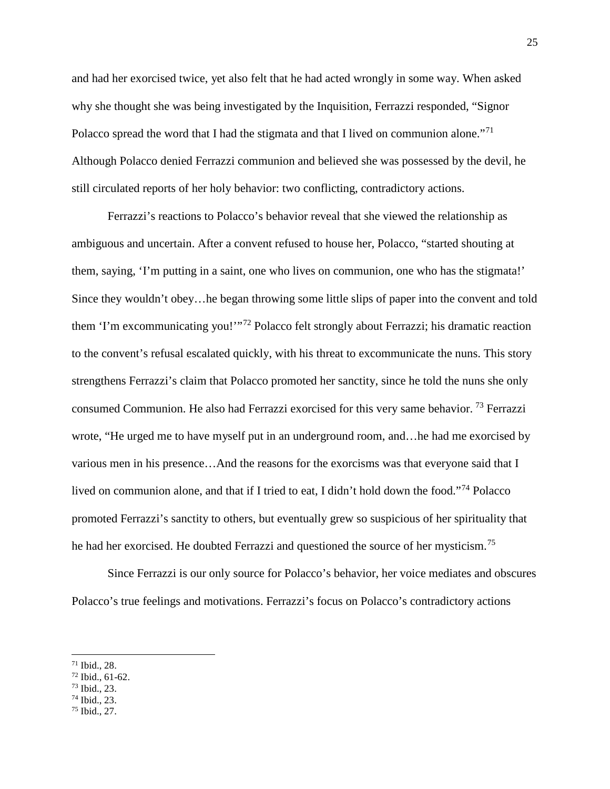and had her exorcised twice, yet also felt that he had acted wrongly in some way. When asked why she thought she was being investigated by the Inquisition, Ferrazzi responded, "Signor Polacco spread the word that I had the stigmata and that I lived on communion alone."<sup>[71](#page-26-0)</sup> Although Polacco denied Ferrazzi communion and believed she was possessed by the devil, he still circulated reports of her holy behavior: two conflicting, contradictory actions.

Ferrazzi's reactions to Polacco's behavior reveal that she viewed the relationship as ambiguous and uncertain. After a convent refused to house her, Polacco, "started shouting at them, saying, 'I'm putting in a saint, one who lives on communion, one who has the stigmata!' Since they wouldn't obey…he began throwing some little slips of paper into the convent and told them 'I'm excommunicating you!'"[72](#page-26-1) Polacco felt strongly about Ferrazzi; his dramatic reaction to the convent's refusal escalated quickly, with his threat to excommunicate the nuns. This story strengthens Ferrazzi's claim that Polacco promoted her sanctity, since he told the nuns she only consumed Communion. He also had Ferrazzi exorcised for this very same behavior. [73](#page-26-2) Ferrazzi wrote, "He urged me to have myself put in an underground room, and…he had me exorcised by various men in his presence…And the reasons for the exorcisms was that everyone said that I lived on communion alone, and that if I tried to eat, I didn't hold down the food."[74](#page-26-3) Polacco promoted Ferrazzi's sanctity to others, but eventually grew so suspicious of her spirituality that he had her exorcised. He doubted Ferrazzi and questioned the source of her mysticism.[75](#page-26-4)

Since Ferrazzi is our only source for Polacco's behavior, her voice mediates and obscures Polacco's true feelings and motivations. Ferrazzi's focus on Polacco's contradictory actions

- <span id="page-26-1"></span><span id="page-26-0"></span> $\frac{71}{72}$  Ibid., 28.<br>  $\frac{72}{73}$  Ibid., 23.<br>  $\frac{74}{74}$  Ibid., 23.
- <span id="page-26-2"></span>
- 
- <span id="page-26-4"></span><span id="page-26-3"></span><sup>75</sup> Ibid., 27.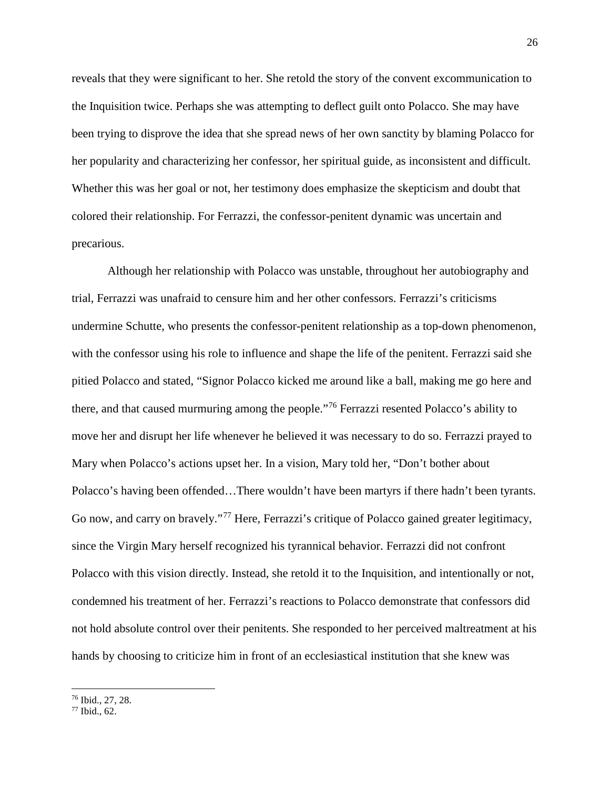reveals that they were significant to her. She retold the story of the convent excommunication to the Inquisition twice. Perhaps she was attempting to deflect guilt onto Polacco. She may have been trying to disprove the idea that she spread news of her own sanctity by blaming Polacco for her popularity and characterizing her confessor, her spiritual guide, as inconsistent and difficult. Whether this was her goal or not, her testimony does emphasize the skepticism and doubt that colored their relationship. For Ferrazzi, the confessor-penitent dynamic was uncertain and precarious.

Although her relationship with Polacco was unstable, throughout her autobiography and trial, Ferrazzi was unafraid to censure him and her other confessors. Ferrazzi's criticisms undermine Schutte, who presents the confessor-penitent relationship as a top-down phenomenon, with the confessor using his role to influence and shape the life of the penitent. Ferrazzi said she pitied Polacco and stated, "Signor Polacco kicked me around like a ball, making me go here and there, and that caused murmuring among the people."[76](#page-27-0) Ferrazzi resented Polacco's ability to move her and disrupt her life whenever he believed it was necessary to do so. Ferrazzi prayed to Mary when Polacco's actions upset her. In a vision, Mary told her, "Don't bother about Polacco's having been offended…There wouldn't have been martyrs if there hadn't been tyrants. Go now, and carry on bravely."<sup>[77](#page-27-1)</sup> Here, Ferrazzi's critique of Polacco gained greater legitimacy, since the Virgin Mary herself recognized his tyrannical behavior. Ferrazzi did not confront Polacco with this vision directly. Instead, she retold it to the Inquisition, and intentionally or not, condemned his treatment of her. Ferrazzi's reactions to Polacco demonstrate that confessors did not hold absolute control over their penitents. She responded to her perceived maltreatment at his hands by choosing to criticize him in front of an ecclesiastical institution that she knew was

<span id="page-27-0"></span> $^{76}$  Ibid., 27, 28.<br> $^{77}$  Ibid., 62.

<span id="page-27-1"></span>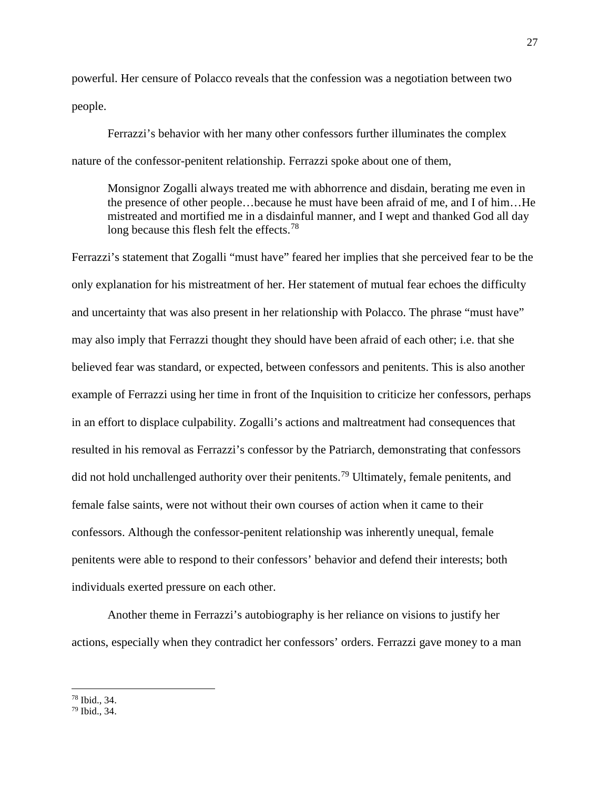powerful. Her censure of Polacco reveals that the confession was a negotiation between two people.

Ferrazzi's behavior with her many other confessors further illuminates the complex nature of the confessor-penitent relationship. Ferrazzi spoke about one of them,

Monsignor Zogalli always treated me with abhorrence and disdain, berating me even in the presence of other people…because he must have been afraid of me, and I of him…He mistreated and mortified me in a disdainful manner, and I wept and thanked God all day long because this flesh felt the effects.<sup>[78](#page-28-0)</sup>

Ferrazzi's statement that Zogalli "must have" feared her implies that she perceived fear to be the only explanation for his mistreatment of her. Her statement of mutual fear echoes the difficulty and uncertainty that was also present in her relationship with Polacco. The phrase "must have" may also imply that Ferrazzi thought they should have been afraid of each other; i.e. that she believed fear was standard, or expected, between confessors and penitents. This is also another example of Ferrazzi using her time in front of the Inquisition to criticize her confessors, perhaps in an effort to displace culpability. Zogalli's actions and maltreatment had consequences that resulted in his removal as Ferrazzi's confessor by the Patriarch, demonstrating that confessors did not hold unchallenged authority over their penitents.<sup>[79](#page-28-1)</sup> Ultimately, female penitents, and female false saints, were not without their own courses of action when it came to their confessors. Although the confessor-penitent relationship was inherently unequal, female penitents were able to respond to their confessors' behavior and defend their interests; both individuals exerted pressure on each other.

Another theme in Ferrazzi's autobiography is her reliance on visions to justify her actions, especially when they contradict her confessors' orders. Ferrazzi gave money to a man

<span id="page-28-1"></span><span id="page-28-0"></span> $78$  Ibid., 34.<br> $79$  Ibid., 34.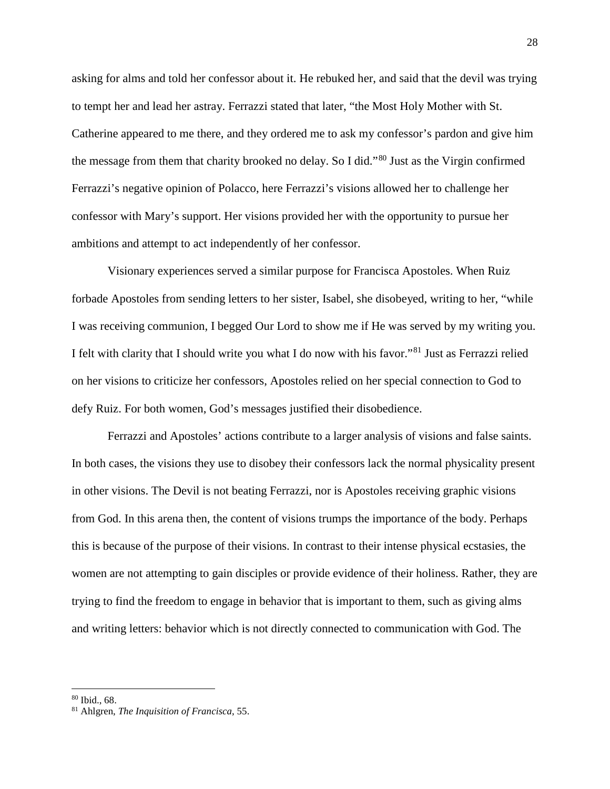asking for alms and told her confessor about it. He rebuked her, and said that the devil was trying to tempt her and lead her astray. Ferrazzi stated that later, "the Most Holy Mother with St. Catherine appeared to me there, and they ordered me to ask my confessor's pardon and give him the message from them that charity brooked no delay. So I did."[80](#page-29-0) Just as the Virgin confirmed Ferrazzi's negative opinion of Polacco, here Ferrazzi's visions allowed her to challenge her confessor with Mary's support. Her visions provided her with the opportunity to pursue her ambitions and attempt to act independently of her confessor.

Visionary experiences served a similar purpose for Francisca Apostoles. When Ruiz forbade Apostoles from sending letters to her sister, Isabel, she disobeyed, writing to her, "while I was receiving communion, I begged Our Lord to show me if He was served by my writing you. I felt with clarity that I should write you what I do now with his favor."[81](#page-29-1) Just as Ferrazzi relied on her visions to criticize her confessors, Apostoles relied on her special connection to God to defy Ruiz. For both women, God's messages justified their disobedience.

Ferrazzi and Apostoles' actions contribute to a larger analysis of visions and false saints. In both cases, the visions they use to disobey their confessors lack the normal physicality present in other visions. The Devil is not beating Ferrazzi, nor is Apostoles receiving graphic visions from God. In this arena then, the content of visions trumps the importance of the body. Perhaps this is because of the purpose of their visions. In contrast to their intense physical ecstasies, the women are not attempting to gain disciples or provide evidence of their holiness. Rather, they are trying to find the freedom to engage in behavior that is important to them, such as giving alms and writing letters: behavior which is not directly connected to communication with God. The

<span id="page-29-1"></span><span id="page-29-0"></span><sup>80</sup> Ibid., 68. 81 Ahlgren, *The Inquisition of Francisca*, 55.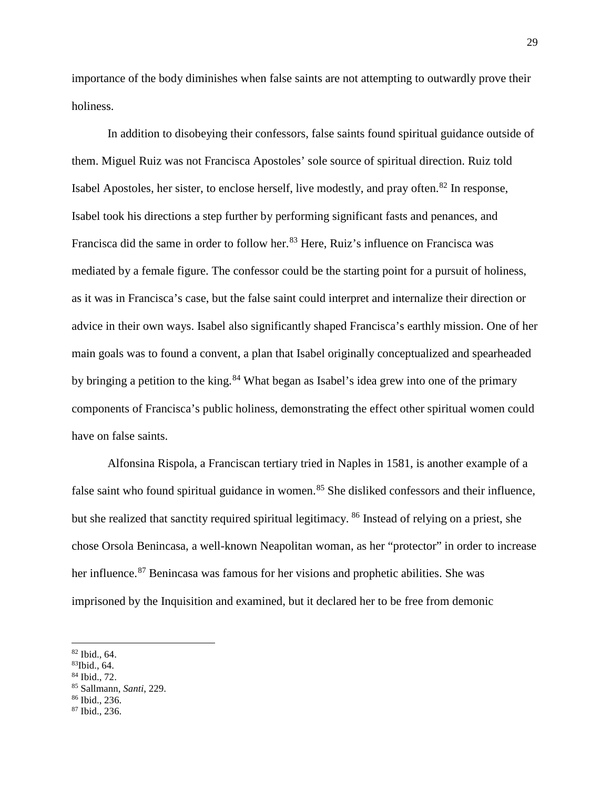importance of the body diminishes when false saints are not attempting to outwardly prove their holiness.

In addition to disobeying their confessors, false saints found spiritual guidance outside of them. Miguel Ruiz was not Francisca Apostoles' sole source of spiritual direction. Ruiz told Isabel Apostoles, her sister, to enclose herself, live modestly, and pray often.<sup>[82](#page-30-0)</sup> In response, Isabel took his directions a step further by performing significant fasts and penances, and Francisca did the same in order to follow her.<sup>[83](#page-30-1)</sup> Here, Ruiz's influence on Francisca was mediated by a female figure. The confessor could be the starting point for a pursuit of holiness, as it was in Francisca's case, but the false saint could interpret and internalize their direction or advice in their own ways. Isabel also significantly shaped Francisca's earthly mission. One of her main goals was to found a convent, a plan that Isabel originally conceptualized and spearheaded by bringing a petition to the king.<sup>[84](#page-30-2)</sup> What began as Isabel's idea grew into one of the primary components of Francisca's public holiness, demonstrating the effect other spiritual women could have on false saints.

Alfonsina Rispola, a Franciscan tertiary tried in Naples in 1581, is another example of a false saint who found spiritual guidance in women.<sup>[85](#page-30-3)</sup> She disliked confessors and their influence, but she realized that sanctity required spiritual legitimacy. <sup>[86](#page-30-4)</sup> Instead of relying on a priest, she chose Orsola Benincasa, a well-known Neapolitan woman, as her "protector" in order to increase her influence.<sup>[87](#page-30-5)</sup> Benincasa was famous for her visions and prophetic abilities. She was imprisoned by the Inquisition and examined, but it declared her to be free from demonic

<span id="page-30-0"></span> $82$  Ibid., 64.<br> $83$ Ibid., 64.

<span id="page-30-1"></span>

<span id="page-30-2"></span><sup>84</sup> Ibid., 72.

<span id="page-30-3"></span><sup>85</sup> Sallmann, *Santi*, 229. 86 Ibid., 236.

<span id="page-30-5"></span><span id="page-30-4"></span><sup>87</sup> Ibid., 236.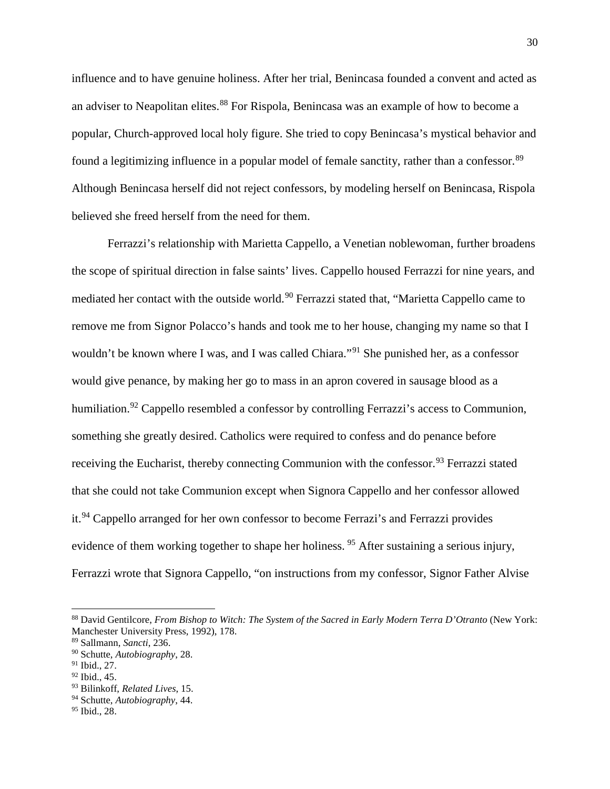influence and to have genuine holiness. After her trial, Benincasa founded a convent and acted as an adviser to Neapolitan elites.<sup>[88](#page-31-0)</sup> For Rispola, Benincasa was an example of how to become a popular, Church-approved local holy figure. She tried to copy Benincasa's mystical behavior and found a legitimizing influence in a popular model of female sanctity, rather than a confessor.<sup>[89](#page-31-1)</sup> Although Benincasa herself did not reject confessors, by modeling herself on Benincasa, Rispola believed she freed herself from the need for them.

Ferrazzi's relationship with Marietta Cappello, a Venetian noblewoman, further broadens the scope of spiritual direction in false saints' lives. Cappello housed Ferrazzi for nine years, and mediated her contact with the outside world.<sup>[90](#page-31-2)</sup> Ferrazzi stated that, "Marietta Cappello came to remove me from Signor Polacco's hands and took me to her house, changing my name so that I wouldn't be known where I was, and I was called Chiara."<sup>[91](#page-31-3)</sup> She punished her, as a confessor would give penance, by making her go to mass in an apron covered in sausage blood as a humiliation.<sup>[92](#page-31-4)</sup> Cappello resembled a confessor by controlling Ferrazzi's access to Communion, something she greatly desired. Catholics were required to confess and do penance before receiving the Eucharist, thereby connecting Communion with the confessor.<sup>[93](#page-31-5)</sup> Ferrazzi stated that she could not take Communion except when Signora Cappello and her confessor allowed it.[94](#page-31-6) Cappello arranged for her own confessor to become Ferrazi's and Ferrazzi provides evidence of them working together to shape her holiness.<sup>[95](#page-31-7)</sup> After sustaining a serious injury, Ferrazzi wrote that Signora Cappello, "on instructions from my confessor, Signor Father Alvise

<span id="page-31-0"></span><sup>88</sup> David Gentilcore, *From Bishop to Witch: The System of the Sacred in Early Modern Terra D'Otranto* (New York: Manchester University Press, 1992), 178.

<span id="page-31-1"></span><sup>89</sup> Sallmann, *Sancti*, 236.

<span id="page-31-2"></span><sup>90</sup> Schutte, *Autobiography*, 28.

<span id="page-31-3"></span> $91$  Ibid., 27.

<span id="page-31-4"></span> $92$  Ibid., 45.

<span id="page-31-5"></span><sup>93</sup> Bilinkoff, *Related Lives*, 15.

<span id="page-31-6"></span><sup>94</sup> Schutte, *Autobiography*, 44.

<span id="page-31-7"></span><sup>95</sup> Ibid., 28.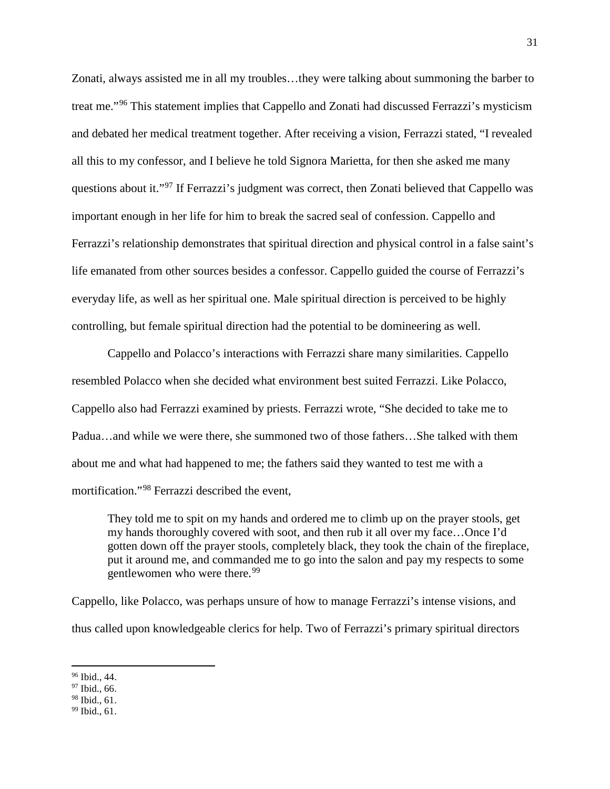Zonati, always assisted me in all my troubles…they were talking about summoning the barber to treat me."[96](#page-32-0) This statement implies that Cappello and Zonati had discussed Ferrazzi's mysticism and debated her medical treatment together. After receiving a vision, Ferrazzi stated, "I revealed all this to my confessor, and I believe he told Signora Marietta, for then she asked me many questions about it."[97](#page-32-1) If Ferrazzi's judgment was correct, then Zonati believed that Cappello was important enough in her life for him to break the sacred seal of confession. Cappello and Ferrazzi's relationship demonstrates that spiritual direction and physical control in a false saint's life emanated from other sources besides a confessor. Cappello guided the course of Ferrazzi's everyday life, as well as her spiritual one. Male spiritual direction is perceived to be highly controlling, but female spiritual direction had the potential to be domineering as well.

Cappello and Polacco's interactions with Ferrazzi share many similarities. Cappello resembled Polacco when she decided what environment best suited Ferrazzi. Like Polacco, Cappello also had Ferrazzi examined by priests. Ferrazzi wrote, "She decided to take me to Padua…and while we were there, she summoned two of those fathers…She talked with them about me and what had happened to me; the fathers said they wanted to test me with a mortification."[98](#page-32-2) Ferrazzi described the event,

They told me to spit on my hands and ordered me to climb up on the prayer stools, get my hands thoroughly covered with soot, and then rub it all over my face…Once I'd gotten down off the prayer stools, completely black, they took the chain of the fireplace, put it around me, and commanded me to go into the salon and pay my respects to some gentlewomen who were there.<sup>[99](#page-32-3)</sup>

Cappello, like Polacco, was perhaps unsure of how to manage Ferrazzi's intense visions, and thus called upon knowledgeable clerics for help. Two of Ferrazzi's primary spiritual directors

<span id="page-32-0"></span><sup>96</sup> Ibid., 44.

<span id="page-32-1"></span> $\frac{97}{98}$  Ibid., 66.<br> $\frac{98}{96}$  Ibid., 61.

<span id="page-32-3"></span><span id="page-32-2"></span> $99$  Ibid., 61.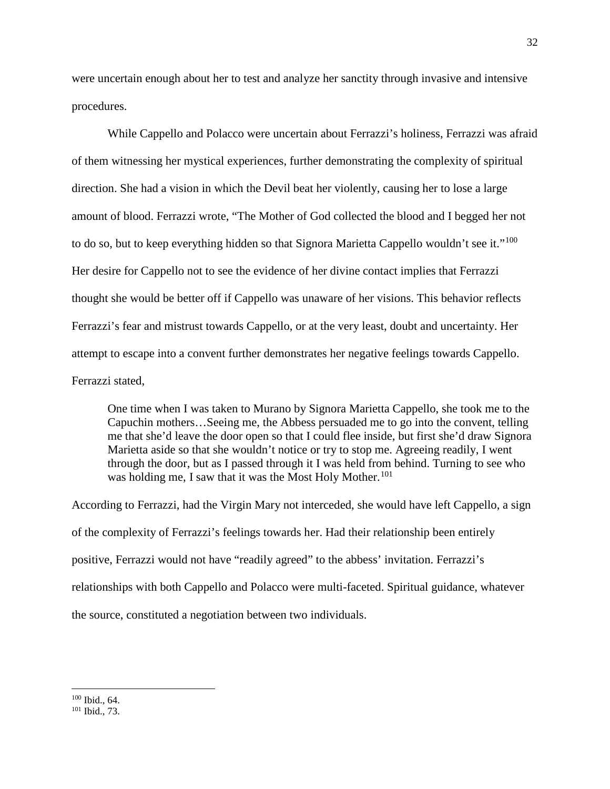were uncertain enough about her to test and analyze her sanctity through invasive and intensive procedures.

While Cappello and Polacco were uncertain about Ferrazzi's holiness, Ferrazzi was afraid of them witnessing her mystical experiences, further demonstrating the complexity of spiritual direction. She had a vision in which the Devil beat her violently, causing her to lose a large amount of blood. Ferrazzi wrote, "The Mother of God collected the blood and I begged her not to do so, but to keep everything hidden so that Signora Marietta Cappello wouldn't see it."<sup>[100](#page-33-0)</sup> Her desire for Cappello not to see the evidence of her divine contact implies that Ferrazzi thought she would be better off if Cappello was unaware of her visions. This behavior reflects Ferrazzi's fear and mistrust towards Cappello, or at the very least, doubt and uncertainty. Her attempt to escape into a convent further demonstrates her negative feelings towards Cappello. Ferrazzi stated,

One time when I was taken to Murano by Signora Marietta Cappello, she took me to the Capuchin mothers…Seeing me, the Abbess persuaded me to go into the convent, telling me that she'd leave the door open so that I could flee inside, but first she'd draw Signora Marietta aside so that she wouldn't notice or try to stop me. Agreeing readily, I went through the door, but as I passed through it I was held from behind. Turning to see who was holding me, I saw that it was the Most Holy Mother.<sup>[101](#page-33-1)</sup>

According to Ferrazzi, had the Virgin Mary not interceded, she would have left Cappello, a sign of the complexity of Ferrazzi's feelings towards her. Had their relationship been entirely positive, Ferrazzi would not have "readily agreed" to the abbess' invitation. Ferrazzi's relationships with both Cappello and Polacco were multi-faceted. Spiritual guidance, whatever the source, constituted a negotiation between two individuals.

<span id="page-33-1"></span><span id="page-33-0"></span> $\frac{100}{101}$  Ibid., 73.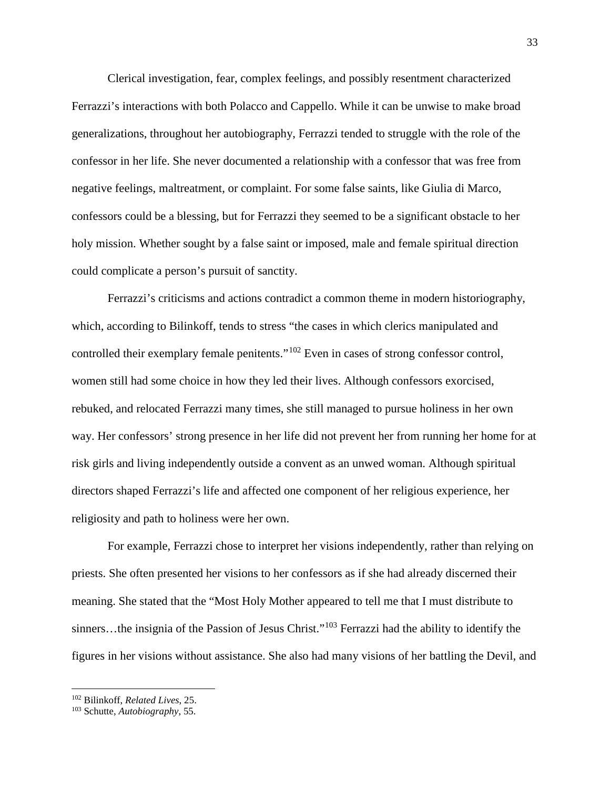Clerical investigation, fear, complex feelings, and possibly resentment characterized Ferrazzi's interactions with both Polacco and Cappello. While it can be unwise to make broad generalizations, throughout her autobiography, Ferrazzi tended to struggle with the role of the confessor in her life. She never documented a relationship with a confessor that was free from negative feelings, maltreatment, or complaint. For some false saints, like Giulia di Marco, confessors could be a blessing, but for Ferrazzi they seemed to be a significant obstacle to her holy mission. Whether sought by a false saint or imposed, male and female spiritual direction could complicate a person's pursuit of sanctity.

Ferrazzi's criticisms and actions contradict a common theme in modern historiography, which, according to Bilinkoff, tends to stress "the cases in which clerics manipulated and controlled their exemplary female penitents."[102](#page-34-0) Even in cases of strong confessor control, women still had some choice in how they led their lives. Although confessors exorcised, rebuked, and relocated Ferrazzi many times, she still managed to pursue holiness in her own way. Her confessors' strong presence in her life did not prevent her from running her home for at risk girls and living independently outside a convent as an unwed woman. Although spiritual directors shaped Ferrazzi's life and affected one component of her religious experience, her religiosity and path to holiness were her own.

For example, Ferrazzi chose to interpret her visions independently, rather than relying on priests. She often presented her visions to her confessors as if she had already discerned their meaning. She stated that the "Most Holy Mother appeared to tell me that I must distribute to sinners…the insignia of the Passion of Jesus Christ."<sup>[103](#page-34-1)</sup> Ferrazzi had the ability to identify the figures in her visions without assistance. She also had many visions of her battling the Devil, and

<span id="page-34-0"></span><sup>102</sup> Bilinkoff, *Related Lives*, 25. 103 Schutte, *Autobiography*, 55.

<span id="page-34-1"></span>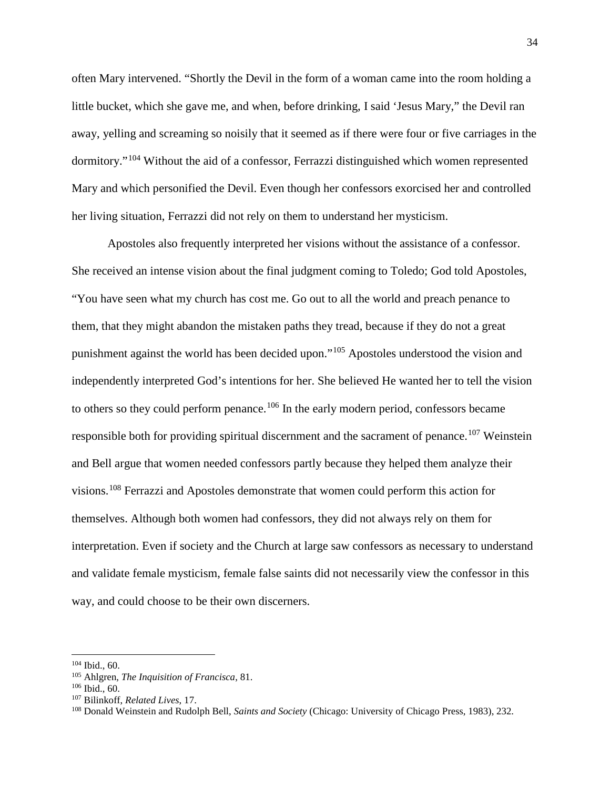often Mary intervened. "Shortly the Devil in the form of a woman came into the room holding a little bucket, which she gave me, and when, before drinking, I said 'Jesus Mary," the Devil ran away, yelling and screaming so noisily that it seemed as if there were four or five carriages in the dormitory."[104](#page-35-0) Without the aid of a confessor, Ferrazzi distinguished which women represented Mary and which personified the Devil. Even though her confessors exorcised her and controlled her living situation, Ferrazzi did not rely on them to understand her mysticism.

Apostoles also frequently interpreted her visions without the assistance of a confessor. She received an intense vision about the final judgment coming to Toledo; God told Apostoles, "You have seen what my church has cost me. Go out to all the world and preach penance to them, that they might abandon the mistaken paths they tread, because if they do not a great punishment against the world has been decided upon."[105](#page-35-1) Apostoles understood the vision and independently interpreted God's intentions for her. She believed He wanted her to tell the vision to others so they could perform penance.<sup>[106](#page-35-2)</sup> In the early modern period, confessors became responsible both for providing spiritual discernment and the sacrament of penance.<sup>[107](#page-35-3)</sup> Weinstein and Bell argue that women needed confessors partly because they helped them analyze their visions.[108](#page-35-4) Ferrazzi and Apostoles demonstrate that women could perform this action for themselves. Although both women had confessors, they did not always rely on them for interpretation. Even if society and the Church at large saw confessors as necessary to understand and validate female mysticism, female false saints did not necessarily view the confessor in this way, and could choose to be their own discerners.

<span id="page-35-1"></span><span id="page-35-0"></span><sup>&</sup>lt;sup>104</sup> Ibid., 60.<br><sup>105</sup> Ahlgren, *The Inquisition of Francisca*, 81.

<span id="page-35-2"></span> $106$  Ibid., 60.<br> $107$  Bilinkoff, *Related Lives*, 17.

<span id="page-35-4"></span><span id="page-35-3"></span><sup>&</sup>lt;sup>108</sup> Donald Weinstein and Rudolph Bell, *Saints and Society* (Chicago: University of Chicago Press, 1983), 232.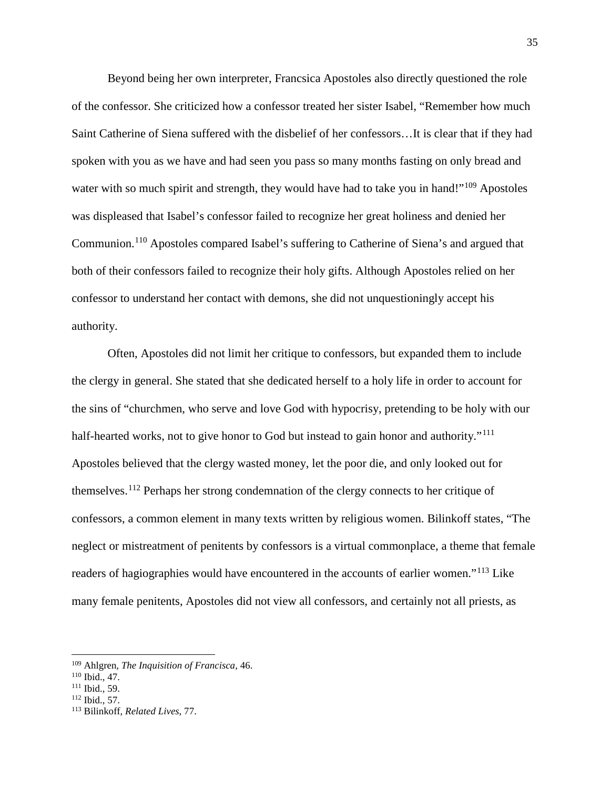Beyond being her own interpreter, Francsica Apostoles also directly questioned the role of the confessor. She criticized how a confessor treated her sister Isabel, "Remember how much Saint Catherine of Siena suffered with the disbelief of her confessors…It is clear that if they had spoken with you as we have and had seen you pass so many months fasting on only bread and water with so much spirit and strength, they would have had to take you in hand!"<sup>[109](#page-36-0)</sup> Apostoles was displeased that Isabel's confessor failed to recognize her great holiness and denied her Communion.[110](#page-36-1) Apostoles compared Isabel's suffering to Catherine of Siena's and argued that both of their confessors failed to recognize their holy gifts. Although Apostoles relied on her confessor to understand her contact with demons, she did not unquestioningly accept his authority.

Often, Apostoles did not limit her critique to confessors, but expanded them to include the clergy in general. She stated that she dedicated herself to a holy life in order to account for the sins of "churchmen, who serve and love God with hypocrisy, pretending to be holy with our half-hearted works, not to give honor to God but instead to gain honor and authority."<sup>[111](#page-36-2)</sup> Apostoles believed that the clergy wasted money, let the poor die, and only looked out for themselves.[112](#page-36-3) Perhaps her strong condemnation of the clergy connects to her critique of confessors, a common element in many texts written by religious women. Bilinkoff states, "The neglect or mistreatment of penitents by confessors is a virtual commonplace, a theme that female readers of hagiographies would have encountered in the accounts of earlier women."<sup>[113](#page-36-4)</sup> Like many female penitents, Apostoles did not view all confessors, and certainly not all priests, as

<span id="page-36-0"></span><sup>109</sup> Ahlgren*, The Inquisition of Francisca,* 46.

<span id="page-36-1"></span><sup>110</sup> Ibid., 47.

<span id="page-36-2"></span> $\frac{111 \text{ Ibid., } 59.}{112 \text{ Ibid., } 57.}$ 

<span id="page-36-4"></span><span id="page-36-3"></span><sup>&</sup>lt;sup>113</sup> Bilinkoff, Related Lives, 77.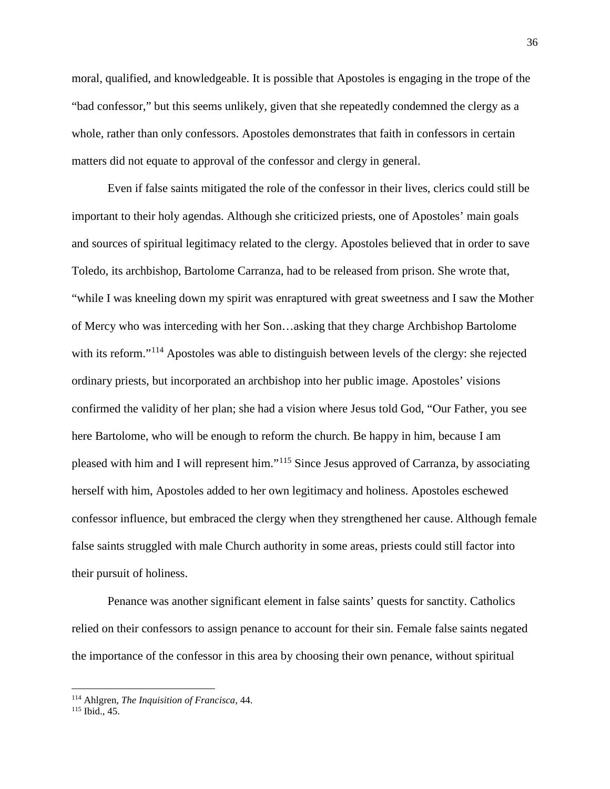moral, qualified, and knowledgeable. It is possible that Apostoles is engaging in the trope of the "bad confessor," but this seems unlikely, given that she repeatedly condemned the clergy as a whole, rather than only confessors. Apostoles demonstrates that faith in confessors in certain matters did not equate to approval of the confessor and clergy in general.

Even if false saints mitigated the role of the confessor in their lives, clerics could still be important to their holy agendas. Although she criticized priests, one of Apostoles' main goals and sources of spiritual legitimacy related to the clergy. Apostoles believed that in order to save Toledo, its archbishop, Bartolome Carranza, had to be released from prison. She wrote that, "while I was kneeling down my spirit was enraptured with great sweetness and I saw the Mother of Mercy who was interceding with her Son…asking that they charge Archbishop Bartolome with its reform."<sup>[114](#page-37-0)</sup> Apostoles was able to distinguish between levels of the clergy: she rejected ordinary priests, but incorporated an archbishop into her public image. Apostoles' visions confirmed the validity of her plan; she had a vision where Jesus told God, "Our Father, you see here Bartolome, who will be enough to reform the church. Be happy in him, because I am pleased with him and I will represent him."[115](#page-37-1) Since Jesus approved of Carranza, by associating herself with him, Apostoles added to her own legitimacy and holiness. Apostoles eschewed confessor influence, but embraced the clergy when they strengthened her cause. Although female false saints struggled with male Church authority in some areas, priests could still factor into their pursuit of holiness.

Penance was another significant element in false saints' quests for sanctity. Catholics relied on their confessors to assign penance to account for their sin. Female false saints negated the importance of the confessor in this area by choosing their own penance, without spiritual

<span id="page-37-0"></span><sup>114</sup> Ahlgren, *The Inquisition of Francisca*, 44.

<span id="page-37-1"></span><sup>115</sup> Ibid., 45.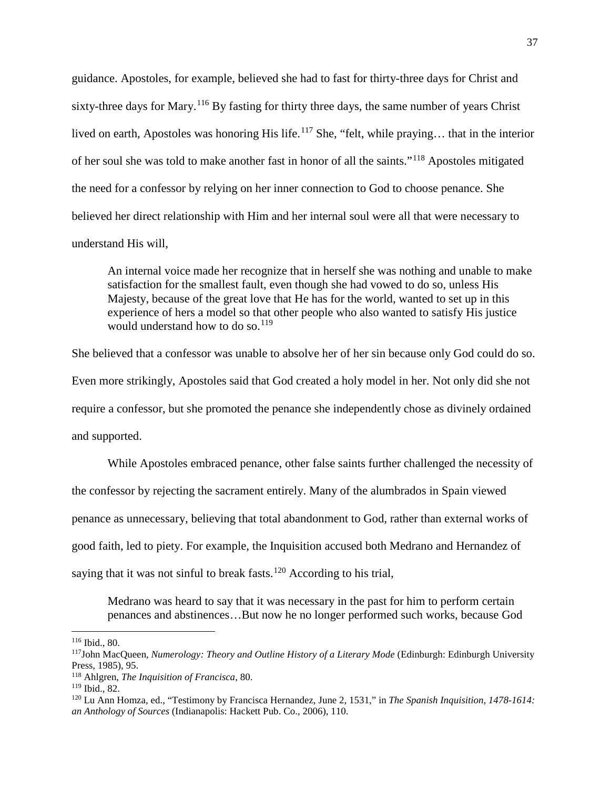guidance. Apostoles, for example, believed she had to fast for thirty-three days for Christ and sixty-three days for Mary.<sup>[116](#page-38-0)</sup> By fasting for thirty three days, the same number of years Christ lived on earth, Apostoles was honoring His life.<sup>[117](#page-38-1)</sup> She, "felt, while praying... that in the interior of her soul she was told to make another fast in honor of all the saints."[118](#page-38-2) Apostoles mitigated the need for a confessor by relying on her inner connection to God to choose penance. She believed her direct relationship with Him and her internal soul were all that were necessary to understand His will,

An internal voice made her recognize that in herself she was nothing and unable to make satisfaction for the smallest fault, even though she had vowed to do so, unless His Majesty, because of the great love that He has for the world, wanted to set up in this experience of hers a model so that other people who also wanted to satisfy His justice would understand how to do so.  $119$ 

She believed that a confessor was unable to absolve her of her sin because only God could do so. Even more strikingly, Apostoles said that God created a holy model in her. Not only did she not require a confessor, but she promoted the penance she independently chose as divinely ordained and supported.

While Apostoles embraced penance, other false saints further challenged the necessity of the confessor by rejecting the sacrament entirely. Many of the alumbrados in Spain viewed penance as unnecessary, believing that total abandonment to God, rather than external works of good faith, led to piety. For example, the Inquisition accused both Medrano and Hernandez of saying that it was not sinful to break fasts.<sup>[120](#page-38-4)</sup> According to his trial,

Medrano was heard to say that it was necessary in the past for him to perform certain penances and abstinences…But now he no longer performed such works, because God

<span id="page-38-1"></span><span id="page-38-0"></span><sup>&</sup>lt;sup>116</sup> Ibid., 80.<br><sup>117</sup>John MacQueen, *Numerology: Theory and Outline History of a Literary Mode* (Edinburgh: Edinburgh University Press, 1985), 95.

<span id="page-38-2"></span><sup>118</sup> Ahlgren, *The Inquisition of Francisca*, 80.

<span id="page-38-3"></span>

<span id="page-38-4"></span><sup>&</sup>lt;sup>120</sup> Lu Ann Homza, ed., "Testimony by Francisca Hernandez, June 2, 1531," in *The Spanish Inquisition, 1478-1614*: *an Anthology of Sources* (Indianapolis: Hackett Pub. Co., 2006), 110.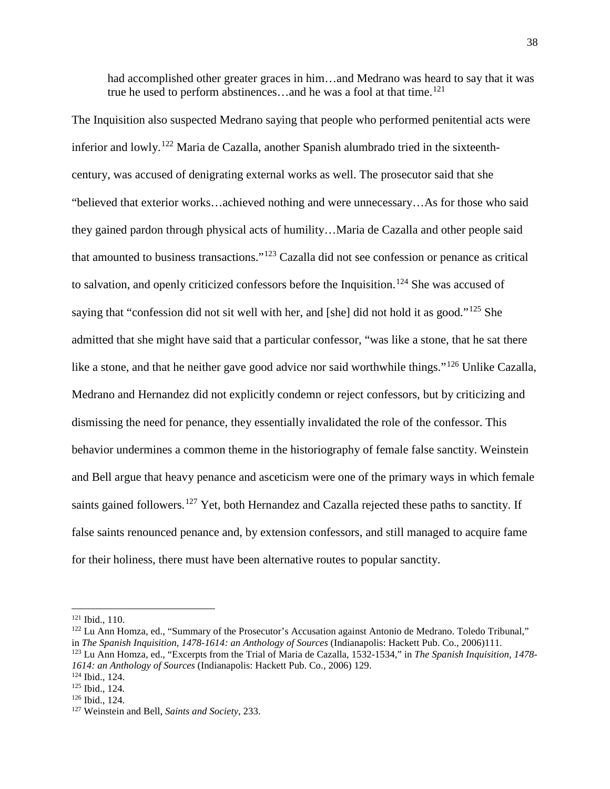had accomplished other greater graces in him…and Medrano was heard to say that it was true he used to perform abstinences...and he was a fool at that time.<sup>[121](#page-39-0)</sup>

The Inquisition also suspected Medrano saying that people who performed penitential acts were inferior and lowly.[122](#page-39-1) Maria de Cazalla, another Spanish alumbrado tried in the sixteenthcentury, was accused of denigrating external works as well. The prosecutor said that she "believed that exterior works…achieved nothing and were unnecessary…As for those who said they gained pardon through physical acts of humility…Maria de Cazalla and other people said that amounted to business transactions."[123](#page-39-2) Cazalla did not see confession or penance as critical to salvation, and openly criticized confessors before the Inquisition.<sup>[124](#page-39-3)</sup> She was accused of saying that "confession did not sit well with her, and [she] did not hold it as good."<sup>[125](#page-39-4)</sup> She admitted that she might have said that a particular confessor, "was like a stone, that he sat there like a stone, and that he neither gave good advice nor said worthwhile things."<sup>[126](#page-39-5)</sup> Unlike Cazalla, Medrano and Hernandez did not explicitly condemn or reject confessors, but by criticizing and dismissing the need for penance, they essentially invalidated the role of the confessor. This behavior undermines a common theme in the historiography of female false sanctity. Weinstein and Bell argue that heavy penance and asceticism were one of the primary ways in which female saints gained followers.<sup>[127](#page-39-6)</sup> Yet, both Hernandez and Cazalla rejected these paths to sanctity. If false saints renounced penance and, by extension confessors, and still managed to acquire fame for their holiness, there must have been alternative routes to popular sanctity.

<span id="page-39-0"></span><sup>&</sup>lt;sup>121</sup> Ibid., 110.

<span id="page-39-1"></span> $122$  Lu Ann Homza, ed., "Summary of the Prosecutor's Accusation against Antonio de Medrano. Toledo Tribunal," in *The Spanish Inquisition, 1478-1614: an Anthology of Sources* (Indianapolis: Hackett Pub. Co., 2006)111.

<span id="page-39-2"></span><sup>123</sup> Lu Ann Homza, ed., "Excerpts from the Trial of Maria de Cazalla, 1532-1534," in *The Spanish Inquisition, 1478- 1614: an Anthology of Sources* (Indianapolis: Hackett Pub. Co., 2006) 129. 124 Ibid., 124. 125 Ibid., 124. 126 Ibid., 124. 127 Weinstein and Bell, *Saints and Society*, 233.

<span id="page-39-3"></span>

<span id="page-39-5"></span><span id="page-39-4"></span>

<span id="page-39-6"></span>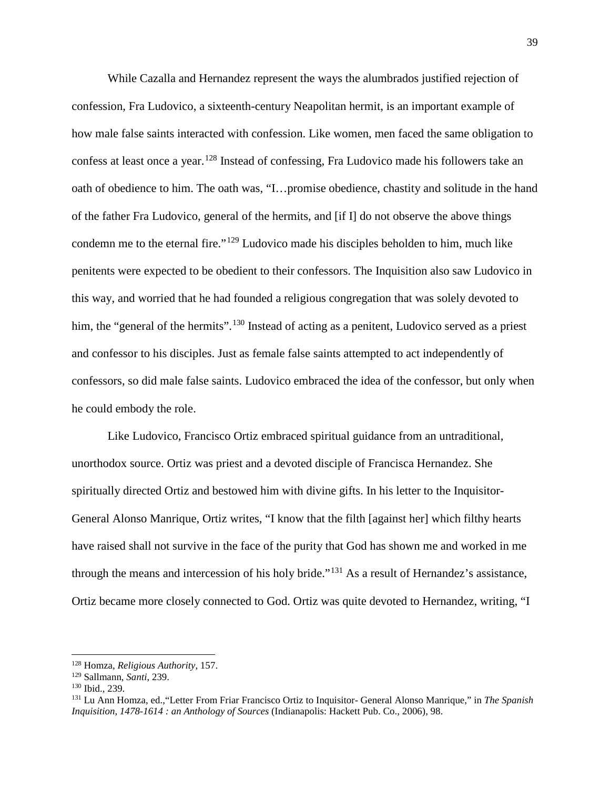While Cazalla and Hernandez represent the ways the alumbrados justified rejection of confession, Fra Ludovico, a sixteenth-century Neapolitan hermit, is an important example of how male false saints interacted with confession. Like women, men faced the same obligation to confess at least once a year.<sup>[128](#page-40-0)</sup> Instead of confessing, Fra Ludovico made his followers take an oath of obedience to him. The oath was, "I…promise obedience, chastity and solitude in the hand of the father Fra Ludovico, general of the hermits, and [if I] do not observe the above things condemn me to the eternal fire."[129](#page-40-1) Ludovico made his disciples beholden to him, much like penitents were expected to be obedient to their confessors. The Inquisition also saw Ludovico in this way, and worried that he had founded a religious congregation that was solely devoted to him, the "general of the hermits".<sup>[130](#page-40-2)</sup> Instead of acting as a penitent, Ludovico served as a priest and confessor to his disciples. Just as female false saints attempted to act independently of confessors, so did male false saints. Ludovico embraced the idea of the confessor, but only when he could embody the role.

Like Ludovico, Francisco Ortiz embraced spiritual guidance from an untraditional, unorthodox source. Ortiz was priest and a devoted disciple of Francisca Hernandez. She spiritually directed Ortiz and bestowed him with divine gifts. In his letter to the Inquisitor-General Alonso Manrique, Ortiz writes, "I know that the filth [against her] which filthy hearts have raised shall not survive in the face of the purity that God has shown me and worked in me through the means and intercession of his holy bride."[131](#page-40-3) As a result of Hernandez's assistance, Ortiz became more closely connected to God. Ortiz was quite devoted to Hernandez, writing, "I

<span id="page-40-0"></span><sup>128</sup> Homza, *Religious Authority*, 157.

<span id="page-40-3"></span><span id="page-40-2"></span><span id="page-40-1"></span><sup>&</sup>lt;sup>130</sup> Ibid., 239.<br><sup>131</sup> Lu Ann Homza, ed., "Letter From Friar Francisco Ortiz to Inquisitor- General Alonso Manrique," in *The Spanish Inquisition, 1478-1614 : an Anthology of Sources* (Indianapolis: Hackett Pub. Co., 2006), 98.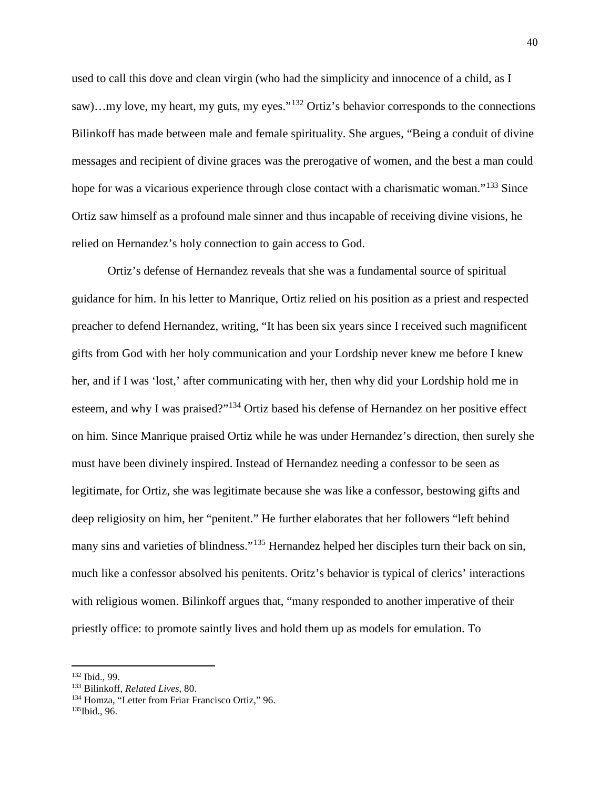used to call this dove and clean virgin (who had the simplicity and innocence of a child, as I saw)…my love, my heart, my guts, my eyes."<sup>[132](#page-41-0)</sup> Ortiz's behavior corresponds to the connections Bilinkoff has made between male and female spirituality. She argues, "Being a conduit of divine messages and recipient of divine graces was the prerogative of women, and the best a man could hope for was a vicarious experience through close contact with a charismatic woman."<sup>[133](#page-41-1)</sup> Since Ortiz saw himself as a profound male sinner and thus incapable of receiving divine visions, he relied on Hernandez's holy connection to gain access to God.

Ortiz's defense of Hernandez reveals that she was a fundamental source of spiritual guidance for him. In his letter to Manrique, Ortiz relied on his position as a priest and respected preacher to defend Hernandez, writing, "It has been six years since I received such magnificent gifts from God with her holy communication and your Lordship never knew me before I knew her, and if I was 'lost,' after communicating with her, then why did your Lordship hold me in esteem, and why I was praised?"[134](#page-41-2) Ortiz based his defense of Hernandez on her positive effect on him. Since Manrique praised Ortiz while he was under Hernandez's direction, then surely she must have been divinely inspired. Instead of Hernandez needing a confessor to be seen as legitimate, for Ortiz, she was legitimate because she was like a confessor, bestowing gifts and deep religiosity on him, her "penitent." He further elaborates that her followers "left behind many sins and varieties of blindness."[135](#page-41-3) Hernandez helped her disciples turn their back on sin, much like a confessor absolved his penitents. Oritz's behavior is typical of clerics' interactions with religious women. Bilinkoff argues that, "many responded to another imperative of their priestly office: to promote saintly lives and hold them up as models for emulation. To

<span id="page-41-1"></span>

<span id="page-41-0"></span><sup>&</sup>lt;sup>132</sup> Ibid., 99.<br><sup>133</sup> Bilinkoff, *Related Lives*, 80.<br><sup>134</sup> Homza, "Letter from Friar Francisco Ortiz," 96.

<span id="page-41-3"></span><span id="page-41-2"></span><sup>135</sup>Ibid., 96.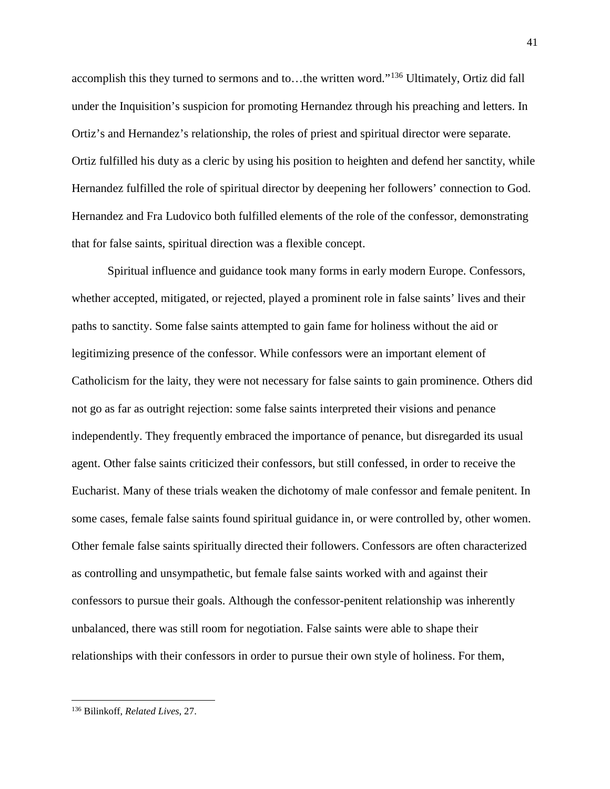accomplish this they turned to sermons and to…the written word."[136](#page-42-0) Ultimately, Ortiz did fall under the Inquisition's suspicion for promoting Hernandez through his preaching and letters. In Ortiz's and Hernandez's relationship, the roles of priest and spiritual director were separate. Ortiz fulfilled his duty as a cleric by using his position to heighten and defend her sanctity, while Hernandez fulfilled the role of spiritual director by deepening her followers' connection to God. Hernandez and Fra Ludovico both fulfilled elements of the role of the confessor, demonstrating that for false saints, spiritual direction was a flexible concept.

Spiritual influence and guidance took many forms in early modern Europe. Confessors, whether accepted, mitigated, or rejected, played a prominent role in false saints' lives and their paths to sanctity. Some false saints attempted to gain fame for holiness without the aid or legitimizing presence of the confessor. While confessors were an important element of Catholicism for the laity, they were not necessary for false saints to gain prominence. Others did not go as far as outright rejection: some false saints interpreted their visions and penance independently. They frequently embraced the importance of penance, but disregarded its usual agent. Other false saints criticized their confessors, but still confessed, in order to receive the Eucharist. Many of these trials weaken the dichotomy of male confessor and female penitent. In some cases, female false saints found spiritual guidance in, or were controlled by, other women. Other female false saints spiritually directed their followers. Confessors are often characterized as controlling and unsympathetic, but female false saints worked with and against their confessors to pursue their goals. Although the confessor-penitent relationship was inherently unbalanced, there was still room for negotiation. False saints were able to shape their relationships with their confessors in order to pursue their own style of holiness. For them,

<span id="page-42-0"></span><sup>136</sup> Bilinkoff, *Related Lives*, 27.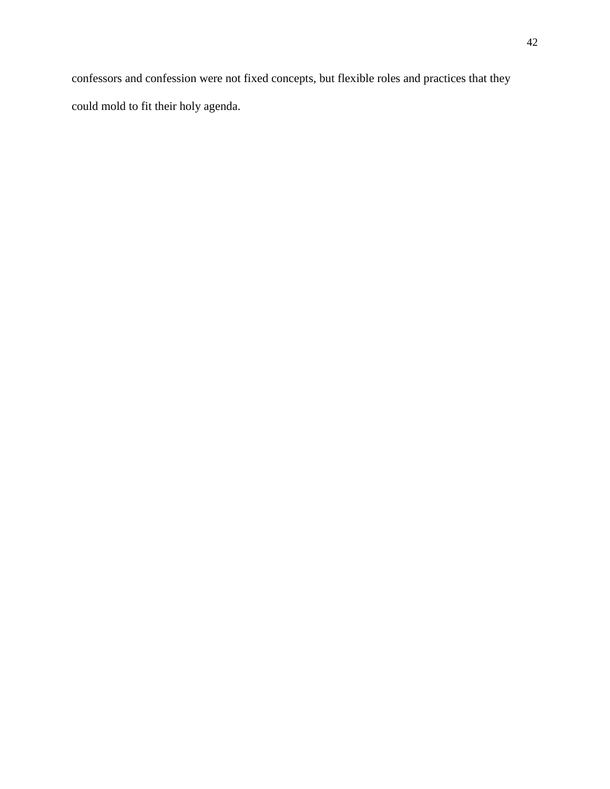confessors and confession were not fixed concepts, but flexible roles and practices that they could mold to fit their holy agenda.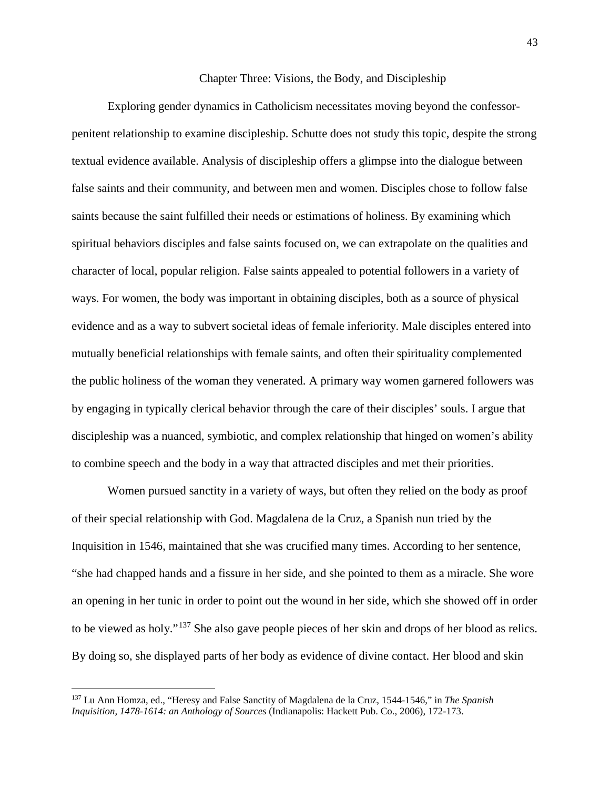## Chapter Three: Visions, the Body, and Discipleship

Exploring gender dynamics in Catholicism necessitates moving beyond the confessorpenitent relationship to examine discipleship. Schutte does not study this topic, despite the strong textual evidence available. Analysis of discipleship offers a glimpse into the dialogue between false saints and their community, and between men and women. Disciples chose to follow false saints because the saint fulfilled their needs or estimations of holiness. By examining which spiritual behaviors disciples and false saints focused on, we can extrapolate on the qualities and character of local, popular religion. False saints appealed to potential followers in a variety of ways. For women, the body was important in obtaining disciples, both as a source of physical evidence and as a way to subvert societal ideas of female inferiority. Male disciples entered into mutually beneficial relationships with female saints, and often their spirituality complemented the public holiness of the woman they venerated. A primary way women garnered followers was by engaging in typically clerical behavior through the care of their disciples' souls. I argue that discipleship was a nuanced, symbiotic, and complex relationship that hinged on women's ability to combine speech and the body in a way that attracted disciples and met their priorities.

Women pursued sanctity in a variety of ways, but often they relied on the body as proof of their special relationship with God. Magdalena de la Cruz, a Spanish nun tried by the Inquisition in 1546, maintained that she was crucified many times. According to her sentence, "she had chapped hands and a fissure in her side, and she pointed to them as a miracle. She wore an opening in her tunic in order to point out the wound in her side, which she showed off in order to be viewed as holy."[137](#page-44-0) She also gave people pieces of her skin and drops of her blood as relics. By doing so, she displayed parts of her body as evidence of divine contact. Her blood and skin

<span id="page-44-0"></span><sup>137</sup> Lu Ann Homza, ed., "Heresy and False Sanctity of Magdalena de la Cruz, 1544-1546," in *The Spanish Inquisition, 1478-1614: an Anthology of Sources* (Indianapolis: Hackett Pub. Co., 2006), 172-173.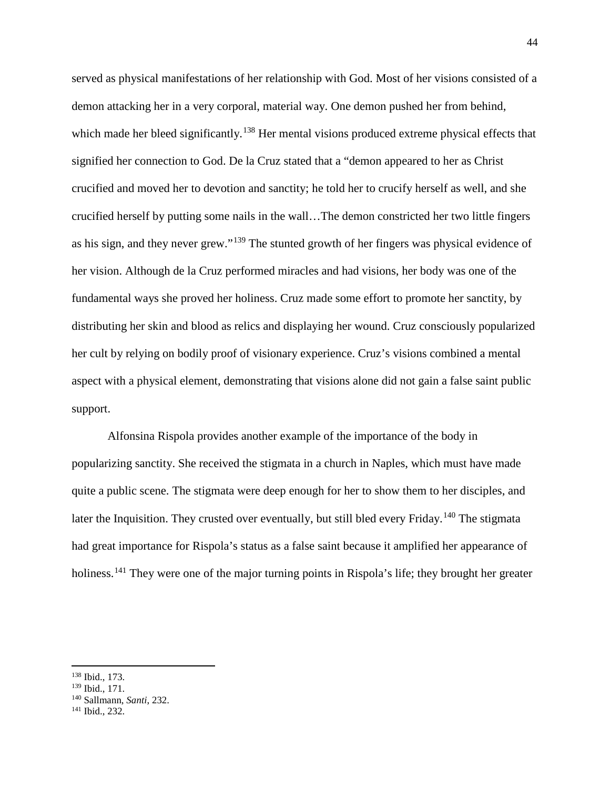served as physical manifestations of her relationship with God. Most of her visions consisted of a demon attacking her in a very corporal, material way. One demon pushed her from behind, which made her bleed significantly.<sup>[138](#page-45-0)</sup> Her mental visions produced extreme physical effects that signified her connection to God. De la Cruz stated that a "demon appeared to her as Christ crucified and moved her to devotion and sanctity; he told her to crucify herself as well, and she crucified herself by putting some nails in the wall…The demon constricted her two little fingers as his sign, and they never grew."[139](#page-45-1) The stunted growth of her fingers was physical evidence of her vision. Although de la Cruz performed miracles and had visions, her body was one of the fundamental ways she proved her holiness. Cruz made some effort to promote her sanctity, by distributing her skin and blood as relics and displaying her wound. Cruz consciously popularized her cult by relying on bodily proof of visionary experience. Cruz's visions combined a mental aspect with a physical element, demonstrating that visions alone did not gain a false saint public support.

Alfonsina Rispola provides another example of the importance of the body in popularizing sanctity. She received the stigmata in a church in Naples, which must have made quite a public scene. The stigmata were deep enough for her to show them to her disciples, and later the Inquisition. They crusted over eventually, but still bled every Friday.<sup>[140](#page-45-2)</sup> The stigmata had great importance for Rispola's status as a false saint because it amplified her appearance of holiness.<sup>[141](#page-45-3)</sup> They were one of the major turning points in Rispola's life; they brought her greater

<span id="page-45-1"></span><span id="page-45-0"></span><sup>&</sup>lt;sup>138</sup> Ibid., 173.<br><sup>139</sup> Ibid., 171.

<span id="page-45-2"></span><sup>139</sup> Ibid., 171. 140 Sallmann, *Santi*, 232.

<span id="page-45-3"></span><sup>141</sup> Ibid., 232.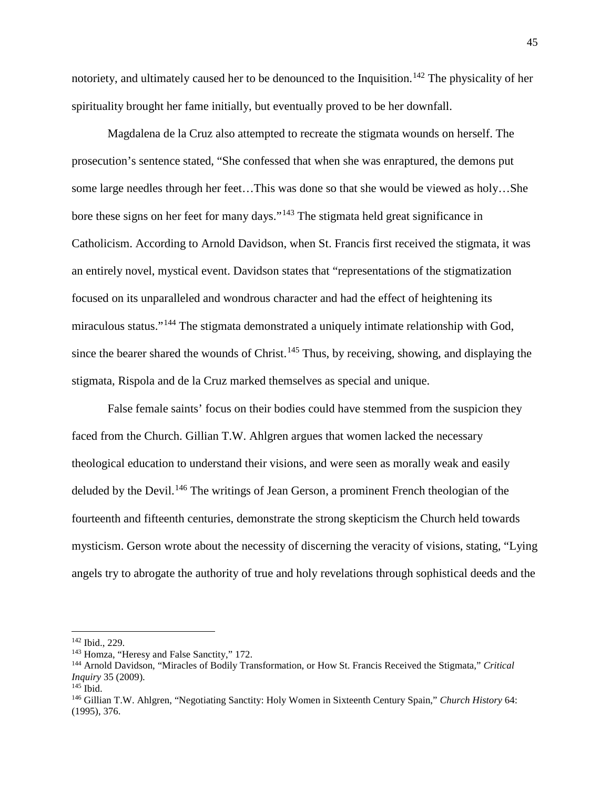notoriety, and ultimately caused her to be denounced to the Inquisition.<sup>[142](#page-46-0)</sup> The physicality of her spirituality brought her fame initially, but eventually proved to be her downfall.

Magdalena de la Cruz also attempted to recreate the stigmata wounds on herself. The prosecution's sentence stated, "She confessed that when she was enraptured, the demons put some large needles through her feet…This was done so that she would be viewed as holy…She bore these signs on her feet for many days."[143](#page-46-1) The stigmata held great significance in Catholicism. According to Arnold Davidson, when St. Francis first received the stigmata, it was an entirely novel, mystical event. Davidson states that "representations of the stigmatization focused on its unparalleled and wondrous character and had the effect of heightening its miraculous status."<sup>[144](#page-46-2)</sup> The stigmata demonstrated a uniquely intimate relationship with God, since the bearer shared the wounds of Christ.<sup>[145](#page-46-3)</sup> Thus, by receiving, showing, and displaying the stigmata, Rispola and de la Cruz marked themselves as special and unique.

False female saints' focus on their bodies could have stemmed from the suspicion they faced from the Church. Gillian T.W. Ahlgren argues that women lacked the necessary theological education to understand their visions, and were seen as morally weak and easily deluded by the Devil.<sup>[146](#page-46-4)</sup> The writings of Jean Gerson, a prominent French theologian of the fourteenth and fifteenth centuries, demonstrate the strong skepticism the Church held towards mysticism. Gerson wrote about the necessity of discerning the veracity of visions, stating, "Lying angels try to abrogate the authority of true and holy revelations through sophistical deeds and the

<span id="page-46-1"></span><span id="page-46-0"></span> $142$  Ibid., 229.<br>  $143$  Homza, "Heresy and False Sanctity," 172.

<span id="page-46-2"></span><sup>144</sup> Arnold Davidson, "Miracles of Bodily Transformation, or How St. Francis Received the Stigmata," *Critical Inquiry* 35 (2009). 145 Ibid.

<span id="page-46-3"></span>

<span id="page-46-4"></span><sup>146</sup> Gillian T.W. Ahlgren, "Negotiating Sanctity: Holy Women in Sixteenth Century Spain," *Church History* 64: (1995), 376.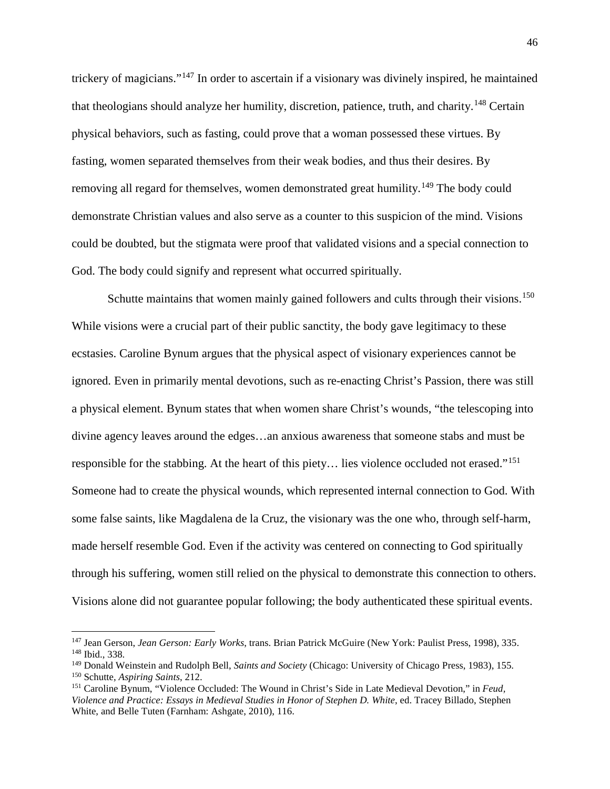trickery of magicians."[147](#page-47-0) In order to ascertain if a visionary was divinely inspired, he maintained that theologians should analyze her humility, discretion, patience, truth, and charity.[148](#page-47-1) Certain physical behaviors, such as fasting, could prove that a woman possessed these virtues. By fasting, women separated themselves from their weak bodies, and thus their desires. By removing all regard for themselves, women demonstrated great humility.<sup>[149](#page-47-2)</sup> The body could demonstrate Christian values and also serve as a counter to this suspicion of the mind. Visions could be doubted, but the stigmata were proof that validated visions and a special connection to God. The body could signify and represent what occurred spiritually.

Schutte maintains that women mainly gained followers and cults through their visions.<sup>[150](#page-47-3)</sup> While visions were a crucial part of their public sanctity, the body gave legitimacy to these ecstasies. Caroline Bynum argues that the physical aspect of visionary experiences cannot be ignored. Even in primarily mental devotions, such as re-enacting Christ's Passion, there was still a physical element. Bynum states that when women share Christ's wounds, "the telescoping into divine agency leaves around the edges…an anxious awareness that someone stabs and must be responsible for the stabbing. At the heart of this piety... lies violence occluded not erased."<sup>[151](#page-47-4)</sup> Someone had to create the physical wounds, which represented internal connection to God. With some false saints, like Magdalena de la Cruz, the visionary was the one who, through self-harm, made herself resemble God. Even if the activity was centered on connecting to God spiritually through his suffering, women still relied on the physical to demonstrate this connection to others. Visions alone did not guarantee popular following; the body authenticated these spiritual events.

<span id="page-47-1"></span><span id="page-47-0"></span><sup>147</sup> Jean Gerson, *Jean Gerson: Early Works*, trans. Brian Patrick McGuire (New York: Paulist Press, 1998), 335. <sup>148</sup> Ibid., 338.

<span id="page-47-2"></span><sup>149</sup> Donald Weinstein and Rudolph Bell, *Saints and Society* (Chicago: University of Chicago Press, 1983), 155. 150 Schutte, *Aspiring Saints*, 212.

<span id="page-47-4"></span><span id="page-47-3"></span><sup>151</sup> Caroline Bynum, "Violence Occluded: The Wound in Christ's Side in Late Medieval Devotion," in *Feud,*  Violence and Practice: Essays in Medieval Studies in Honor of Stephen D. White, ed. Tracey Billado, Stephen White, and Belle Tuten (Farnham: Ashgate, 2010), 116.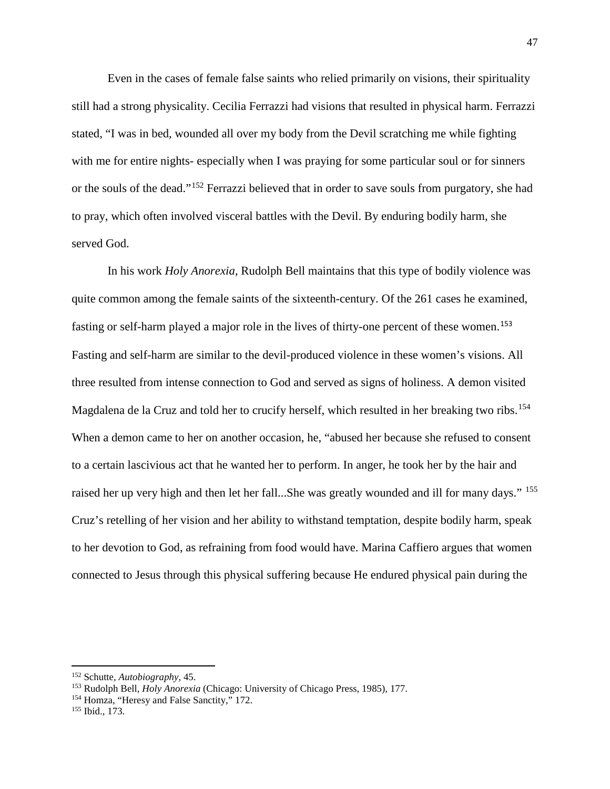Even in the cases of female false saints who relied primarily on visions, their spirituality still had a strong physicality. Cecilia Ferrazzi had visions that resulted in physical harm. Ferrazzi stated, "I was in bed, wounded all over my body from the Devil scratching me while fighting with me for entire nights- especially when I was praying for some particular soul or for sinners or the souls of the dead."[152](#page-48-0) Ferrazzi believed that in order to save souls from purgatory, she had to pray, which often involved visceral battles with the Devil. By enduring bodily harm, she served God.

In his work *Holy Anorexia*, Rudolph Bell maintains that this type of bodily violence was quite common among the female saints of the sixteenth-century. Of the 261 cases he examined, fasting or self-harm played a major role in the lives of thirty-one percent of these women.<sup>[153](#page-48-1)</sup> Fasting and self-harm are similar to the devil-produced violence in these women's visions. All three resulted from intense connection to God and served as signs of holiness. A demon visited Magdalena de la Cruz and told her to crucify herself, which resulted in her breaking two ribs.<sup>[154](#page-48-2)</sup> When a demon came to her on another occasion, he, "abused her because she refused to consent to a certain lascivious act that he wanted her to perform. In anger, he took her by the hair and raised her up very high and then let her fall...She was greatly wounded and ill for many days." <sup>[155](#page-48-3)</sup> Cruz's retelling of her vision and her ability to withstand temptation, despite bodily harm, speak to her devotion to God, as refraining from food would have. Marina Caffiero argues that women connected to Jesus through this physical suffering because He endured physical pain during the

<span id="page-48-1"></span><span id="page-48-0"></span><sup>&</sup>lt;sup>152</sup> Schutte, *Autobiography*, 45.<br><sup>153</sup> Rudolph Bell, *Holy Anorexia* (Chicago: University of Chicago Press, 1985), 177.<br><sup>154</sup> Homza, "Heresy and False Sanctity," 172.

<span id="page-48-3"></span><span id="page-48-2"></span><sup>155</sup> Ibid., 173.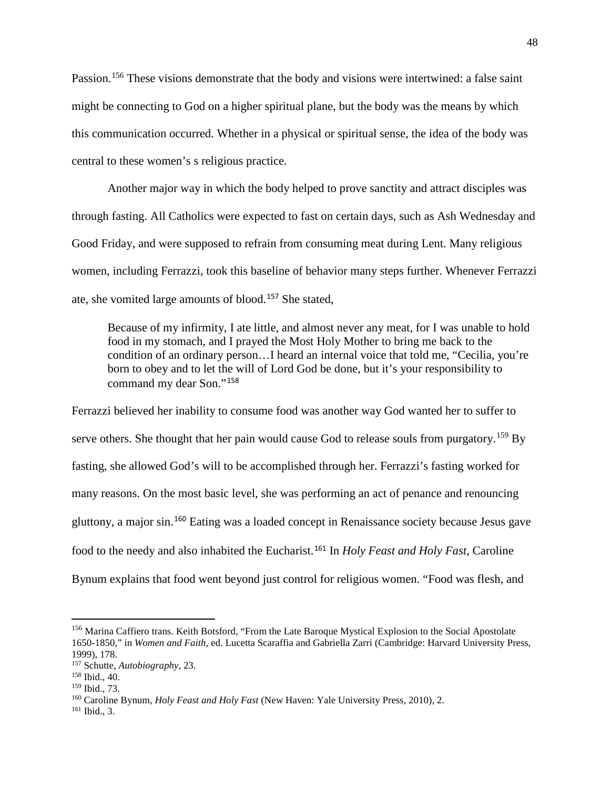Passion.<sup>[156](#page-49-0)</sup> These visions demonstrate that the body and visions were intertwined: a false saint might be connecting to God on a higher spiritual plane, but the body was the means by which this communication occurred. Whether in a physical or spiritual sense, the idea of the body was central to these women's s religious practice.

Another major way in which the body helped to prove sanctity and attract disciples was through fasting. All Catholics were expected to fast on certain days, such as Ash Wednesday and Good Friday, and were supposed to refrain from consuming meat during Lent. Many religious women, including Ferrazzi, took this baseline of behavior many steps further. Whenever Ferrazzi ate, she vomited large amounts of blood.[157](#page-49-1) She stated,

Because of my infirmity, I ate little, and almost never any meat, for I was unable to hold food in my stomach, and I prayed the Most Holy Mother to bring me back to the condition of an ordinary person…I heard an internal voice that told me, "Cecilia, you're born to obey and to let the will of Lord God be done, but it's your responsibility to command my dear Son."[158](#page-49-2)

Ferrazzi believed her inability to consume food was another way God wanted her to suffer to serve others. She thought that her pain would cause God to release souls from purgatory.<sup>[159](#page-49-3)</sup> By fasting, she allowed God's will to be accomplished through her. Ferrazzi's fasting worked for many reasons. On the most basic level, she was performing an act of penance and renouncing gluttony, a major sin.[160](#page-49-4) Eating was a loaded concept in Renaissance society because Jesus gave food to the needy and also inhabited the Eucharist.[161](#page-49-5) In *Holy Feast and Holy Fast*, Caroline Bynum explains that food went beyond just control for religious women. "Food was flesh, and

<span id="page-49-0"></span><sup>156</sup> Marina Caffiero trans. Keith Botsford, "From the Late Baroque Mystical Explosion to the Social Apostolate 1650-1850," in *Women and Faith,* ed. Lucetta Scaraffia and Gabriella Zarri (Cambridge: Harvard University Press, 1999), 178.

<span id="page-49-2"></span><span id="page-49-1"></span><sup>&</sup>lt;sup>157</sup> Schutte, *Autobiography*, 23.<br><sup>158</sup> Ibid., 40.<br><sup>159</sup> Ibid., 73.

<span id="page-49-4"></span><span id="page-49-3"></span><sup>&</sup>lt;sup>160</sup> Caroline Bynum, *Holy Feast and Holy Fast* (New Haven: Yale University Press, 2010), 2. <sup>161</sup> Ibid., 3.

<span id="page-49-5"></span>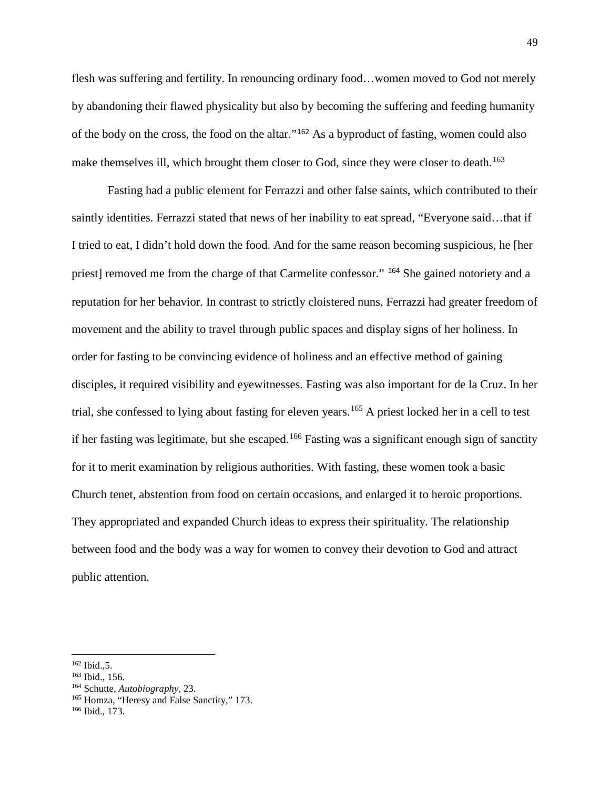flesh was suffering and fertility. In renouncing ordinary food…women moved to God not merely by abandoning their flawed physicality but also by becoming the suffering and feeding humanity of the body on the cross, the food on the altar."[162](#page-50-0) As a byproduct of fasting, women could also make themselves ill, which brought them closer to God, since they were closer to death.<sup>[163](#page-50-1)</sup>

Fasting had a public element for Ferrazzi and other false saints, which contributed to their saintly identities. Ferrazzi stated that news of her inability to eat spread, "Everyone said…that if I tried to eat, I didn't hold down the food. And for the same reason becoming suspicious, he [her priest] removed me from the charge of that Carmelite confessor." [164](#page-50-2) She gained notoriety and a reputation for her behavior. In contrast to strictly cloistered nuns, Ferrazzi had greater freedom of movement and the ability to travel through public spaces and display signs of her holiness. In order for fasting to be convincing evidence of holiness and an effective method of gaining disciples, it required visibility and eyewitnesses. Fasting was also important for de la Cruz. In her trial, she confessed to lying about fasting for eleven years.<sup>[165](#page-50-3)</sup> A priest locked her in a cell to test if her fasting was legitimate, but she escaped.<sup>[166](#page-50-4)</sup> Fasting was a significant enough sign of sanctity for it to merit examination by religious authorities. With fasting, these women took a basic Church tenet, abstention from food on certain occasions, and enlarged it to heroic proportions. They appropriated and expanded Church ideas to express their spirituality. The relationship between food and the body was a way for women to convey their devotion to God and attract public attention.

<span id="page-50-2"></span>

<span id="page-50-1"></span><span id="page-50-0"></span><sup>&</sup>lt;sup>162</sup> Ibid., 5.<br><sup>163</sup> Ibid., 156.<br><sup>164</sup> Schutte, *Autobiography*, 23.<br><sup>165</sup> Homza, "Heresy and False Sanctity," 173.

<span id="page-50-4"></span><span id="page-50-3"></span><sup>166</sup> Ibid., 173.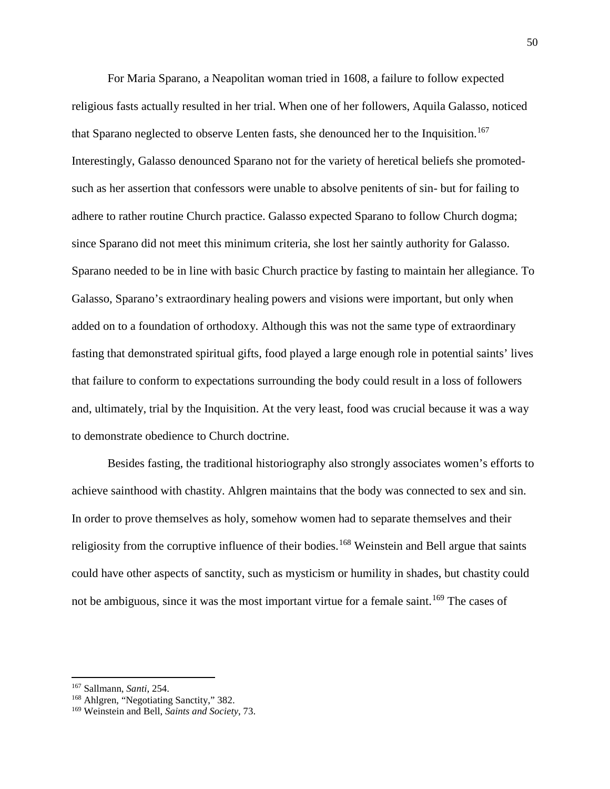For Maria Sparano, a Neapolitan woman tried in 1608, a failure to follow expected religious fasts actually resulted in her trial. When one of her followers, Aquila Galasso, noticed that Sparano neglected to observe Lenten fasts, she denounced her to the Inquisition.<sup>[167](#page-51-0)</sup> Interestingly, Galasso denounced Sparano not for the variety of heretical beliefs she promotedsuch as her assertion that confessors were unable to absolve penitents of sin- but for failing to adhere to rather routine Church practice. Galasso expected Sparano to follow Church dogma; since Sparano did not meet this minimum criteria, she lost her saintly authority for Galasso. Sparano needed to be in line with basic Church practice by fasting to maintain her allegiance. To Galasso, Sparano's extraordinary healing powers and visions were important, but only when added on to a foundation of orthodoxy. Although this was not the same type of extraordinary fasting that demonstrated spiritual gifts, food played a large enough role in potential saints' lives that failure to conform to expectations surrounding the body could result in a loss of followers and, ultimately, trial by the Inquisition. At the very least, food was crucial because it was a way to demonstrate obedience to Church doctrine.

Besides fasting, the traditional historiography also strongly associates women's efforts to achieve sainthood with chastity. Ahlgren maintains that the body was connected to sex and sin. In order to prove themselves as holy, somehow women had to separate themselves and their religiosity from the corruptive influence of their bodies.<sup>[168](#page-51-1)</sup> Weinstein and Bell argue that saints could have other aspects of sanctity, such as mysticism or humility in shades, but chastity could not be ambiguous, since it was the most important virtue for a female saint.<sup>[169](#page-51-2)</sup> The cases of

<span id="page-51-0"></span><sup>&</sup>lt;sup>167</sup> Sallmann, *Santi*, 254.<br><sup>168</sup> Ahlgren, "Negotiating Sanctity," 382.

<span id="page-51-2"></span><span id="page-51-1"></span><sup>169</sup> Weinstein and Bell, *Saints and Society*, 73.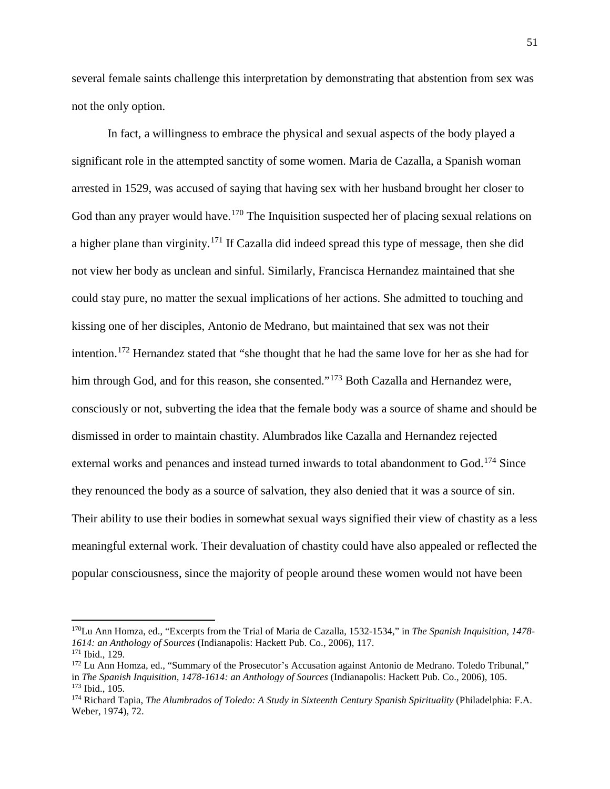several female saints challenge this interpretation by demonstrating that abstention from sex was not the only option.

In fact, a willingness to embrace the physical and sexual aspects of the body played a significant role in the attempted sanctity of some women. Maria de Cazalla, a Spanish woman arrested in 1529, was accused of saying that having sex with her husband brought her closer to God than any prayer would have.<sup>[170](#page-52-0)</sup> The Inquisition suspected her of placing sexual relations on a higher plane than virginity.[171](#page-52-1) If Cazalla did indeed spread this type of message, then she did not view her body as unclean and sinful. Similarly, Francisca Hernandez maintained that she could stay pure, no matter the sexual implications of her actions. She admitted to touching and kissing one of her disciples, Antonio de Medrano, but maintained that sex was not their intention.[172](#page-52-2) Hernandez stated that "she thought that he had the same love for her as she had for him through God, and for this reason, she consented."<sup>[173](#page-52-3)</sup> Both Cazalla and Hernandez were, consciously or not, subverting the idea that the female body was a source of shame and should be dismissed in order to maintain chastity. Alumbrados like Cazalla and Hernandez rejected external works and penances and instead turned inwards to total abandonment to God.<sup>[174](#page-52-4)</sup> Since they renounced the body as a source of salvation, they also denied that it was a source of sin. Their ability to use their bodies in somewhat sexual ways signified their view of chastity as a less meaningful external work. Their devaluation of chastity could have also appealed or reflected the popular consciousness, since the majority of people around these women would not have been

<span id="page-52-0"></span><sup>170</sup>Lu Ann Homza, ed., "Excerpts from the Trial of Maria de Cazalla, 1532-1534," in *The Spanish Inquisition, 1478-*

<span id="page-52-2"></span>

<span id="page-52-1"></span>*<sup>1614:</sup> an Anthology of Sources* (Indianapolis: Hackett Pub. Co., 2006), 117.<br><sup>171</sup> Ibid., 129.<br><sup>172</sup> Lu Ann Homza, ed., "Summary of the Prosecutor's Accusation against Antonio de Medrano. Toledo Tribunal,"<br>in *The Spanish* <sup>173</sup> Ibid., 105.<br><sup>174</sup> Richard Tapia, *The Alumbrados of Toledo: A Study in Sixteenth Century Spanish Spirituality (Philadelphia: F.A.* 

<span id="page-52-4"></span><span id="page-52-3"></span>Weber, 1974), 72.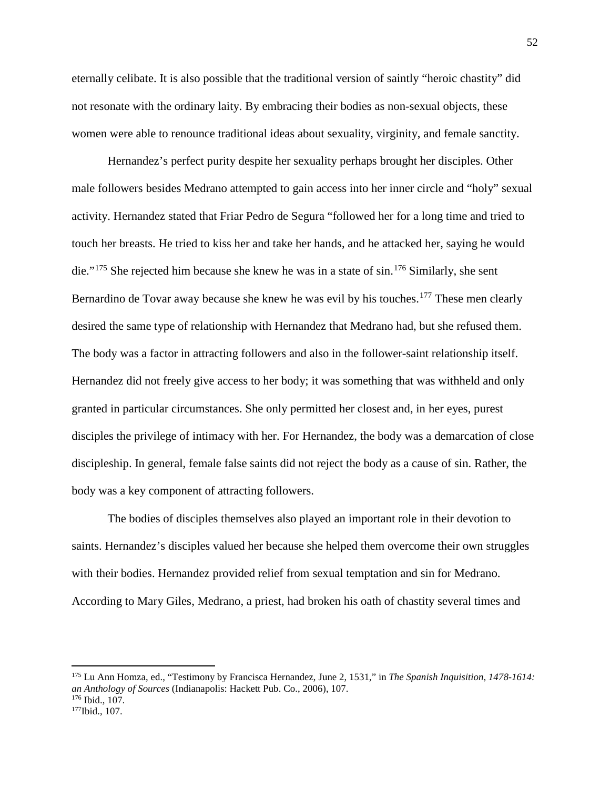eternally celibate. It is also possible that the traditional version of saintly "heroic chastity" did not resonate with the ordinary laity. By embracing their bodies as non-sexual objects, these women were able to renounce traditional ideas about sexuality, virginity, and female sanctity.

Hernandez's perfect purity despite her sexuality perhaps brought her disciples. Other male followers besides Medrano attempted to gain access into her inner circle and "holy" sexual activity. Hernandez stated that Friar Pedro de Segura "followed her for a long time and tried to touch her breasts. He tried to kiss her and take her hands, and he attacked her, saying he would die."<sup>[175](#page-53-0)</sup> She rejected him because she knew he was in a state of sin.<sup>[176](#page-53-1)</sup> Similarly, she sent Bernardino de Tovar away because she knew he was evil by his touches.<sup>[177](#page-53-2)</sup> These men clearly desired the same type of relationship with Hernandez that Medrano had, but she refused them. The body was a factor in attracting followers and also in the follower-saint relationship itself. Hernandez did not freely give access to her body; it was something that was withheld and only granted in particular circumstances. She only permitted her closest and, in her eyes, purest disciples the privilege of intimacy with her. For Hernandez, the body was a demarcation of close discipleship. In general, female false saints did not reject the body as a cause of sin. Rather, the body was a key component of attracting followers.

The bodies of disciples themselves also played an important role in their devotion to saints. Hernandez's disciples valued her because she helped them overcome their own struggles with their bodies. Hernandez provided relief from sexual temptation and sin for Medrano. According to Mary Giles, Medrano, a priest, had broken his oath of chastity several times and

<span id="page-53-0"></span><sup>175</sup> Lu Ann Homza, ed., "Testimony by Francisca Hernandez, June 2, 1531," in *The Spanish Inquisition, 1478-1614: an Anthology of Sources* (Indianapolis: Hackett Pub. Co., 2006), 107. 176 Ibid., 107. 177Ibid., 107.

<span id="page-53-2"></span><span id="page-53-1"></span>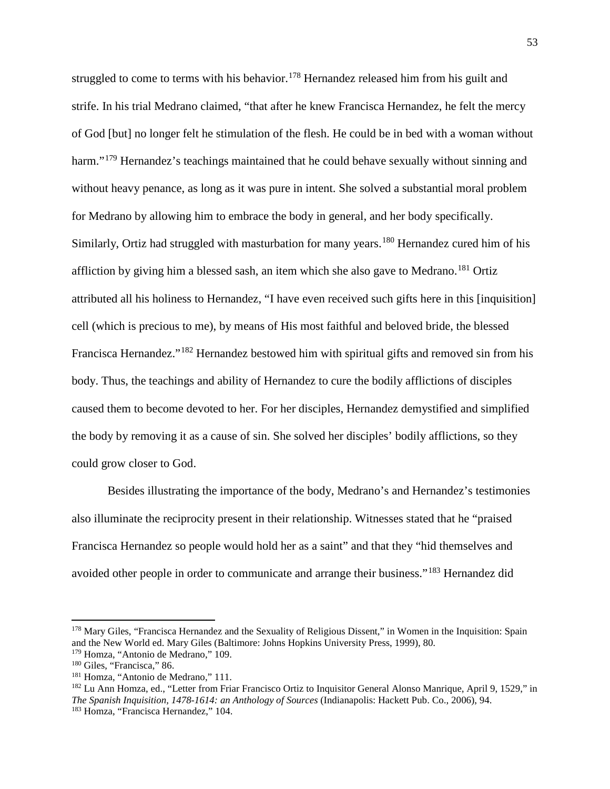struggled to come to terms with his behavior.<sup>[178](#page-54-0)</sup> Hernandez released him from his guilt and strife. In his trial Medrano claimed, "that after he knew Francisca Hernandez, he felt the mercy of God [but] no longer felt he stimulation of the flesh. He could be in bed with a woman without harm."<sup>[179](#page-54-1)</sup> Hernandez's teachings maintained that he could behave sexually without sinning and without heavy penance, as long as it was pure in intent. She solved a substantial moral problem for Medrano by allowing him to embrace the body in general, and her body specifically. Similarly, Ortiz had struggled with masturbation for many years.<sup>[180](#page-54-2)</sup> Hernandez cured him of his affliction by giving him a blessed sash, an item which she also gave to Medrano.<sup>[181](#page-54-3)</sup> Ortiz attributed all his holiness to Hernandez, "I have even received such gifts here in this [inquisition] cell (which is precious to me), by means of His most faithful and beloved bride, the blessed Francisca Hernandez."[182](#page-54-4) Hernandez bestowed him with spiritual gifts and removed sin from his body. Thus, the teachings and ability of Hernandez to cure the bodily afflictions of disciples caused them to become devoted to her. For her disciples, Hernandez demystified and simplified the body by removing it as a cause of sin. She solved her disciples' bodily afflictions, so they could grow closer to God.

Besides illustrating the importance of the body, Medrano's and Hernandez's testimonies also illuminate the reciprocity present in their relationship. Witnesses stated that he "praised Francisca Hernandez so people would hold her as a saint" and that they "hid themselves and avoided other people in order to communicate and arrange their business."[183](#page-54-5) Hernandez did

<span id="page-54-0"></span><sup>&</sup>lt;sup>178</sup> Mary Giles, "Francisca Hernandez and the Sexuality of Religious Dissent," in Women in the Inquisition: Spain and the New World ed. Mary Giles (Baltimore: Johns Hopkins University Press, 1999), 80.<br><sup>179</sup> Homza, "Antonio de Medrano," 109.

<span id="page-54-1"></span>

<span id="page-54-3"></span>

<span id="page-54-5"></span><span id="page-54-4"></span>

<span id="page-54-2"></span><sup>&</sup>lt;sup>180</sup> Giles, "Francisca," 86.<br><sup>181</sup> Homza, "Antonio de Medrano," 111.<br><sup>182</sup> Lu Ann Homza, ed., "Letter from Friar Francisco Ortiz to Inquisitor General Alonso Manrique, April 9, 1529," in *The Spanish Inquisition, 1478-1614: an Anthology of Sources* (Indianapolis: Hackett Pub. Co., 2006), 94. 183 Homza, "Francisca Hernandez," 104.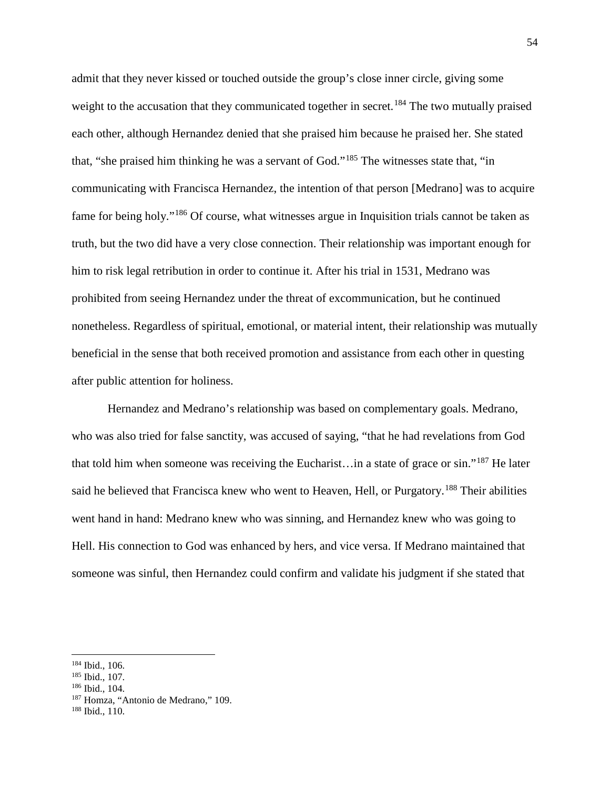admit that they never kissed or touched outside the group's close inner circle, giving some weight to the accusation that they communicated together in secret.<sup>[184](#page-55-0)</sup> The two mutually praised each other, although Hernandez denied that she praised him because he praised her. She stated that, "she praised him thinking he was a servant of God."[185](#page-55-1) The witnesses state that, "in communicating with Francisca Hernandez, the intention of that person [Medrano] was to acquire fame for being holy."[186](#page-55-2) Of course, what witnesses argue in Inquisition trials cannot be taken as truth, but the two did have a very close connection. Their relationship was important enough for him to risk legal retribution in order to continue it. After his trial in 1531, Medrano was prohibited from seeing Hernandez under the threat of excommunication, but he continued nonetheless. Regardless of spiritual, emotional, or material intent, their relationship was mutually beneficial in the sense that both received promotion and assistance from each other in questing after public attention for holiness.

Hernandez and Medrano's relationship was based on complementary goals. Medrano, who was also tried for false sanctity, was accused of saying, "that he had revelations from God that told him when someone was receiving the Eucharist... in a state of grace or sin."<sup>[187](#page-55-3)</sup> He later said he believed that Francisca knew who went to Heaven, Hell, or Purgatory.<sup>[188](#page-55-4)</sup> Their abilities went hand in hand: Medrano knew who was sinning, and Hernandez knew who was going to Hell. His connection to God was enhanced by hers, and vice versa. If Medrano maintained that someone was sinful, then Hernandez could confirm and validate his judgment if she stated that

<span id="page-55-0"></span> $\frac{184 \text{ Ibid., } 106.}{185 \text{ Ibid., } 107.}$ 

<span id="page-55-2"></span><span id="page-55-1"></span><sup>186</sup> Ibid., 104.

<span id="page-55-4"></span><span id="page-55-3"></span><sup>&</sup>lt;sup>187</sup> Homza, "Antonio de Medrano," 109.<br><sup>188</sup> Ibid., 110.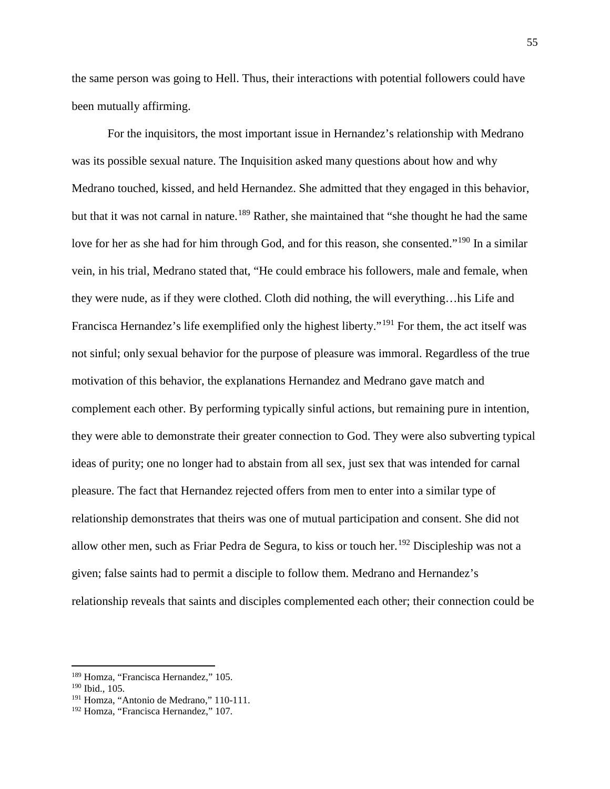the same person was going to Hell. Thus, their interactions with potential followers could have been mutually affirming.

For the inquisitors, the most important issue in Hernandez's relationship with Medrano was its possible sexual nature. The Inquisition asked many questions about how and why Medrano touched, kissed, and held Hernandez. She admitted that they engaged in this behavior, but that it was not carnal in nature.<sup>[189](#page-56-0)</sup> Rather, she maintained that "she thought he had the same love for her as she had for him through God, and for this reason, she consented."<sup>[190](#page-56-1)</sup> In a similar vein, in his trial, Medrano stated that, "He could embrace his followers, male and female, when they were nude, as if they were clothed. Cloth did nothing, the will everything…his Life and Francisca Hernandez's life exemplified only the highest liberty."<sup>[191](#page-56-2)</sup> For them, the act itself was not sinful; only sexual behavior for the purpose of pleasure was immoral. Regardless of the true motivation of this behavior, the explanations Hernandez and Medrano gave match and complement each other. By performing typically sinful actions, but remaining pure in intention, they were able to demonstrate their greater connection to God. They were also subverting typical ideas of purity; one no longer had to abstain from all sex, just sex that was intended for carnal pleasure. The fact that Hernandez rejected offers from men to enter into a similar type of relationship demonstrates that theirs was one of mutual participation and consent. She did not allow other men, such as Friar Pedra de Segura, to kiss or touch her.<sup>[192](#page-56-3)</sup> Discipleship was not a given; false saints had to permit a disciple to follow them. Medrano and Hernandez's relationship reveals that saints and disciples complemented each other; their connection could be

<span id="page-56-0"></span><sup>189</sup> Homza, "Francisca Hernandez," 105.

<span id="page-56-1"></span><sup>190</sup> Ibid., 105.

<span id="page-56-2"></span><sup>&</sup>lt;sup>191</sup> Homza, "Antonio de Medrano," 110-111.

<span id="page-56-3"></span><sup>192</sup> Homza, "Francisca Hernandez," 107.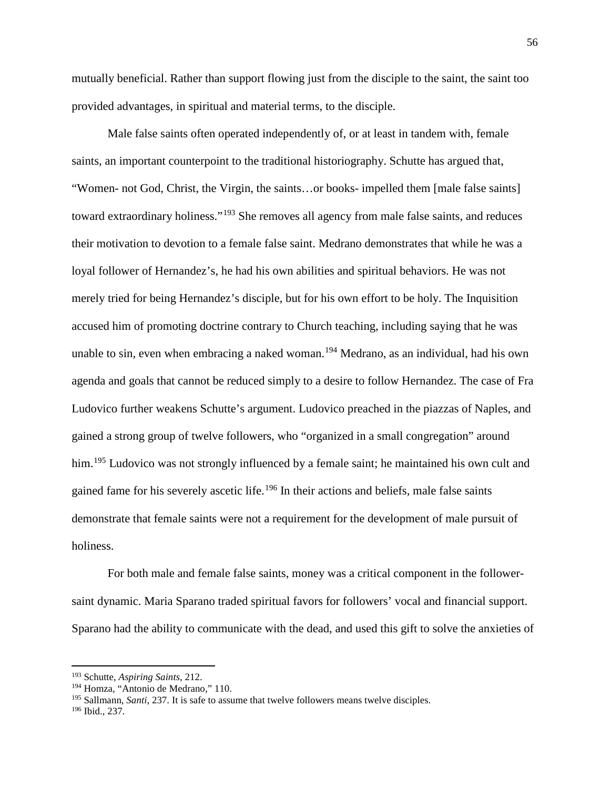mutually beneficial. Rather than support flowing just from the disciple to the saint, the saint too provided advantages, in spiritual and material terms, to the disciple.

Male false saints often operated independently of, or at least in tandem with, female saints, an important counterpoint to the traditional historiography. Schutte has argued that, "Women- not God, Christ, the Virgin, the saints…or books- impelled them [male false saints] toward extraordinary holiness."<sup>[193](#page-57-0)</sup> She removes all agency from male false saints, and reduces their motivation to devotion to a female false saint. Medrano demonstrates that while he was a loyal follower of Hernandez's, he had his own abilities and spiritual behaviors. He was not merely tried for being Hernandez's disciple, but for his own effort to be holy. The Inquisition accused him of promoting doctrine contrary to Church teaching, including saying that he was unable to sin, even when embracing a naked woman.<sup>[194](#page-57-1)</sup> Medrano, as an individual, had his own agenda and goals that cannot be reduced simply to a desire to follow Hernandez. The case of Fra Ludovico further weakens Schutte's argument. Ludovico preached in the piazzas of Naples, and gained a strong group of twelve followers, who "organized in a small congregation" around him.<sup>[195](#page-57-2)</sup> Ludovico was not strongly influenced by a female saint; he maintained his own cult and gained fame for his severely ascetic life.<sup>[196](#page-57-3)</sup> In their actions and beliefs, male false saints demonstrate that female saints were not a requirement for the development of male pursuit of holiness.

For both male and female false saints, money was a critical component in the followersaint dynamic. Maria Sparano traded spiritual favors for followers' vocal and financial support. Sparano had the ability to communicate with the dead, and used this gift to solve the anxieties of

<span id="page-57-0"></span><sup>193</sup> Schutte, *Aspiring Saints*, 212.

<span id="page-57-1"></span><sup>194</sup> Homza, "Antonio de Medrano," 110.

<span id="page-57-2"></span><sup>195</sup> Sallmann, *Santi*, 237. It is safe to assume that twelve followers means twelve disciples.

<span id="page-57-3"></span><sup>196</sup> Ibid., 237.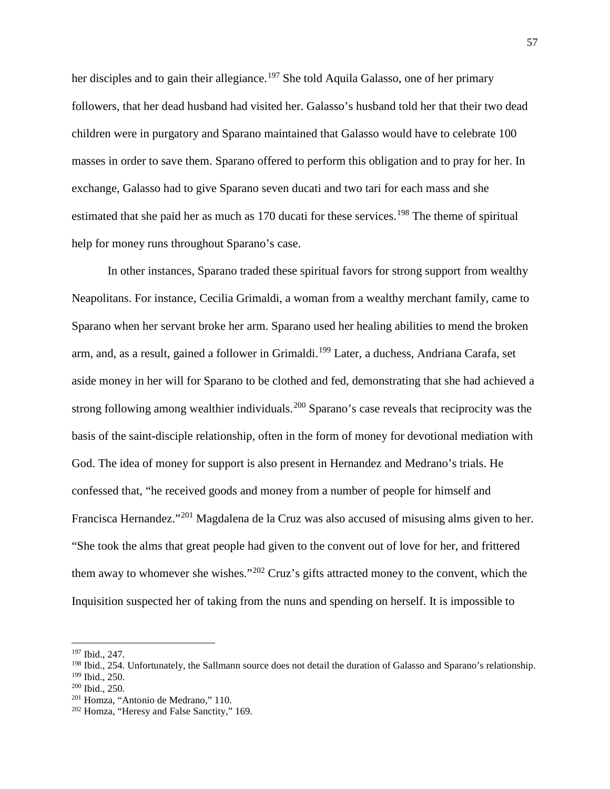her disciples and to gain their allegiance.<sup>[197](#page-58-0)</sup> She told Aquila Galasso, one of her primary followers, that her dead husband had visited her. Galasso's husband told her that their two dead children were in purgatory and Sparano maintained that Galasso would have to celebrate 100 masses in order to save them. Sparano offered to perform this obligation and to pray for her. In exchange, Galasso had to give Sparano seven ducati and two tari for each mass and she estimated that she paid her as much as 170 ducati for these services.<sup>[198](#page-58-1)</sup> The theme of spiritual help for money runs throughout Sparano's case.

In other instances, Sparano traded these spiritual favors for strong support from wealthy Neapolitans. For instance, Cecilia Grimaldi, a woman from a wealthy merchant family, came to Sparano when her servant broke her arm. Sparano used her healing abilities to mend the broken arm, and, as a result, gained a follower in Grimaldi.<sup>[199](#page-58-2)</sup> Later, a duchess, Andriana Carafa, set aside money in her will for Sparano to be clothed and fed, demonstrating that she had achieved a strong following among wealthier individuals.<sup>[200](#page-58-3)</sup> Sparano's case reveals that reciprocity was the basis of the saint-disciple relationship, often in the form of money for devotional mediation with God. The idea of money for support is also present in Hernandez and Medrano's trials. He confessed that, "he received goods and money from a number of people for himself and Francisca Hernandez."[201](#page-58-4) Magdalena de la Cruz was also accused of misusing alms given to her. "She took the alms that great people had given to the convent out of love for her, and frittered them away to whomever she wishes."<sup>[202](#page-58-5)</sup> Cruz's gifts attracted money to the convent, which the Inquisition suspected her of taking from the nuns and spending on herself. It is impossible to

<span id="page-58-0"></span><sup>197</sup> Ibid., 247.

<span id="page-58-2"></span><span id="page-58-1"></span> $198$  Ibid., 254. Unfortunately, the Sallmann source does not detail the duration of Galasso and Sparano's relationship.<br> $199$  Ibid., 250.

<span id="page-58-3"></span><sup>&</sup>lt;sup>200</sup> Ibid., 250.<br><sup>201</sup> Homza, "Antonio de Medrano," 110.

<span id="page-58-5"></span><span id="page-58-4"></span><sup>202</sup> Homza, "Heresy and False Sanctity," 169.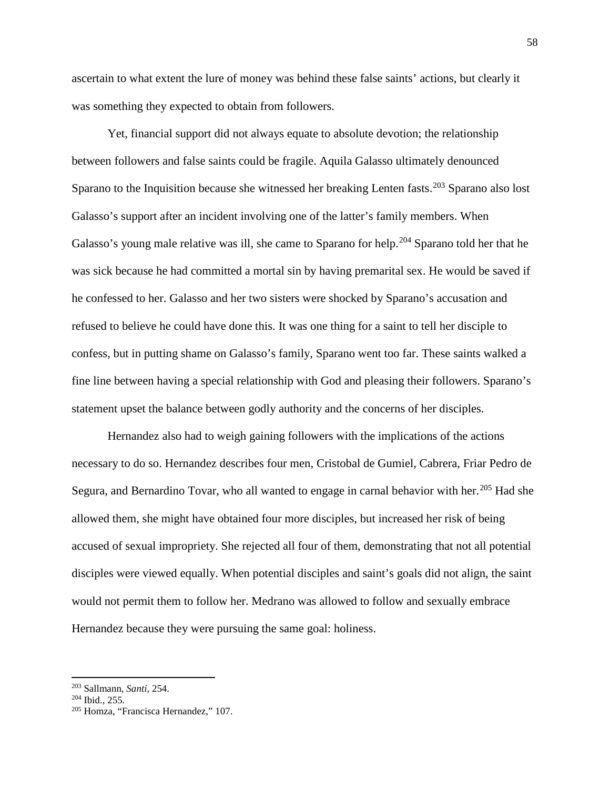ascertain to what extent the lure of money was behind these false saints' actions, but clearly it was something they expected to obtain from followers.

Yet, financial support did not always equate to absolute devotion; the relationship between followers and false saints could be fragile. Aquila Galasso ultimately denounced Sparano to the Inquisition because she witnessed her breaking Lenten fasts.<sup>[203](#page-59-0)</sup> Sparano also lost Galasso's support after an incident involving one of the latter's family members. When Galasso's young male relative was ill, she came to Sparano for help.<sup>[204](#page-59-1)</sup> Sparano told her that he was sick because he had committed a mortal sin by having premarital sex. He would be saved if he confessed to her. Galasso and her two sisters were shocked by Sparano's accusation and refused to believe he could have done this. It was one thing for a saint to tell her disciple to confess, but in putting shame on Galasso's family, Sparano went too far. These saints walked a fine line between having a special relationship with God and pleasing their followers. Sparano's statement upset the balance between godly authority and the concerns of her disciples.

Hernandez also had to weigh gaining followers with the implications of the actions necessary to do so. Hernandez describes four men, Cristobal de Gumiel, Cabrera, Friar Pedro de Segura, and Bernardino Tovar, who all wanted to engage in carnal behavior with her.<sup>[205](#page-59-2)</sup> Had she allowed them, she might have obtained four more disciples, but increased her risk of being accused of sexual impropriety. She rejected all four of them, demonstrating that not all potential disciples were viewed equally. When potential disciples and saint's goals did not align, the saint would not permit them to follow her. Medrano was allowed to follow and sexually embrace Hernandez because they were pursuing the same goal: holiness.

<span id="page-59-0"></span><sup>203</sup> Sallmann, *Santi*, 254.

<span id="page-59-1"></span> $204$  Ibid., 255.

<span id="page-59-2"></span><sup>205</sup> Homza, "Francisca Hernandez," 107.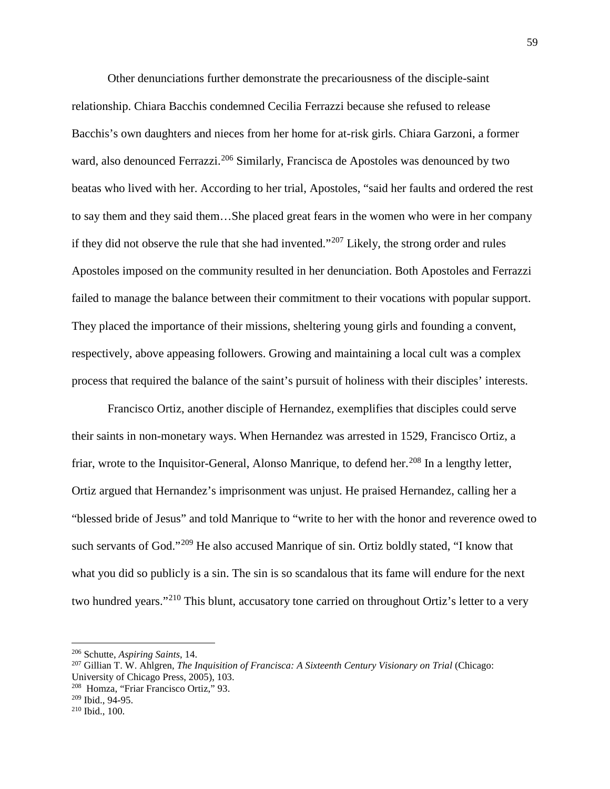Other denunciations further demonstrate the precariousness of the disciple-saint relationship. Chiara Bacchis condemned Cecilia Ferrazzi because she refused to release Bacchis's own daughters and nieces from her home for at-risk girls. Chiara Garzoni, a former ward, also denounced Ferrazzi.<sup>[206](#page-60-0)</sup> Similarly, Francisca de Apostoles was denounced by two beatas who lived with her. According to her trial, Apostoles, "said her faults and ordered the rest to say them and they said them…She placed great fears in the women who were in her company if they did not observe the rule that she had invented."[207](#page-60-1) Likely, the strong order and rules Apostoles imposed on the community resulted in her denunciation. Both Apostoles and Ferrazzi failed to manage the balance between their commitment to their vocations with popular support. They placed the importance of their missions, sheltering young girls and founding a convent, respectively, above appeasing followers. Growing and maintaining a local cult was a complex process that required the balance of the saint's pursuit of holiness with their disciples' interests.

Francisco Ortiz, another disciple of Hernandez, exemplifies that disciples could serve their saints in non-monetary ways. When Hernandez was arrested in 1529, Francisco Ortiz, a friar, wrote to the Inquisitor-General, Alonso Manrique, to defend her.<sup>[208](#page-60-2)</sup> In a lengthy letter, Ortiz argued that Hernandez's imprisonment was unjust. He praised Hernandez, calling her a "blessed bride of Jesus" and told Manrique to "write to her with the honor and reverence owed to such servants of God."<sup>[209](#page-60-3)</sup> He also accused Manrique of sin. Ortiz boldly stated, "I know that what you did so publicly is a sin. The sin is so scandalous that its fame will endure for the next two hundred years."<sup>[210](#page-60-4)</sup> This blunt, accusatory tone carried on throughout Ortiz's letter to a very

<span id="page-60-1"></span>

<span id="page-60-0"></span><sup>&</sup>lt;sup>206</sup> Schutte, *Aspiring Saints*, 14.<br><sup>207</sup> Gillian T. W. Ahlgren, *The Inquisition of Francisca: A Sixteenth Century Visionary on Trial* (Chicago: University of Chicago Press, 2005), 103.

<span id="page-60-2"></span> $208$  Homza, "Friar Francisco Ortiz," 93.<br> $209$  Ibid., 94-95.

<span id="page-60-3"></span>

<span id="page-60-4"></span> $210$  Ibid., 100.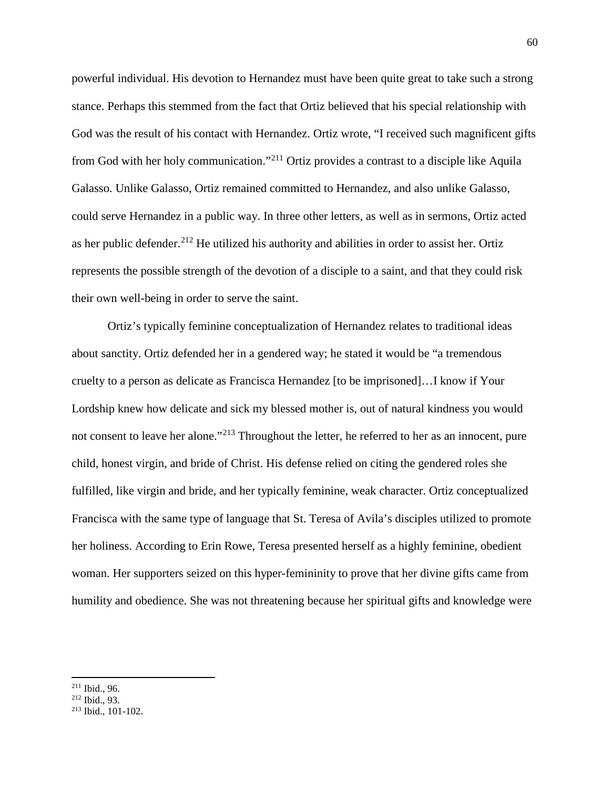powerful individual. His devotion to Hernandez must have been quite great to take such a strong stance. Perhaps this stemmed from the fact that Ortiz believed that his special relationship with God was the result of his contact with Hernandez. Ortiz wrote, "I received such magnificent gifts from God with her holy communication."[211](#page-61-0) Ortiz provides a contrast to a disciple like Aquila Galasso. Unlike Galasso, Ortiz remained committed to Hernandez, and also unlike Galasso, could serve Hernandez in a public way. In three other letters, as well as in sermons, Ortiz acted as her public defender.<sup>[212](#page-61-1)</sup> He utilized his authority and abilities in order to assist her. Ortiz represents the possible strength of the devotion of a disciple to a saint, and that they could risk their own well-being in order to serve the saint.

Ortiz's typically feminine conceptualization of Hernandez relates to traditional ideas about sanctity. Ortiz defended her in a gendered way; he stated it would be "a tremendous cruelty to a person as delicate as Francisca Hernandez [to be imprisoned]…I know if Your Lordship knew how delicate and sick my blessed mother is, out of natural kindness you would not consent to leave her alone."<sup>[213](#page-61-2)</sup> Throughout the letter, he referred to her as an innocent, pure child, honest virgin, and bride of Christ. His defense relied on citing the gendered roles she fulfilled, like virgin and bride, and her typically feminine, weak character. Ortiz conceptualized Francisca with the same type of language that St. Teresa of Avila's disciples utilized to promote her holiness. According to Erin Rowe, Teresa presented herself as a highly feminine, obedient woman. Her supporters seized on this hyper-femininity to prove that her divine gifts came from humility and obedience. She was not threatening because her spiritual gifts and knowledge were

<span id="page-61-2"></span><span id="page-61-1"></span>

<span id="page-61-0"></span><sup>&</sup>lt;sup>211</sup> Ibid., 96.<br><sup>212</sup> Ibid., 93.<br><sup>213</sup> Ibid., 101-102.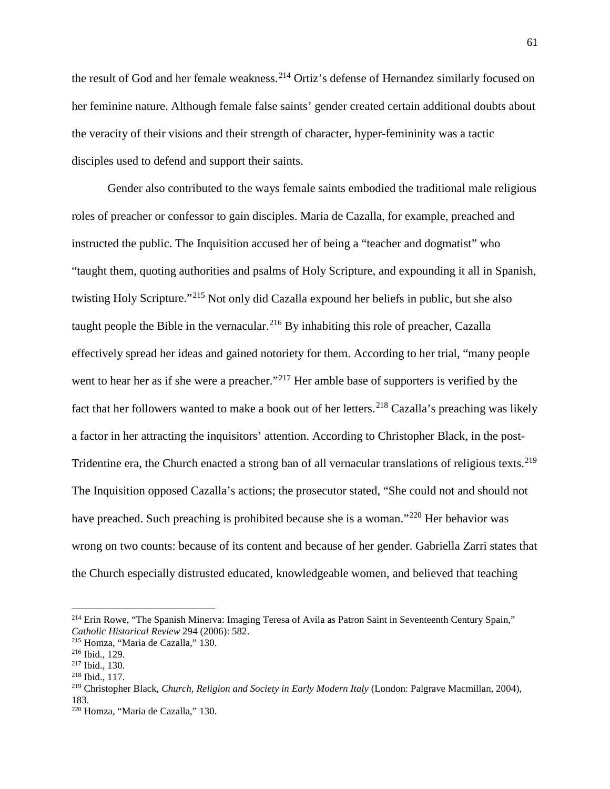the result of God and her female weakness.<sup>[214](#page-62-0)</sup> Ortiz's defense of Hernandez similarly focused on her feminine nature. Although female false saints' gender created certain additional doubts about the veracity of their visions and their strength of character, hyper-femininity was a tactic disciples used to defend and support their saints.

Gender also contributed to the ways female saints embodied the traditional male religious roles of preacher or confessor to gain disciples. Maria de Cazalla, for example, preached and instructed the public. The Inquisition accused her of being a "teacher and dogmatist" who "taught them, quoting authorities and psalms of Holy Scripture, and expounding it all in Spanish, twisting Holy Scripture."[215](#page-62-1) Not only did Cazalla expound her beliefs in public, but she also taught people the Bible in the vernacular.<sup>[216](#page-62-2)</sup> By inhabiting this role of preacher, Cazalla effectively spread her ideas and gained notoriety for them. According to her trial, "many people went to hear her as if she were a preacher."<sup>[217](#page-62-3)</sup> Her amble base of supporters is verified by the fact that her followers wanted to make a book out of her letters.<sup>[218](#page-62-4)</sup> Cazalla's preaching was likely a factor in her attracting the inquisitors' attention. According to Christopher Black, in the post-Tridentine era, the Church enacted a strong ban of all vernacular translations of religious texts.<sup>[219](#page-62-5)</sup> The Inquisition opposed Cazalla's actions; the prosecutor stated, "She could not and should not have preached. Such preaching is prohibited because she is a woman."[220](#page-62-6) Her behavior was wrong on two counts: because of its content and because of her gender. Gabriella Zarri states that the Church especially distrusted educated, knowledgeable women, and believed that teaching

<span id="page-62-0"></span><sup>&</sup>lt;sup>214</sup> Erin Rowe, "The Spanish Minerva: Imaging Teresa of Avila as Patron Saint in Seventeenth Century Spain," *Catholic Historical Review* 294 (2006): 582.

<span id="page-62-2"></span><span id="page-62-1"></span> $215$  Homza, "Maria de Cazalla," 130.<br> $216$  Ibid., 129.

<span id="page-62-4"></span><span id="page-62-3"></span> $^{217}$  Ibid., 130.<br><sup>218</sup> Ibid., 117.

<span id="page-62-5"></span><sup>219</sup> Christopher Black, *Church, Religion and Society in Early Modern Italy* (London: Palgrave Macmillan, 2004), 183.

<span id="page-62-6"></span><sup>220</sup> Homza, "Maria de Cazalla," 130.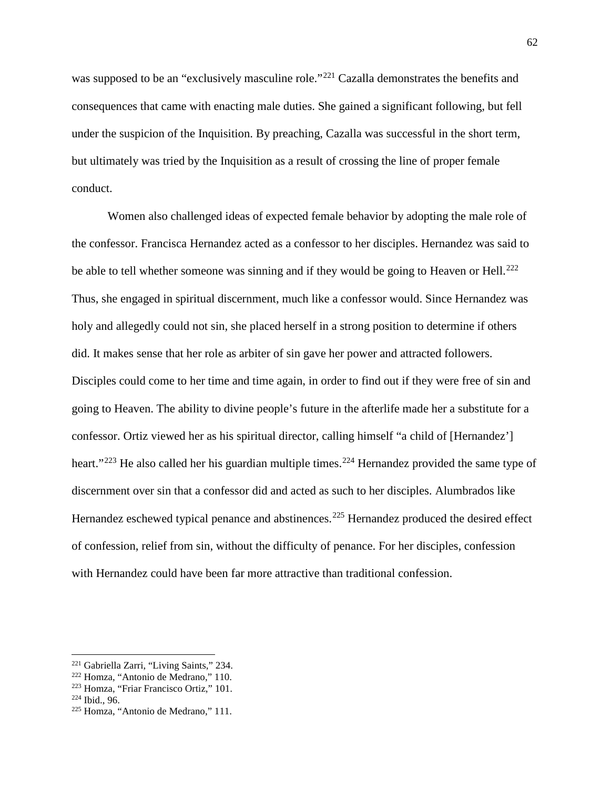was supposed to be an "exclusively masculine role."<sup>[221](#page-63-0)</sup> Cazalla demonstrates the benefits and consequences that came with enacting male duties. She gained a significant following, but fell under the suspicion of the Inquisition. By preaching, Cazalla was successful in the short term, but ultimately was tried by the Inquisition as a result of crossing the line of proper female conduct.

Women also challenged ideas of expected female behavior by adopting the male role of the confessor. Francisca Hernandez acted as a confessor to her disciples. Hernandez was said to be able to tell whether someone was sinning and if they would be going to Heaven or Hell.<sup>[222](#page-63-1)</sup> Thus, she engaged in spiritual discernment, much like a confessor would. Since Hernandez was holy and allegedly could not sin, she placed herself in a strong position to determine if others did. It makes sense that her role as arbiter of sin gave her power and attracted followers. Disciples could come to her time and time again, in order to find out if they were free of sin and going to Heaven. The ability to divine people's future in the afterlife made her a substitute for a confessor. Ortiz viewed her as his spiritual director, calling himself "a child of [Hernandez'] heart."<sup>[223](#page-63-2)</sup> He also called her his guardian multiple times.<sup>[224](#page-63-3)</sup> Hernandez provided the same type of discernment over sin that a confessor did and acted as such to her disciples. Alumbrados like Hernandez eschewed typical penance and abstinences.<sup>[225](#page-63-4)</sup> Hernandez produced the desired effect of confession, relief from sin, without the difficulty of penance. For her disciples, confession with Hernandez could have been far more attractive than traditional confession.

<span id="page-63-0"></span><sup>221</sup> Gabriella Zarri, "Living Saints," 234.

<span id="page-63-1"></span> $222$  Homza, "Antonio de Medrano," 110.<br> $223$  Homza, "Friar Francisco Ortiz," 101.

<span id="page-63-4"></span><span id="page-63-3"></span><span id="page-63-2"></span><sup>&</sup>lt;sup>224</sup> Ibid., 96.<br><sup>225</sup> Homza, "Antonio de Medrano," 111.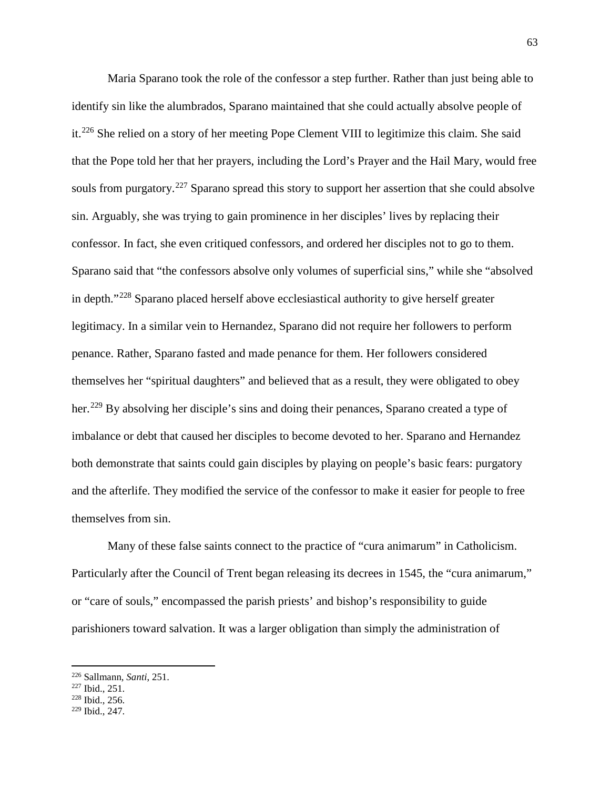Maria Sparano took the role of the confessor a step further. Rather than just being able to identify sin like the alumbrados, Sparano maintained that she could actually absolve people of it.[226](#page-64-0) She relied on a story of her meeting Pope Clement VIII to legitimize this claim. She said that the Pope told her that her prayers, including the Lord's Prayer and the Hail Mary, would free souls from purgatory.<sup>[227](#page-64-1)</sup> Sparano spread this story to support her assertion that she could absolve sin. Arguably, she was trying to gain prominence in her disciples' lives by replacing their confessor. In fact, she even critiqued confessors, and ordered her disciples not to go to them. Sparano said that "the confessors absolve only volumes of superficial sins," while she "absolved in depth."[228](#page-64-2) Sparano placed herself above ecclesiastical authority to give herself greater legitimacy. In a similar vein to Hernandez, Sparano did not require her followers to perform penance. Rather, Sparano fasted and made penance for them. Her followers considered themselves her "spiritual daughters" and believed that as a result, they were obligated to obey her.<sup>[229](#page-64-3)</sup> By absolving her disciple's sins and doing their penances, Sparano created a type of imbalance or debt that caused her disciples to become devoted to her. Sparano and Hernandez both demonstrate that saints could gain disciples by playing on people's basic fears: purgatory and the afterlife. They modified the service of the confessor to make it easier for people to free themselves from sin.

Many of these false saints connect to the practice of "cura animarum" in Catholicism. Particularly after the Council of Trent began releasing its decrees in 1545, the "cura animarum," or "care of souls," encompassed the parish priests' and bishop's responsibility to guide parishioners toward salvation. It was a larger obligation than simply the administration of

<span id="page-64-0"></span><sup>226</sup> Sallmann, *Santi*, 251.

<span id="page-64-2"></span><span id="page-64-1"></span>

 $228$  Ibid., 256.

<span id="page-64-3"></span><sup>229</sup> Ibid., 247.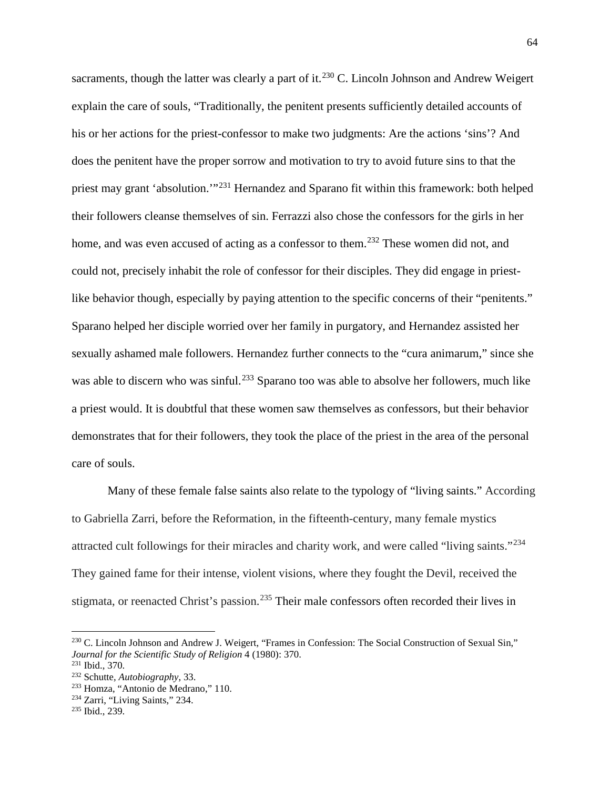sacraments, though the latter was clearly a part of it.<sup>[230](#page-65-0)</sup> C. Lincoln Johnson and Andrew Weigert explain the care of souls, "Traditionally, the penitent presents sufficiently detailed accounts of his or her actions for the priest-confessor to make two judgments: Are the actions 'sins'? And does the penitent have the proper sorrow and motivation to try to avoid future sins to that the priest may grant 'absolution.'"[231](#page-65-1) Hernandez and Sparano fit within this framework: both helped their followers cleanse themselves of sin. Ferrazzi also chose the confessors for the girls in her home, and was even accused of acting as a confessor to them.<sup>[232](#page-65-2)</sup> These women did not, and could not, precisely inhabit the role of confessor for their disciples. They did engage in priestlike behavior though, especially by paying attention to the specific concerns of their "penitents." Sparano helped her disciple worried over her family in purgatory, and Hernandez assisted her sexually ashamed male followers. Hernandez further connects to the "cura animarum," since she was able to discern who was sinful.<sup>[233](#page-65-3)</sup> Sparano too was able to absolve her followers, much like a priest would. It is doubtful that these women saw themselves as confessors, but their behavior demonstrates that for their followers, they took the place of the priest in the area of the personal care of souls.

Many of these female false saints also relate to the typology of "living saints." According to Gabriella Zarri, before the Reformation, in the fifteenth-century, many female mystics attracted cult followings for their miracles and charity work, and were called "living saints."[234](#page-65-4) They gained fame for their intense, violent visions, where they fought the Devil, received the stigmata, or reenacted Christ's passion.<sup>[235](#page-65-5)</sup> Their male confessors often recorded their lives in

<span id="page-65-0"></span><sup>230</sup> C. Lincoln Johnson and Andrew J. Weigert, "Frames in Confession: The Social Construction of Sexual Sin," *Journal for the Scientific Study of Religion* 4 (1980): 370.<br><sup>231</sup> Ibid., 370.

<span id="page-65-1"></span>

<span id="page-65-2"></span><sup>232</sup> Schutte, *Autobiography*, 33.

<span id="page-65-4"></span><span id="page-65-3"></span><sup>&</sup>lt;sup>233</sup> Homza, "Antonio de Medrano," 110.<br><sup>234</sup> Zarri, "Living Saints," 234.<br><sup>235</sup> Ibid., 239.

<span id="page-65-5"></span>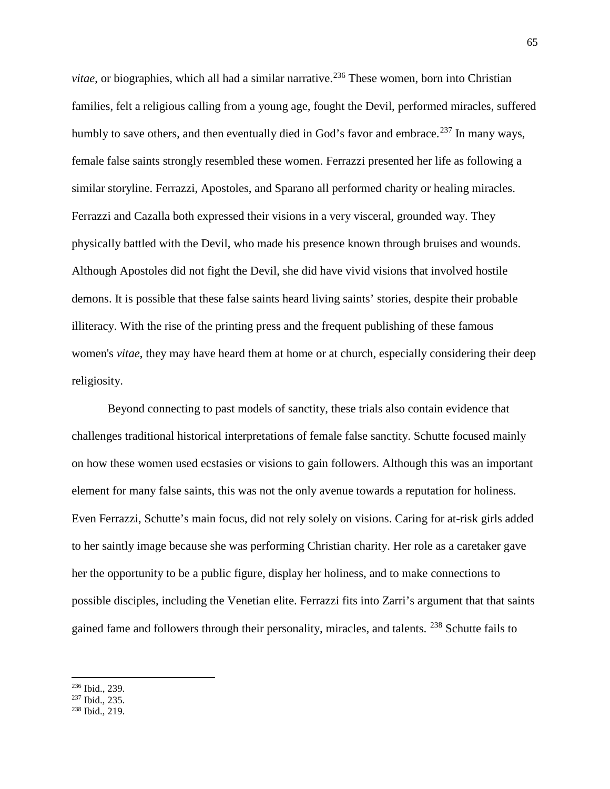*vitae*, or biographies, which all had a similar narrative.<sup>[236](#page-66-0)</sup> These women, born into Christian families, felt a religious calling from a young age, fought the Devil, performed miracles, suffered humbly to save others, and then eventually died in God's favor and embrace.<sup>[237](#page-66-1)</sup> In many ways, female false saints strongly resembled these women. Ferrazzi presented her life as following a similar storyline. Ferrazzi, Apostoles, and Sparano all performed charity or healing miracles. Ferrazzi and Cazalla both expressed their visions in a very visceral, grounded way. They physically battled with the Devil, who made his presence known through bruises and wounds. Although Apostoles did not fight the Devil, she did have vivid visions that involved hostile demons. It is possible that these false saints heard living saints' stories, despite their probable illiteracy. With the rise of the printing press and the frequent publishing of these famous women's *vitae*, they may have heard them at home or at church, especially considering their deep religiosity.

Beyond connecting to past models of sanctity, these trials also contain evidence that challenges traditional historical interpretations of female false sanctity. Schutte focused mainly on how these women used ecstasies or visions to gain followers. Although this was an important element for many false saints, this was not the only avenue towards a reputation for holiness. Even Ferrazzi, Schutte's main focus, did not rely solely on visions. Caring for at-risk girls added to her saintly image because she was performing Christian charity. Her role as a caretaker gave her the opportunity to be a public figure, display her holiness, and to make connections to possible disciples, including the Venetian elite. Ferrazzi fits into Zarri's argument that that saints gained fame and followers through their personality, miracles, and talents. <sup>[238](#page-66-2)</sup> Schutte fails to

<span id="page-66-0"></span> $\frac{236}{237}$  Ibid., 239.<br>  $\frac{237}{238}$  Ibid., 219.

<span id="page-66-1"></span>

<span id="page-66-2"></span>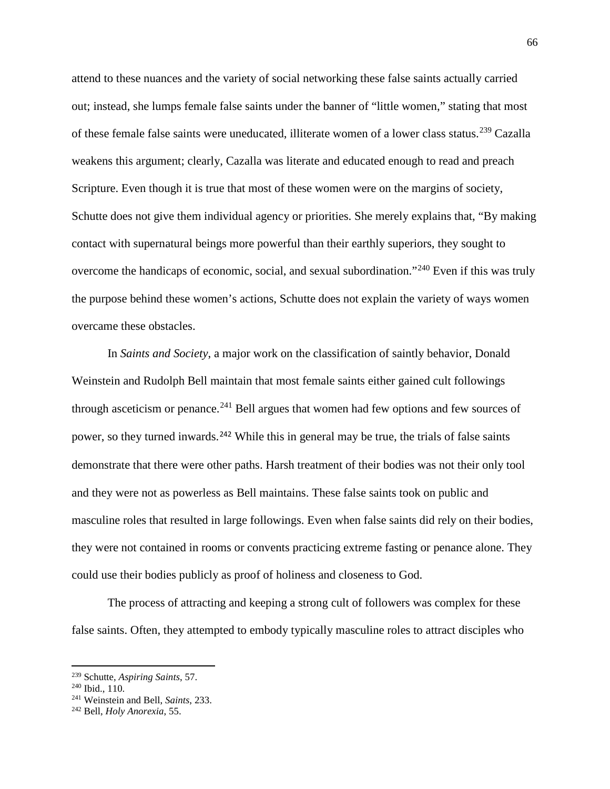attend to these nuances and the variety of social networking these false saints actually carried out; instead, she lumps female false saints under the banner of "little women," stating that most of these female false saints were uneducated, illiterate women of a lower class status.[239](#page-67-0) Cazalla weakens this argument; clearly, Cazalla was literate and educated enough to read and preach Scripture. Even though it is true that most of these women were on the margins of society, Schutte does not give them individual agency or priorities. She merely explains that, "By making contact with supernatural beings more powerful than their earthly superiors, they sought to overcome the handicaps of economic, social, and sexual subordination."[240](#page-67-1) Even if this was truly the purpose behind these women's actions, Schutte does not explain the variety of ways women overcame these obstacles.

In *Saints and Society*, a major work on the classification of saintly behavior, Donald Weinstein and Rudolph Bell maintain that most female saints either gained cult followings through asceticism or penance.<sup>[241](#page-67-2)</sup> Bell argues that women had few options and few sources of power, so they turned inwards.<sup>[242](#page-67-3)</sup> While this in general may be true, the trials of false saints demonstrate that there were other paths. Harsh treatment of their bodies was not their only tool and they were not as powerless as Bell maintains. These false saints took on public and masculine roles that resulted in large followings. Even when false saints did rely on their bodies, they were not contained in rooms or convents practicing extreme fasting or penance alone. They could use their bodies publicly as proof of holiness and closeness to God.

The process of attracting and keeping a strong cult of followers was complex for these false saints. Often, they attempted to embody typically masculine roles to attract disciples who

<span id="page-67-2"></span><span id="page-67-1"></span>

<span id="page-67-0"></span><sup>239</sup> Schutte, *Aspiring Saints*, 57. 240 Ibid., 110. 241 Weinstein and Bell, *Saints*, 233. 242 Bell, *Holy Anorexia*, 55.

<span id="page-67-3"></span>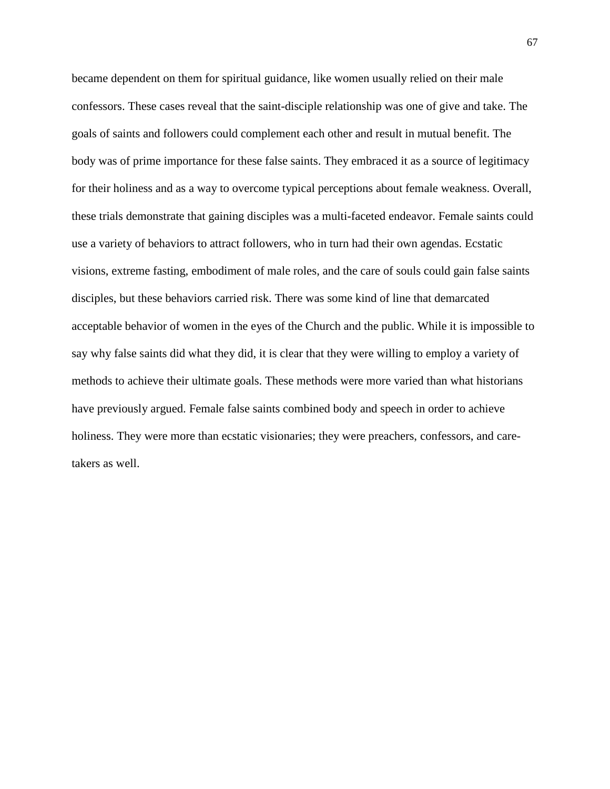became dependent on them for spiritual guidance, like women usually relied on their male confessors. These cases reveal that the saint-disciple relationship was one of give and take. The goals of saints and followers could complement each other and result in mutual benefit. The body was of prime importance for these false saints. They embraced it as a source of legitimacy for their holiness and as a way to overcome typical perceptions about female weakness. Overall, these trials demonstrate that gaining disciples was a multi-faceted endeavor. Female saints could use a variety of behaviors to attract followers, who in turn had their own agendas. Ecstatic visions, extreme fasting, embodiment of male roles, and the care of souls could gain false saints disciples, but these behaviors carried risk. There was some kind of line that demarcated acceptable behavior of women in the eyes of the Church and the public. While it is impossible to say why false saints did what they did, it is clear that they were willing to employ a variety of methods to achieve their ultimate goals. These methods were more varied than what historians have previously argued. Female false saints combined body and speech in order to achieve holiness. They were more than ecstatic visionaries; they were preachers, confessors, and caretakers as well.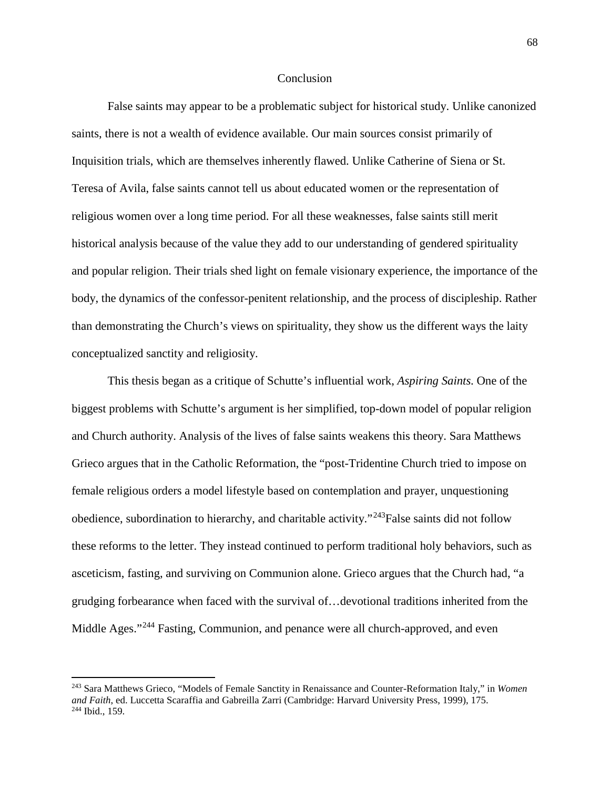## **Conclusion**

False saints may appear to be a problematic subject for historical study. Unlike canonized saints, there is not a wealth of evidence available. Our main sources consist primarily of Inquisition trials, which are themselves inherently flawed. Unlike Catherine of Siena or St. Teresa of Avila, false saints cannot tell us about educated women or the representation of religious women over a long time period. For all these weaknesses, false saints still merit historical analysis because of the value they add to our understanding of gendered spirituality and popular religion. Their trials shed light on female visionary experience, the importance of the body, the dynamics of the confessor-penitent relationship, and the process of discipleship. Rather than demonstrating the Church's views on spirituality, they show us the different ways the laity conceptualized sanctity and religiosity.

This thesis began as a critique of Schutte's influential work, *Aspiring Saints*. One of the biggest problems with Schutte's argument is her simplified, top-down model of popular religion and Church authority. Analysis of the lives of false saints weakens this theory. Sara Matthews Grieco argues that in the Catholic Reformation, the "post-Tridentine Church tried to impose on female religious orders a model lifestyle based on contemplation and prayer, unquestioning obedience, subordination to hierarchy, and charitable activity."<sup>[243](#page-69-0)</sup>False saints did not follow these reforms to the letter. They instead continued to perform traditional holy behaviors, such as asceticism, fasting, and surviving on Communion alone. Grieco argues that the Church had, "a grudging forbearance when faced with the survival of…devotional traditions inherited from the Middle Ages."<sup>[244](#page-69-1)</sup> Fasting, Communion, and penance were all church-approved, and even

<span id="page-69-1"></span><span id="page-69-0"></span><sup>243</sup> Sara Matthews Grieco, "Models of Female Sanctity in Renaissance and Counter-Reformation Italy," in *Women*  and Faith, ed. Luccetta Scaraffia and Gabreilla Zarri (Cambridge: Harvard University Press, 1999), 175. <sup>244</sup> Ibid., 159.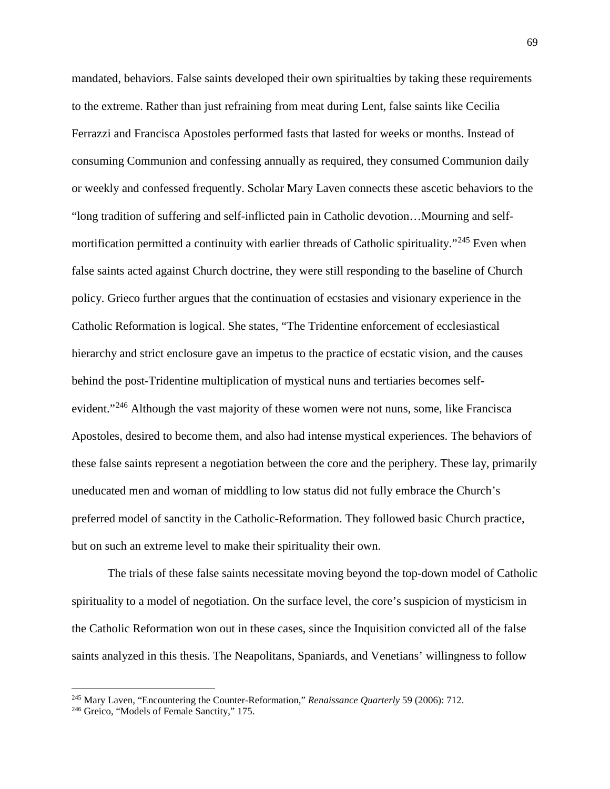mandated, behaviors. False saints developed their own spiritualties by taking these requirements to the extreme. Rather than just refraining from meat during Lent, false saints like Cecilia Ferrazzi and Francisca Apostoles performed fasts that lasted for weeks or months. Instead of consuming Communion and confessing annually as required, they consumed Communion daily or weekly and confessed frequently. Scholar Mary Laven connects these ascetic behaviors to the "long tradition of suffering and self-inflicted pain in Catholic devotion…Mourning and selfmortification permitted a continuity with earlier threads of Catholic spirituality."[245](#page-70-0) Even when false saints acted against Church doctrine, they were still responding to the baseline of Church policy. Grieco further argues that the continuation of ecstasies and visionary experience in the Catholic Reformation is logical. She states, "The Tridentine enforcement of ecclesiastical hierarchy and strict enclosure gave an impetus to the practice of ecstatic vision, and the causes behind the post-Tridentine multiplication of mystical nuns and tertiaries becomes self-evident."<sup>[246](#page-70-1)</sup> Although the vast majority of these women were not nuns, some, like Francisca Apostoles, desired to become them, and also had intense mystical experiences. The behaviors of these false saints represent a negotiation between the core and the periphery. These lay, primarily uneducated men and woman of middling to low status did not fully embrace the Church's preferred model of sanctity in the Catholic-Reformation. They followed basic Church practice, but on such an extreme level to make their spirituality their own.

The trials of these false saints necessitate moving beyond the top-down model of Catholic spirituality to a model of negotiation. On the surface level, the core's suspicion of mysticism in the Catholic Reformation won out in these cases, since the Inquisition convicted all of the false saints analyzed in this thesis. The Neapolitans, Spaniards, and Venetians' willingness to follow

<span id="page-70-1"></span><span id="page-70-0"></span><sup>&</sup>lt;sup>245</sup> Mary Laven, "Encountering the Counter-Reformation," *Renaissance Quarterly* 59 (2006): 712.<br><sup>246</sup> Greico, "Models of Female Sanctity," 175.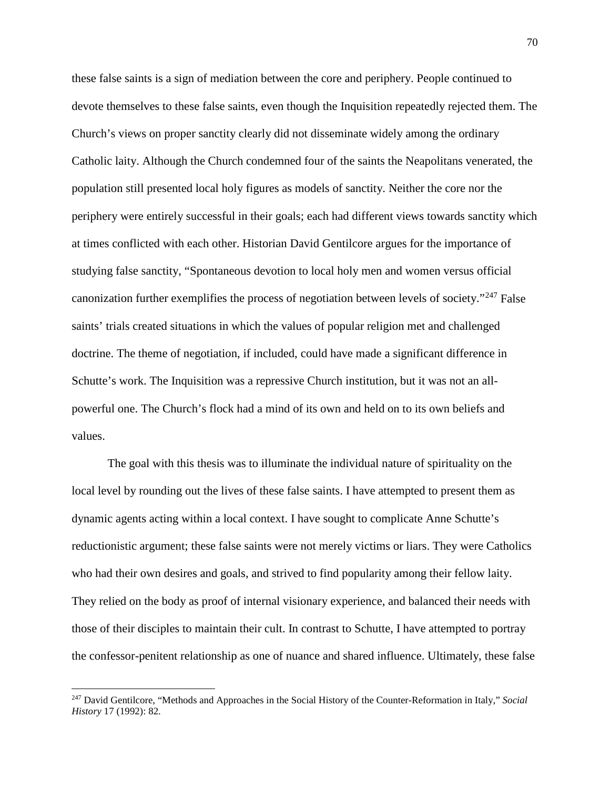these false saints is a sign of mediation between the core and periphery. People continued to devote themselves to these false saints, even though the Inquisition repeatedly rejected them. The Church's views on proper sanctity clearly did not disseminate widely among the ordinary Catholic laity. Although the Church condemned four of the saints the Neapolitans venerated, the population still presented local holy figures as models of sanctity. Neither the core nor the periphery were entirely successful in their goals; each had different views towards sanctity which at times conflicted with each other. Historian David Gentilcore argues for the importance of studying false sanctity, "Spontaneous devotion to local holy men and women versus official canonization further exemplifies the process of negotiation between levels of society."<sup>[247](#page-71-0)</sup> False saints' trials created situations in which the values of popular religion met and challenged doctrine. The theme of negotiation, if included, could have made a significant difference in Schutte's work. The Inquisition was a repressive Church institution, but it was not an allpowerful one. The Church's flock had a mind of its own and held on to its own beliefs and values.

The goal with this thesis was to illuminate the individual nature of spirituality on the local level by rounding out the lives of these false saints. I have attempted to present them as dynamic agents acting within a local context. I have sought to complicate Anne Schutte's reductionistic argument; these false saints were not merely victims or liars. They were Catholics who had their own desires and goals, and strived to find popularity among their fellow laity. They relied on the body as proof of internal visionary experience, and balanced their needs with those of their disciples to maintain their cult. In contrast to Schutte, I have attempted to portray the confessor-penitent relationship as one of nuance and shared influence. Ultimately, these false

<span id="page-71-0"></span><sup>247</sup> David Gentilcore, "Methods and Approaches in the Social History of the Counter-Reformation in Italy," *Social History* 17 (1992): 82.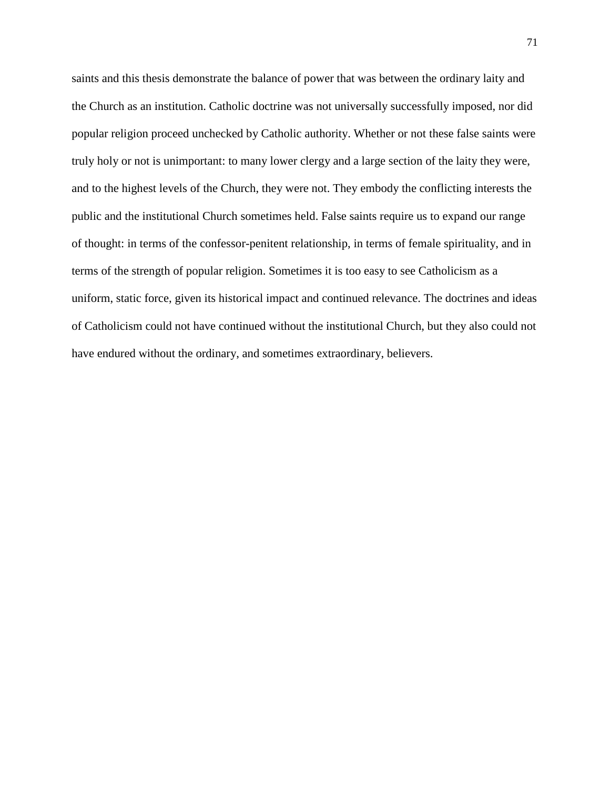saints and this thesis demonstrate the balance of power that was between the ordinary laity and the Church as an institution. Catholic doctrine was not universally successfully imposed, nor did popular religion proceed unchecked by Catholic authority. Whether or not these false saints were truly holy or not is unimportant: to many lower clergy and a large section of the laity they were, and to the highest levels of the Church, they were not. They embody the conflicting interests the public and the institutional Church sometimes held. False saints require us to expand our range of thought: in terms of the confessor-penitent relationship, in terms of female spirituality, and in terms of the strength of popular religion. Sometimes it is too easy to see Catholicism as a uniform, static force, given its historical impact and continued relevance. The doctrines and ideas of Catholicism could not have continued without the institutional Church, but they also could not have endured without the ordinary, and sometimes extraordinary, believers.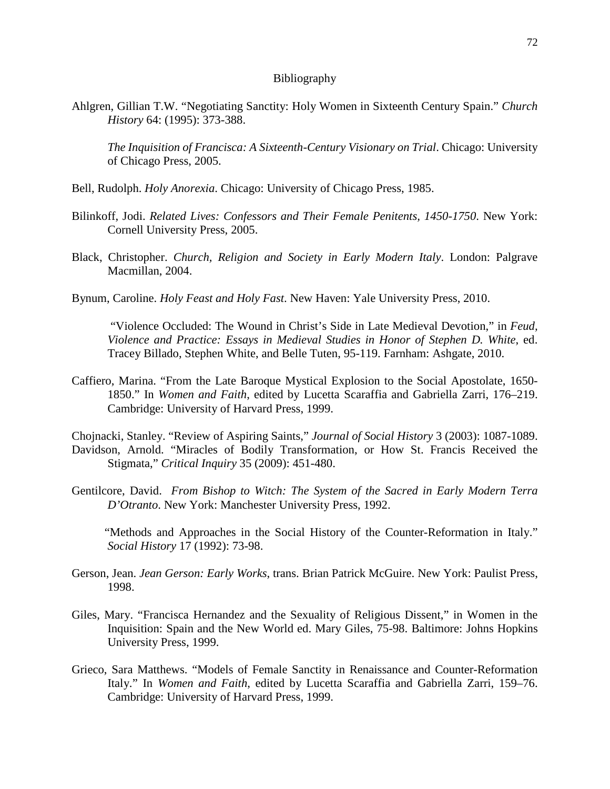## Bibliography

Ahlgren, Gillian T.W. "Negotiating Sanctity: Holy Women in Sixteenth Century Spain." *Church History* 64: (1995): 373-388.

*The Inquisition of Francisca: A Sixteenth-Century Visionary on Trial*. Chicago: University of Chicago Press, 2005.

- Bell, Rudolph. *Holy Anorexia*. Chicago: University of Chicago Press, 1985.
- Bilinkoff, Jodi. *Related Lives: Confessors and Their Female Penitents, 1450-1750*. New York: Cornell University Press, 2005.
- Black, Christopher. *Church, Religion and Society in Early Modern Italy*. London: Palgrave Macmillan, 2004.
- Bynum, Caroline. *Holy Feast and Holy Fast*. New Haven: Yale University Press, 2010.

 "Violence Occluded: The Wound in Christ's Side in Late Medieval Devotion," in *Feud, Violence and Practice: Essays in Medieval Studies in Honor of Stephen D. White*, ed. Tracey Billado, Stephen White, and Belle Tuten, 95-119. Farnham: Ashgate, 2010.

- Caffiero, Marina. "From the Late Baroque Mystical Explosion to the Social Apostolate, 1650- 1850." In *Women and Faith*, edited by Lucetta Scaraffia and Gabriella Zarri, 176–219. Cambridge: University of Harvard Press, 1999.
- Chojnacki, Stanley. "Review of Aspiring Saints," *Journal of Social History* 3 (2003): 1087-1089. Davidson, Arnold. "Miracles of Bodily Transformation, or How St. Francis Received the Stigmata," *Critical Inquiry* 35 (2009): 451-480.
- Gentilcore, David. *From Bishop to Witch: The System of the Sacred in Early Modern Terra D'Otranto*. New York: Manchester University Press, 1992.

 "Methods and Approaches in the Social History of the Counter-Reformation in Italy." *Social History* 17 (1992): 73-98.

- Gerson, Jean. *Jean Gerson: Early Works*, trans. Brian Patrick McGuire. New York: Paulist Press, 1998.
- Giles, Mary. "Francisca Hernandez and the Sexuality of Religious Dissent," in Women in the Inquisition: Spain and the New World ed. Mary Giles, 75-98. Baltimore: Johns Hopkins University Press, 1999.
- Grieco, Sara Matthews. "Models of Female Sanctity in Renaissance and Counter-Reformation Italy." In *Women and Faith*, edited by Lucetta Scaraffia and Gabriella Zarri, 159–76. Cambridge: University of Harvard Press, 1999.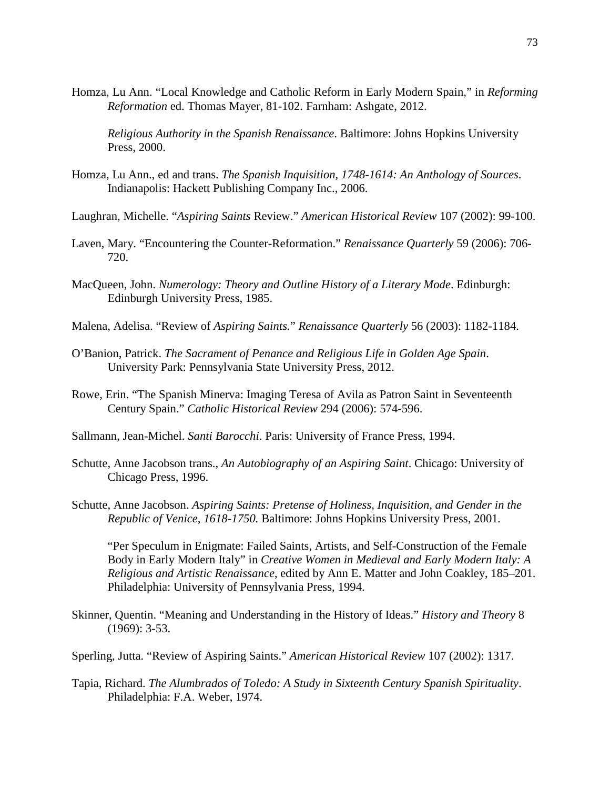Homza, Lu Ann. "Local Knowledge and Catholic Reform in Early Modern Spain," in *Reforming Reformation* ed. Thomas Mayer, 81-102. Farnham: Ashgate, 2012.

 *Religious Authority in the Spanish Renaissance*. Baltimore: Johns Hopkins University Press, 2000.

- Homza, Lu Ann., ed and trans. *The Spanish Inquisition, 1748-1614: An Anthology of Sources*. Indianapolis: Hackett Publishing Company Inc., 2006.
- Laughran, Michelle. "*Aspiring Saints* Review." *American Historical Review* 107 (2002): 99-100.
- Laven, Mary. "Encountering the Counter-Reformation." *Renaissance Quarterly* 59 (2006): 706- 720.
- MacQueen, John. *Numerology: Theory and Outline History of a Literary Mode*. Edinburgh: Edinburgh University Press, 1985.
- Malena, Adelisa. "Review of *Aspiring Saints.*" *Renaissance Quarterly* 56 (2003): 1182-1184.
- O'Banion, Patrick. *The Sacrament of Penance and Religious Life in Golden Age Spain*. University Park: Pennsylvania State University Press, 2012.
- Rowe, Erin. "The Spanish Minerva: Imaging Teresa of Avila as Patron Saint in Seventeenth Century Spain." *Catholic Historical Review* 294 (2006): 574-596.
- Sallmann, Jean-Michel. *Santi Barocchi*. Paris: University of France Press, 1994.
- Schutte, Anne Jacobson trans., *An Autobiography of an Aspiring Saint*. Chicago: University of Chicago Press, 1996.
- Schutte, Anne Jacobson. *Aspiring Saints: Pretense of Holiness, Inquisition, and Gender in the Republic of Venice, 1618-1750.* Baltimore: Johns Hopkins University Press, 2001*.*

 "Per Speculum in Enigmate: Failed Saints, Artists, and Self-Construction of the Female Body in Early Modern Italy" in *Creative Women in Medieval and Early Modern Italy: A Religious and Artistic Renaissance*, edited by Ann E. Matter and John Coakley, 185–201. Philadelphia: University of Pennsylvania Press, 1994.

- Skinner, Quentin. "Meaning and Understanding in the History of Ideas." *History and Theory* 8 (1969): 3-53.
- Sperling, Jutta. "Review of Aspiring Saints." *American Historical Review* 107 (2002): 1317.
- Tapia, Richard. *The Alumbrados of Toledo: A Study in Sixteenth Century Spanish Spirituality*. Philadelphia: F.A. Weber, 1974.